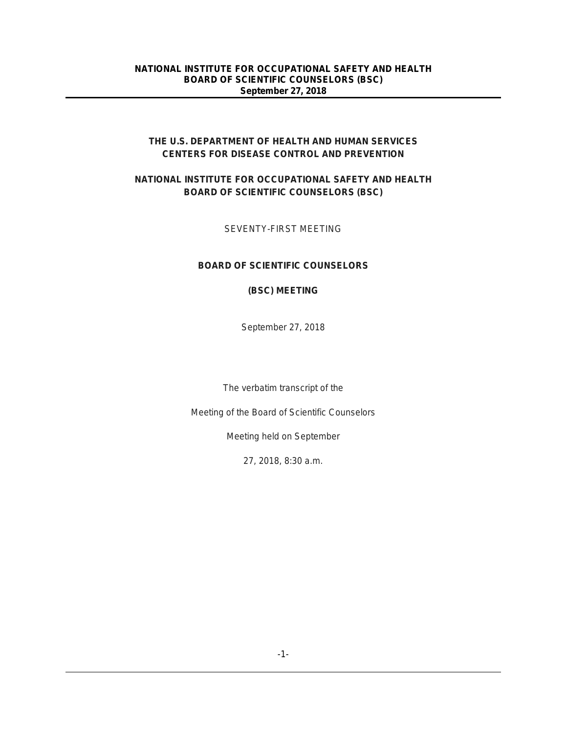# **THE U.S. DEPARTMENT OF HEALTH AND HUMAN SERVICES CENTERS FOR DISEASE CONTROL AND PREVENTION**

# **NATIONAL INSTITUTE FOR OCCUPATIONAL SAFETY AND HEALTH BOARD OF SCIENTIFIC COUNSELORS (BSC)**

# SEVENTY-FIRST MEETING

# **BOARD OF SCIENTIFIC COUNSELORS**

## **(BSC) MEETING**

September 27, 2018

The verbatim transcript of the

Meeting of the Board of Scientific Counselors

Meeting held on September

27, 2018, 8:30 a.m.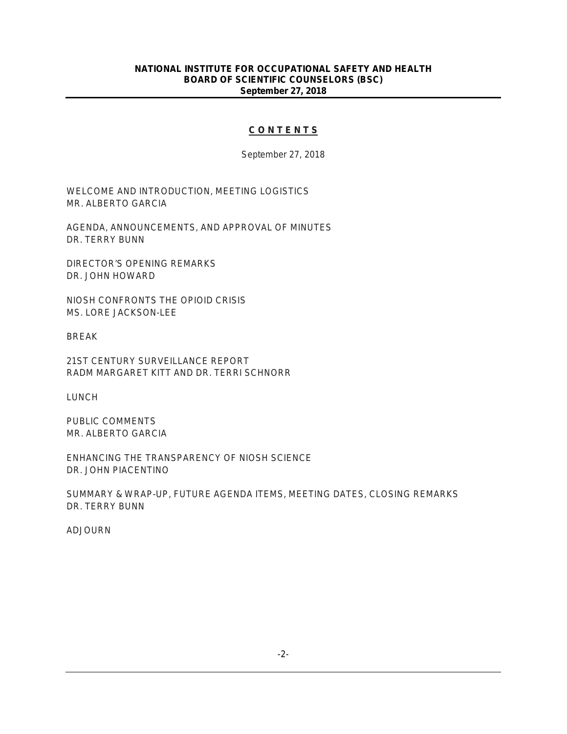# **C O N T E N T S**

September 27, 2018

WELCOME AND INTRODUCTION, MEETING LOGISTICS MR. ALBERTO GARCIA

AGENDA, ANNOUNCEMENTS, AND APPROVAL OF MINUTES DR. TERRY BUNN

DIRECTOR'S OPENING REMARKS DR. JOHN HOWARD

NIOSH CONFRONTS THE OPIOID CRISIS MS. LORE JACKSON-LEE

BREAK

21ST CENTURY SURVEILLANCE REPORT RADM MARGARET KITT AND DR. TERRI SCHNORR

LUNCH

PUBLIC COMMENTS MR. ALBERTO GARCIA

ENHANCING THE TRANSPARENCY OF NIOSH SCIENCE DR. JOHN PIACENTINO

SUMMARY & WRAP-UP, FUTURE AGENDA ITEMS, MEETING DATES, CLOSING REMARKS DR. TERRY BUNN

ADJOURN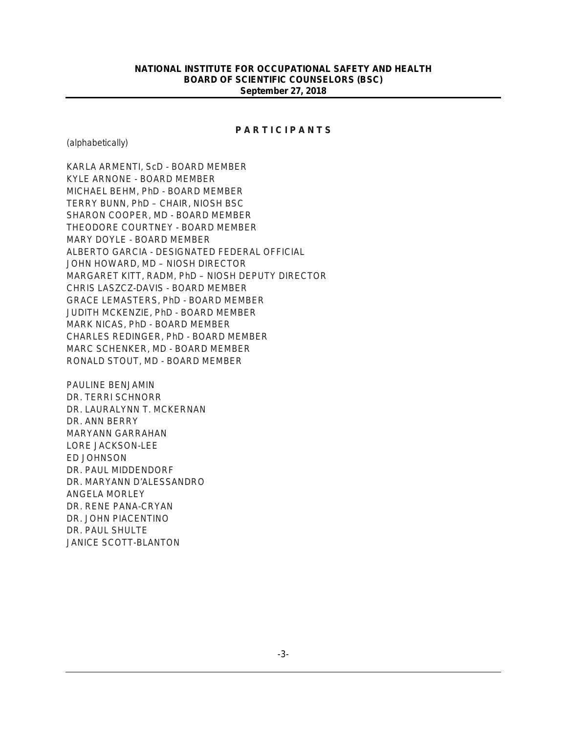### **P A R T I C I P A N T S**

(alphabetically)

KARLA ARMENTI, ScD - BOARD MEMBER KYLE ARNONE - BOARD MEMBER MICHAEL BEHM, PhD - BOARD MEMBER TERRY BUNN, PhD – CHAIR, NIOSH BSC SHARON COOPER, MD - BOARD MEMBER THEODORE COURTNEY - BOARD MEMBER MARY DOYLE - BOARD MEMBER ALBERTO GARCIA - DESIGNATED FEDERAL OFFICIAL JOHN HOWARD, MD – NIOSH DIRECTOR MARGARET KITT, RADM, PhD – NIOSH DEPUTY DIRECTOR CHRIS LASZCZ-DAVIS - BOARD MEMBER GRACE LEMASTERS, PhD - BOARD MEMBER JUDITH MCKENZIE, PhD - BOARD MEMBER MARK NICAS, PhD - BOARD MEMBER CHARLES REDINGER, PhD - BOARD MEMBER MARC SCHENKER, MD - BOARD MEMBER RONALD STOUT, MD - BOARD MEMBER

PAULINE BENJAMIN DR. TERRI SCHNORR DR. LAURALYNN T. MCKERNAN DR. ANN BERRY MARYANN GARRAHAN LORE JACKSON-LEE ED JOHNSON DR. PAUL MIDDENDORF DR. MARYANN D'ALESSANDRO ANGELA MORLEY DR. RENE PANA-CRYAN DR. JOHN PIACENTINO DR. PAUL SHULTE JANICE SCOTT-BLANTON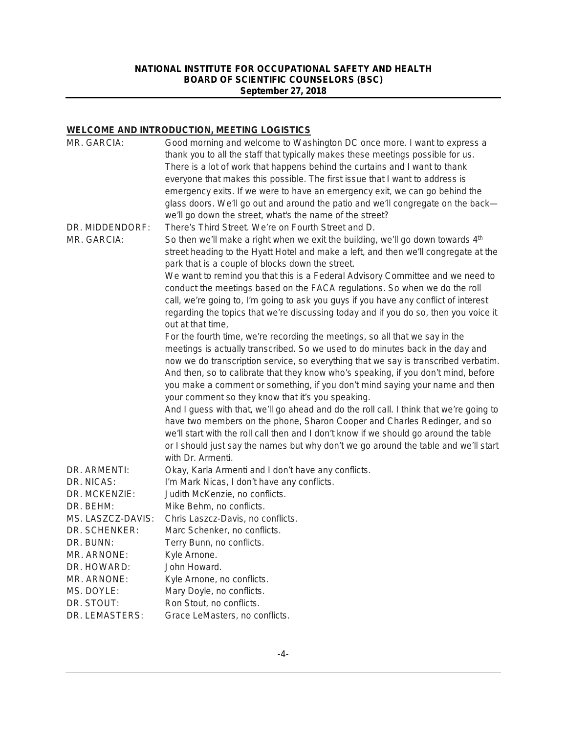# **WELCOME AND INTRODUCTION, MEETING LOGISTICS**

| MR. GARCIA:       | Good morning and welcome to Washington DC once more. I want to express a                                                                |
|-------------------|-----------------------------------------------------------------------------------------------------------------------------------------|
|                   | thank you to all the staff that typically makes these meetings possible for us.                                                         |
|                   | There is a lot of work that happens behind the curtains and I want to thank                                                             |
|                   | everyone that makes this possible. The first issue that I want to address is                                                            |
|                   | emergency exits. If we were to have an emergency exit, we can go behind the                                                             |
|                   | glass doors. We'll go out and around the patio and we'll congregate on the back-                                                        |
|                   | we'll go down the street, what's the name of the street?                                                                                |
| DR. MIDDENDORF:   | There's Third Street. We're on Fourth Street and D.                                                                                     |
| MR. GARCIA:       | So then we'll make a right when we exit the building, we'll go down towards 4th                                                         |
|                   | street heading to the Hyatt Hotel and make a left, and then we'll congregate at the<br>park that is a couple of blocks down the street. |
|                   | We want to remind you that this is a Federal Advisory Committee and we need to                                                          |
|                   | conduct the meetings based on the FACA regulations. So when we do the roll                                                              |
|                   | call, we're going to, I'm going to ask you guys if you have any conflict of interest                                                    |
|                   | regarding the topics that we're discussing today and if you do so, then you voice it                                                    |
|                   | out at that time,                                                                                                                       |
|                   | For the fourth time, we're recording the meetings, so all that we say in the                                                            |
|                   | meetings is actually transcribed. So we used to do minutes back in the day and                                                          |
|                   | now we do transcription service, so everything that we say is transcribed verbatim.                                                     |
|                   | And then, so to calibrate that they know who's speaking, if you don't mind, before                                                      |
|                   | you make a comment or something, if you don't mind saying your name and then                                                            |
|                   | your comment so they know that it's you speaking.                                                                                       |
|                   | And I guess with that, we'll go ahead and do the roll call. I think that we're going to                                                 |
|                   | have two members on the phone, Sharon Cooper and Charles Redinger, and so                                                               |
|                   | we'll start with the roll call then and I don't know if we should go around the table                                                   |
|                   | or I should just say the names but why don't we go around the table and we'll start                                                     |
|                   | with Dr. Armenti.                                                                                                                       |
| DR. ARMENTI:      | Okay, Karla Armenti and I don't have any conflicts.                                                                                     |
| DR. NICAS:        | I'm Mark Nicas, I don't have any conflicts.                                                                                             |
| DR. MCKENZIE:     | Judith McKenzie, no conflicts.                                                                                                          |
| DR. BEHM:         | Mike Behm, no conflicts.                                                                                                                |
| MS. LASZCZ-DAVIS: | Chris Laszcz-Davis, no conflicts.                                                                                                       |
| DR. SCHENKER:     | Marc Schenker, no conflicts.                                                                                                            |
| DR. BUNN:         | Terry Bunn, no conflicts.                                                                                                               |
| MR. ARNONE:       | Kyle Arnone.                                                                                                                            |
| DR. HOWARD:       | John Howard.                                                                                                                            |
| MR. ARNONE:       | Kyle Arnone, no conflicts.                                                                                                              |
| MS. DOYLE:        | Mary Doyle, no conflicts.                                                                                                               |
| DR. STOUT:        | Ron Stout, no conflicts.                                                                                                                |
| DR. LEMASTERS:    | Grace LeMasters, no conflicts.                                                                                                          |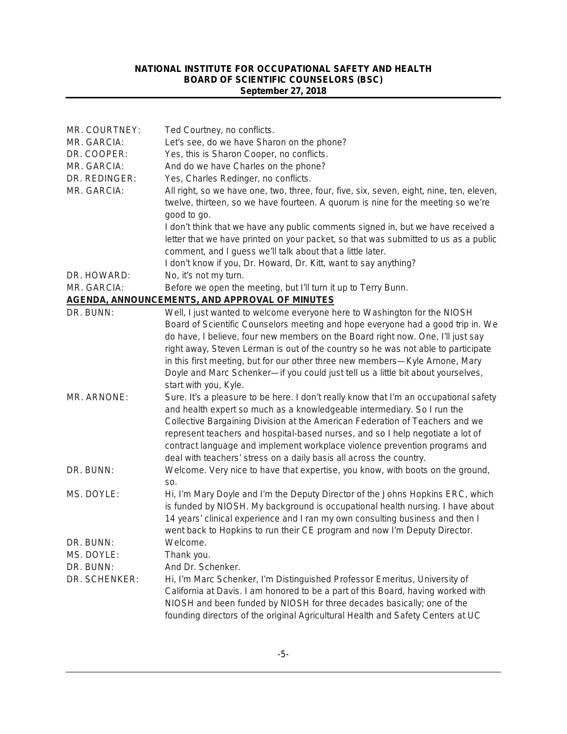| MR. COURTNEY: | Ted Courtney, no conflicts.                                                                                                                                                  |
|---------------|------------------------------------------------------------------------------------------------------------------------------------------------------------------------------|
| MR. GARCIA:   | Let's see, do we have Sharon on the phone?                                                                                                                                   |
| DR. COOPER:   | Yes, this is Sharon Cooper, no conflicts.                                                                                                                                    |
| MR. GARCIA:   | And do we have Charles on the phone?                                                                                                                                         |
| DR. REDINGER: | Yes, Charles Redinger, no conflicts.                                                                                                                                         |
| MR. GARCIA:   | All right, so we have one, two, three, four, five, six, seven, eight, nine, ten, eleven,<br>twelve, thirteen, so we have fourteen. A quorum is nine for the meeting so we're |
|               | good to go.                                                                                                                                                                  |
|               | I don't think that we have any public comments signed in, but we have received a                                                                                             |
|               | letter that we have printed on your packet, so that was submitted to us as a public                                                                                          |
|               | comment, and I guess we'll talk about that a little later.                                                                                                                   |
|               | I don't know if you, Dr. Howard, Dr. Kitt, want to say anything?                                                                                                             |
| DR. HOWARD:   | No, it's not my turn.                                                                                                                                                        |
| MR. GARCIA:   | Before we open the meeting, but I'll turn it up to Terry Bunn.                                                                                                               |
|               | <b>AGENDA, ANNOUNCEMENTS, AND APPROVAL OF MINUTES</b>                                                                                                                        |
| DR. BUNN:     | Well, I just wanted to welcome everyone here to Washington for the NIOSH                                                                                                     |
|               | Board of Scientific Counselors meeting and hope everyone had a good trip in. We                                                                                              |
|               | do have, I believe, four new members on the Board right now. One, I'll just say                                                                                              |
|               | right away, Steven Lerman is out of the country so he was not able to participate                                                                                            |
|               | in this first meeting, but for our other three new members-Kyle Arnone, Mary                                                                                                 |
|               | Doyle and Marc Schenker-if you could just tell us a little bit about yourselves,<br>start with you, Kyle.                                                                    |
| MR. ARNONE:   | Sure. It's a pleasure to be here. I don't really know that I'm an occupational safety<br>and health expert so much as a knowledgeable intermediary. So I run the             |
|               | Collective Bargaining Division at the American Federation of Teachers and we                                                                                                 |
|               | represent teachers and hospital-based nurses, and so I help negotiate a lot of                                                                                               |
|               | contract language and implement workplace violence prevention programs and                                                                                                   |
|               | deal with teachers' stress on a daily basis all across the country.                                                                                                          |
| DR. BUNN:     | Welcome. Very nice to have that expertise, you know, with boots on the ground,                                                                                               |
|               | SO.                                                                                                                                                                          |
| MS. DOYLE:    | Hi, I'm Mary Doyle and I'm the Deputy Director of the Johns Hopkins ERC, which                                                                                               |
|               | is funded by NIOSH. My background is occupational health nursing. I have about                                                                                               |
|               | 14 years' clinical experience and I ran my own consulting business and then I                                                                                                |
|               | went back to Hopkins to run their CE program and now I'm Deputy Director.                                                                                                    |
| DR. BUNN:     | Welcome.                                                                                                                                                                     |
| MS. DOYLE:    |                                                                                                                                                                              |
|               | Thank you.                                                                                                                                                                   |
| DR. BUNN:     | And Dr. Schenker.                                                                                                                                                            |
| DR. SCHENKER: | Hi, I'm Marc Schenker, I'm Distinguished Professor Emeritus, University of                                                                                                   |
|               | California at Davis. I am honored to be a part of this Board, having worked with                                                                                             |
|               | NIOSH and been funded by NIOSH for three decades basically; one of the                                                                                                       |
|               | founding directors of the original Agricultural Health and Safety Centers at UC                                                                                              |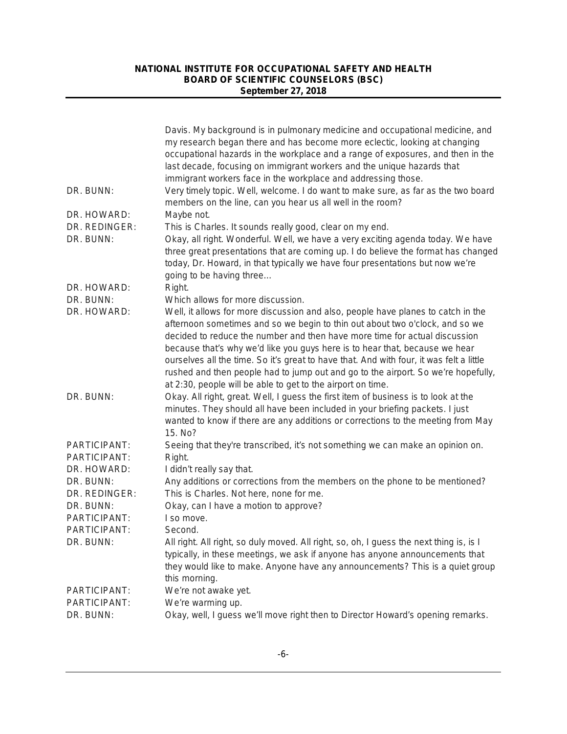|                              | Davis. My background is in pulmonary medicine and occupational medicine, and<br>my research began there and has become more eclectic, looking at changing<br>occupational hazards in the workplace and a range of exposures, and then in the<br>last decade, focusing on immigrant workers and the unique hazards that<br>immigrant workers face in the workplace and addressing those.                                                                                                                                                                                      |
|------------------------------|------------------------------------------------------------------------------------------------------------------------------------------------------------------------------------------------------------------------------------------------------------------------------------------------------------------------------------------------------------------------------------------------------------------------------------------------------------------------------------------------------------------------------------------------------------------------------|
| DR. BUNN:                    | Very timely topic. Well, welcome. I do want to make sure, as far as the two board<br>members on the line, can you hear us all well in the room?                                                                                                                                                                                                                                                                                                                                                                                                                              |
| DR. HOWARD:                  | Maybe not.                                                                                                                                                                                                                                                                                                                                                                                                                                                                                                                                                                   |
| DR. REDINGER:<br>DR. BUNN:   | This is Charles. It sounds really good, clear on my end.<br>Okay, all right. Wonderful. Well, we have a very exciting agenda today. We have<br>three great presentations that are coming up. I do believe the format has changed<br>today, Dr. Howard, in that typically we have four presentations but now we're<br>going to be having three                                                                                                                                                                                                                                |
| DR. HOWARD:                  | Right.                                                                                                                                                                                                                                                                                                                                                                                                                                                                                                                                                                       |
| DR. BUNN:                    | Which allows for more discussion.                                                                                                                                                                                                                                                                                                                                                                                                                                                                                                                                            |
| DR. HOWARD:                  | Well, it allows for more discussion and also, people have planes to catch in the<br>afternoon sometimes and so we begin to thin out about two o'clock, and so we<br>decided to reduce the number and then have more time for actual discussion<br>because that's why we'd like you guys here is to hear that, because we hear<br>ourselves all the time. So it's great to have that. And with four, it was felt a little<br>rushed and then people had to jump out and go to the airport. So we're hopefully,<br>at 2:30, people will be able to get to the airport on time. |
| DR. BUNN:                    | Okay. All right, great. Well, I guess the first item of business is to look at the<br>minutes. They should all have been included in your briefing packets. I just<br>wanted to know if there are any additions or corrections to the meeting from May<br>15. No?                                                                                                                                                                                                                                                                                                            |
| PARTICIPANT:<br>PARTICIPANT: | Seeing that they're transcribed, it's not something we can make an opinion on.<br>Right.                                                                                                                                                                                                                                                                                                                                                                                                                                                                                     |
| DR. HOWARD:                  | I didn't really say that.                                                                                                                                                                                                                                                                                                                                                                                                                                                                                                                                                    |
| DR. BUNN:<br>DR. REDINGER:   | Any additions or corrections from the members on the phone to be mentioned?<br>This is Charles. Not here, none for me.                                                                                                                                                                                                                                                                                                                                                                                                                                                       |
| DR. BUNN:                    | Okay, can I have a motion to approve?                                                                                                                                                                                                                                                                                                                                                                                                                                                                                                                                        |
| PARTICIPANT:                 | I so move.                                                                                                                                                                                                                                                                                                                                                                                                                                                                                                                                                                   |
| PARTICIPANT:                 | Second.                                                                                                                                                                                                                                                                                                                                                                                                                                                                                                                                                                      |
| DR. BUNN:                    | All right. All right, so duly moved. All right, so, oh, I guess the next thing is, is I<br>typically, in these meetings, we ask if anyone has anyone announcements that<br>they would like to make. Anyone have any announcements? This is a quiet group<br>this morning.                                                                                                                                                                                                                                                                                                    |
| PARTICIPANT:                 | We're not awake yet.                                                                                                                                                                                                                                                                                                                                                                                                                                                                                                                                                         |
| PARTICIPANT:                 | We're warming up.                                                                                                                                                                                                                                                                                                                                                                                                                                                                                                                                                            |
| DR. BUNN:                    | Okay, well, I guess we'll move right then to Director Howard's opening remarks.                                                                                                                                                                                                                                                                                                                                                                                                                                                                                              |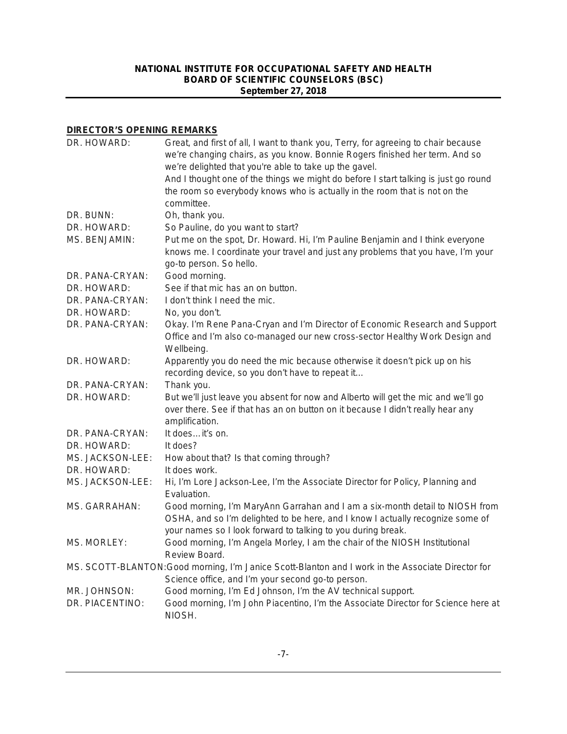# **DIRECTOR'S OPENING REMARKS**

| DR. HOWARD:        | Great, and first of all, I want to thank you, Terry, for agreeing to chair because<br>we're changing chairs, as you know. Bonnie Rogers finished her term. And so<br>we're delighted that you're able to take up the gavel.    |
|--------------------|--------------------------------------------------------------------------------------------------------------------------------------------------------------------------------------------------------------------------------|
|                    | And I thought one of the things we might do before I start talking is just go round<br>the room so everybody knows who is actually in the room that is not on the<br>committee.                                                |
| DR. BUNN:          | Oh, thank you.                                                                                                                                                                                                                 |
| DR. HOWARD:        | So Pauline, do you want to start?                                                                                                                                                                                              |
| MS. BENJAMIN:      | Put me on the spot, Dr. Howard. Hi, I'm Pauline Benjamin and I think everyone<br>knows me. I coordinate your travel and just any problems that you have, I'm your<br>go-to person. So hello.                                   |
| DR. PANA-CRYAN:    | Good morning.                                                                                                                                                                                                                  |
| DR. HOWARD:        | See if that mic has an on button.                                                                                                                                                                                              |
| DR. PANA-CRYAN:    | I don't think I need the mic.                                                                                                                                                                                                  |
| DR. HOWARD:        | No, you don't.                                                                                                                                                                                                                 |
| DR. PANA-CRYAN:    | Okay. I'm Rene Pana-Cryan and I'm Director of Economic Research and Support<br>Office and I'm also co-managed our new cross-sector Healthy Work Design and<br>Wellbeing.                                                       |
| DR. HOWARD:        | Apparently you do need the mic because otherwise it doesn't pick up on his<br>recording device, so you don't have to repeat it                                                                                                 |
| DR. PANA-CRYAN:    | Thank you.                                                                                                                                                                                                                     |
| DR. HOWARD:        | But we'll just leave you absent for now and Alberto will get the mic and we'll go<br>over there. See if that has an on button on it because I didn't really hear any<br>amplification.                                         |
| DR. PANA-CRYAN:    | It doesit's on.                                                                                                                                                                                                                |
| DR. HOWARD:        | It does?                                                                                                                                                                                                                       |
| MS. JACKSON-LEE:   | How about that? Is that coming through?                                                                                                                                                                                        |
| DR. HOWARD:        | It does work.                                                                                                                                                                                                                  |
| MS. JACKSON-LEE:   | Hi, I'm Lore Jackson-Lee, I'm the Associate Director for Policy, Planning and<br>Evaluation.                                                                                                                                   |
| MS. GARRAHAN:      | Good morning, I'm MaryAnn Garrahan and I am a six-month detail to NIOSH from<br>OSHA, and so I'm delighted to be here, and I know I actually recognize some of<br>your names so I look forward to talking to you during break. |
| <b>MS. MORLEY:</b> | Good morning, I'm Angela Morley, I am the chair of the NIOSH Institutional<br>Review Board.                                                                                                                                    |
|                    | MS. SCOTT-BLANTON:Good morning, I'm Janice Scott-Blanton and I work in the Associate Director for<br>Science office, and I'm your second go-to person.                                                                         |
| MR. JOHNSON:       | Good morning, I'm Ed Johnson, I'm the AV technical support.                                                                                                                                                                    |
| DR. PIACENTINO:    | Good morning, I'm John Piacentino, I'm the Associate Director for Science here at<br>NIOSH.                                                                                                                                    |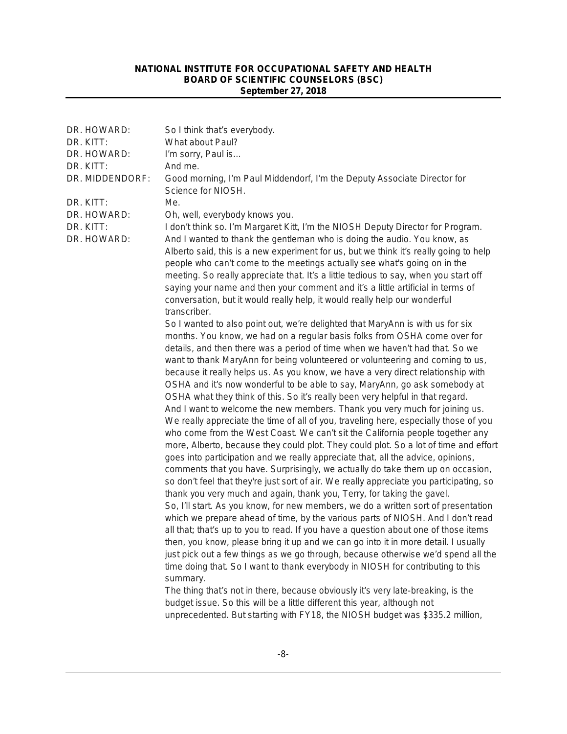| DR. HOWARD:              | So I think that's everybody.                                                                                                                                                                                                                                                                                                                                                                                                                                                                                                                                                                                                                                                                                                                                                                                                                                                                                                                                                                                                                                                                                                                                                                                                                                                                                                                                                                                                                                                                                                                                                                                                                                                                                                                                                                                                                                                                                                                                                                                                                                                                                                                                                                                                                                                                                                                                                                                                       |
|--------------------------|------------------------------------------------------------------------------------------------------------------------------------------------------------------------------------------------------------------------------------------------------------------------------------------------------------------------------------------------------------------------------------------------------------------------------------------------------------------------------------------------------------------------------------------------------------------------------------------------------------------------------------------------------------------------------------------------------------------------------------------------------------------------------------------------------------------------------------------------------------------------------------------------------------------------------------------------------------------------------------------------------------------------------------------------------------------------------------------------------------------------------------------------------------------------------------------------------------------------------------------------------------------------------------------------------------------------------------------------------------------------------------------------------------------------------------------------------------------------------------------------------------------------------------------------------------------------------------------------------------------------------------------------------------------------------------------------------------------------------------------------------------------------------------------------------------------------------------------------------------------------------------------------------------------------------------------------------------------------------------------------------------------------------------------------------------------------------------------------------------------------------------------------------------------------------------------------------------------------------------------------------------------------------------------------------------------------------------------------------------------------------------------------------------------------------------|
| DR. KITT:                | What about Paul?                                                                                                                                                                                                                                                                                                                                                                                                                                                                                                                                                                                                                                                                                                                                                                                                                                                                                                                                                                                                                                                                                                                                                                                                                                                                                                                                                                                                                                                                                                                                                                                                                                                                                                                                                                                                                                                                                                                                                                                                                                                                                                                                                                                                                                                                                                                                                                                                                   |
| DR. HOWARD:              | I'm sorry, Paul is                                                                                                                                                                                                                                                                                                                                                                                                                                                                                                                                                                                                                                                                                                                                                                                                                                                                                                                                                                                                                                                                                                                                                                                                                                                                                                                                                                                                                                                                                                                                                                                                                                                                                                                                                                                                                                                                                                                                                                                                                                                                                                                                                                                                                                                                                                                                                                                                                 |
| DR. KITT:                | And me.                                                                                                                                                                                                                                                                                                                                                                                                                                                                                                                                                                                                                                                                                                                                                                                                                                                                                                                                                                                                                                                                                                                                                                                                                                                                                                                                                                                                                                                                                                                                                                                                                                                                                                                                                                                                                                                                                                                                                                                                                                                                                                                                                                                                                                                                                                                                                                                                                            |
| DR. MIDDENDORF:          | Good morning, I'm Paul Middendorf, I'm the Deputy Associate Director for<br>Science for NIOSH.                                                                                                                                                                                                                                                                                                                                                                                                                                                                                                                                                                                                                                                                                                                                                                                                                                                                                                                                                                                                                                                                                                                                                                                                                                                                                                                                                                                                                                                                                                                                                                                                                                                                                                                                                                                                                                                                                                                                                                                                                                                                                                                                                                                                                                                                                                                                     |
| DR. KITT:                | Me.                                                                                                                                                                                                                                                                                                                                                                                                                                                                                                                                                                                                                                                                                                                                                                                                                                                                                                                                                                                                                                                                                                                                                                                                                                                                                                                                                                                                                                                                                                                                                                                                                                                                                                                                                                                                                                                                                                                                                                                                                                                                                                                                                                                                                                                                                                                                                                                                                                |
| DR. HOWARD:              | Oh, well, everybody knows you.                                                                                                                                                                                                                                                                                                                                                                                                                                                                                                                                                                                                                                                                                                                                                                                                                                                                                                                                                                                                                                                                                                                                                                                                                                                                                                                                                                                                                                                                                                                                                                                                                                                                                                                                                                                                                                                                                                                                                                                                                                                                                                                                                                                                                                                                                                                                                                                                     |
| DR. KITT:<br>DR. HOWARD: | I don't think so. I'm Margaret Kitt, I'm the NIOSH Deputy Director for Program.<br>And I wanted to thank the gentleman who is doing the audio. You know, as<br>Alberto said, this is a new experiment for us, but we think it's really going to help<br>people who can't come to the meetings actually see what's going on in the<br>meeting. So really appreciate that. It's a little tedious to say, when you start off<br>saying your name and then your comment and it's a little artificial in terms of<br>conversation, but it would really help, it would really help our wonderful<br>transcriber.<br>So I wanted to also point out, we're delighted that MaryAnn is with us for six<br>months. You know, we had on a regular basis folks from OSHA come over for<br>details, and then there was a period of time when we haven't had that. So we<br>want to thank MaryAnn for being volunteered or volunteering and coming to us,<br>because it really helps us. As you know, we have a very direct relationship with<br>OSHA and it's now wonderful to be able to say, MaryAnn, go ask somebody at<br>OSHA what they think of this. So it's really been very helpful in that regard.<br>And I want to welcome the new members. Thank you very much for joining us.<br>We really appreciate the time of all of you, traveling here, especially those of you<br>who come from the West Coast. We can't sit the California people together any<br>more, Alberto, because they could plot. They could plot. So a lot of time and effort<br>goes into participation and we really appreciate that, all the advice, opinions,<br>comments that you have. Surprisingly, we actually do take them up on occasion,<br>so don't feel that they're just sort of air. We really appreciate you participating, so<br>thank you very much and again, thank you, Terry, for taking the gavel.<br>So, I'll start. As you know, for new members, we do a written sort of presentation<br>which we prepare ahead of time, by the various parts of NIOSH. And I don't read<br>all that; that's up to you to read. If you have a question about one of those items<br>then, you know, please bring it up and we can go into it in more detail. I usually<br>just pick out a few things as we go through, because otherwise we'd spend all the<br>time doing that. So I want to thank everybody in NIOSH for contributing to this<br>summary. |
|                          | The thing that's not in there, because obviously it's very late-breaking, is the                                                                                                                                                                                                                                                                                                                                                                                                                                                                                                                                                                                                                                                                                                                                                                                                                                                                                                                                                                                                                                                                                                                                                                                                                                                                                                                                                                                                                                                                                                                                                                                                                                                                                                                                                                                                                                                                                                                                                                                                                                                                                                                                                                                                                                                                                                                                                   |
|                          | budget issue. So this will be a little different this year, although not                                                                                                                                                                                                                                                                                                                                                                                                                                                                                                                                                                                                                                                                                                                                                                                                                                                                                                                                                                                                                                                                                                                                                                                                                                                                                                                                                                                                                                                                                                                                                                                                                                                                                                                                                                                                                                                                                                                                                                                                                                                                                                                                                                                                                                                                                                                                                           |
|                          | unprecedented. But starting with FY18, the NIOSH budget was \$335.2 million,                                                                                                                                                                                                                                                                                                                                                                                                                                                                                                                                                                                                                                                                                                                                                                                                                                                                                                                                                                                                                                                                                                                                                                                                                                                                                                                                                                                                                                                                                                                                                                                                                                                                                                                                                                                                                                                                                                                                                                                                                                                                                                                                                                                                                                                                                                                                                       |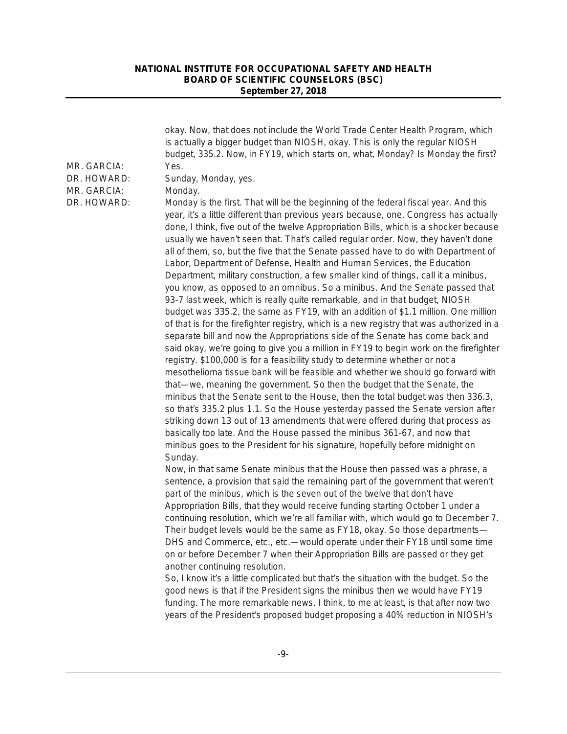| MR. GARCIA:<br>DR. HOWARD:<br>MR. GARCIA: | okay. Now, that does not include the World Trade Center Health Program, which<br>is actually a bigger budget than NIOSH, okay. This is only the regular NIOSH<br>budget, 335.2. Now, in FY19, which starts on, what, Monday? Is Monday the first?<br>Yes.<br>Sunday, Monday, yes.<br>Monday.                                                                                                                                                                                                                                                                                                                                                                                                                                                                                                                                                                                                                                                                                                                                                                                                                                                                                                                                                                                                                                                                                                                                                                                                                                                                                                                                                                                                                                                                                                                                     |
|-------------------------------------------|----------------------------------------------------------------------------------------------------------------------------------------------------------------------------------------------------------------------------------------------------------------------------------------------------------------------------------------------------------------------------------------------------------------------------------------------------------------------------------------------------------------------------------------------------------------------------------------------------------------------------------------------------------------------------------------------------------------------------------------------------------------------------------------------------------------------------------------------------------------------------------------------------------------------------------------------------------------------------------------------------------------------------------------------------------------------------------------------------------------------------------------------------------------------------------------------------------------------------------------------------------------------------------------------------------------------------------------------------------------------------------------------------------------------------------------------------------------------------------------------------------------------------------------------------------------------------------------------------------------------------------------------------------------------------------------------------------------------------------------------------------------------------------------------------------------------------------|
| DR. HOWARD:                               | Monday is the first. That will be the beginning of the federal fiscal year. And this<br>year, it's a little different than previous years because, one, Congress has actually<br>done, I think, five out of the twelve Appropriation Bills, which is a shocker because<br>usually we haven't seen that. That's called regular order. Now, they haven't done<br>all of them, so, but the five that the Senate passed have to do with Department of<br>Labor, Department of Defense, Health and Human Services, the Education<br>Department, military construction, a few smaller kind of things, call it a minibus,<br>you know, as opposed to an omnibus. So a minibus. And the Senate passed that<br>93-7 last week, which is really quite remarkable, and in that budget, NIOSH<br>budget was 335.2, the same as FY19, with an addition of \$1.1 million. One million<br>of that is for the firefighter registry, which is a new registry that was authorized in a<br>separate bill and now the Appropriations side of the Senate has come back and<br>said okay, we're going to give you a million in FY19 to begin work on the firefighter<br>registry. \$100,000 is for a feasibility study to determine whether or not a<br>mesothelioma tissue bank will be feasible and whether we should go forward with<br>that—we, meaning the government. So then the budget that the Senate, the<br>minibus that the Senate sent to the House, then the total budget was then 336.3,<br>so that's 335.2 plus 1.1. So the House yesterday passed the Senate version after<br>striking down 13 out of 13 amendments that were offered during that process as<br>basically too late. And the House passed the minibus 361-67, and now that<br>minibus goes to the President for his signature, hopefully before midnight on<br>Sunday. |
|                                           | Now, in that same Senate minibus that the House then passed was a phrase, a<br>sentence, a provision that said the remaining part of the government that weren't<br>part of the minibus, which is the seven out of the twelve that don't have<br>Appropriation Bills, that they would receive funding starting October 1 under a<br>continuing resolution, which we're all familiar with, which would go to December 7.<br>Their budget levels would be the same as FY18, okay. So those departments-<br>DHS and Commerce, etc., etc.-- would operate under their FY18 until some time<br>on or before December 7 when their Appropriation Bills are passed or they get<br>another continuing resolution.<br>So, I know it's a little complicated but that's the situation with the budget. So the<br>good news is that if the President signs the minibus then we would have FY19<br>funding. The more remarkable news, I think, to me at least, is that after now two<br>years of the President's proposed budget proposing a 40% reduction in NIOSH's                                                                                                                                                                                                                                                                                                                                                                                                                                                                                                                                                                                                                                                                                                                                                                         |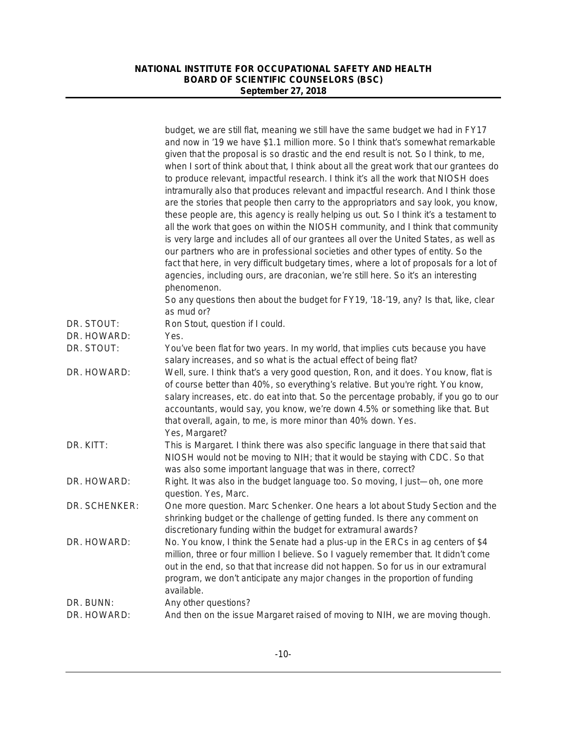|               | budget, we are still flat, meaning we still have the same budget we had in FY17<br>and now in '19 we have \$1.1 million more. So I think that's somewhat remarkable<br>given that the proposal is so drastic and the end result is not. So I think, to me,<br>when I sort of think about that, I think about all the great work that our grantees do<br>to produce relevant, impactful research. I think it's all the work that NIOSH does<br>intramurally also that produces relevant and impactful research. And I think those<br>are the stories that people then carry to the appropriators and say look, you know,<br>these people are, this agency is really helping us out. So I think it's a testament to<br>all the work that goes on within the NIOSH community, and I think that community<br>is very large and includes all of our grantees all over the United States, as well as<br>our partners who are in professional societies and other types of entity. So the<br>fact that here, in very difficult budgetary times, where a lot of proposals for a lot of<br>agencies, including ours, are draconian, we're still here. So it's an interesting<br>phenomenon. |
|---------------|------------------------------------------------------------------------------------------------------------------------------------------------------------------------------------------------------------------------------------------------------------------------------------------------------------------------------------------------------------------------------------------------------------------------------------------------------------------------------------------------------------------------------------------------------------------------------------------------------------------------------------------------------------------------------------------------------------------------------------------------------------------------------------------------------------------------------------------------------------------------------------------------------------------------------------------------------------------------------------------------------------------------------------------------------------------------------------------------------------------------------------------------------------------------------------|
|               | So any questions then about the budget for FY19, '18-'19, any? Is that, like, clear<br>as mud or?                                                                                                                                                                                                                                                                                                                                                                                                                                                                                                                                                                                                                                                                                                                                                                                                                                                                                                                                                                                                                                                                                  |
| DR. STOUT:    | Ron Stout, question if I could.                                                                                                                                                                                                                                                                                                                                                                                                                                                                                                                                                                                                                                                                                                                                                                                                                                                                                                                                                                                                                                                                                                                                                    |
| DR. HOWARD:   | Yes.                                                                                                                                                                                                                                                                                                                                                                                                                                                                                                                                                                                                                                                                                                                                                                                                                                                                                                                                                                                                                                                                                                                                                                               |
| DR. STOUT:    | You've been flat for two years. In my world, that implies cuts because you have                                                                                                                                                                                                                                                                                                                                                                                                                                                                                                                                                                                                                                                                                                                                                                                                                                                                                                                                                                                                                                                                                                    |
| DR. HOWARD:   | salary increases, and so what is the actual effect of being flat?<br>Well, sure. I think that's a very good question, Ron, and it does. You know, flat is<br>of course better than 40%, so everything's relative. But you're right. You know,<br>salary increases, etc. do eat into that. So the percentage probably, if you go to our<br>accountants, would say, you know, we're down 4.5% or something like that. But<br>that overall, again, to me, is more minor than 40% down. Yes.<br>Yes, Margaret?                                                                                                                                                                                                                                                                                                                                                                                                                                                                                                                                                                                                                                                                         |
| DR. KITT:     | This is Margaret. I think there was also specific language in there that said that<br>NIOSH would not be moving to NIH; that it would be staying with CDC. So that<br>was also some important language that was in there, correct?                                                                                                                                                                                                                                                                                                                                                                                                                                                                                                                                                                                                                                                                                                                                                                                                                                                                                                                                                 |
| DR. HOWARD:   | Right. It was also in the budget language too. So moving, I just-oh, one more<br>question. Yes, Marc.                                                                                                                                                                                                                                                                                                                                                                                                                                                                                                                                                                                                                                                                                                                                                                                                                                                                                                                                                                                                                                                                              |
| DR. SCHENKER: | One more question. Marc Schenker. One hears a lot about Study Section and the<br>shrinking budget or the challenge of getting funded. Is there any comment on<br>discretionary funding within the budget for extramural awards?                                                                                                                                                                                                                                                                                                                                                                                                                                                                                                                                                                                                                                                                                                                                                                                                                                                                                                                                                    |
| DR. HOWARD:   | No. You know, I think the Senate had a plus-up in the ERCs in ag centers of \$4<br>million, three or four million I believe. So I vaguely remember that. It didn't come<br>out in the end, so that that increase did not happen. So for us in our extramural<br>program, we don't anticipate any major changes in the proportion of funding<br>available.                                                                                                                                                                                                                                                                                                                                                                                                                                                                                                                                                                                                                                                                                                                                                                                                                          |
| DR. BUNN:     | Any other questions?                                                                                                                                                                                                                                                                                                                                                                                                                                                                                                                                                                                                                                                                                                                                                                                                                                                                                                                                                                                                                                                                                                                                                               |
| DR. HOWARD:   | And then on the issue Margaret raised of moving to NIH, we are moving though.                                                                                                                                                                                                                                                                                                                                                                                                                                                                                                                                                                                                                                                                                                                                                                                                                                                                                                                                                                                                                                                                                                      |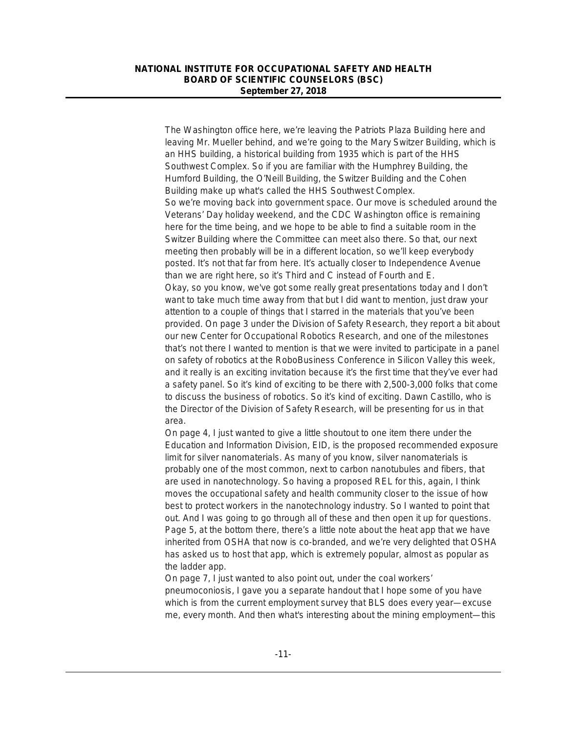The Washington office here, we're leaving the Patriots Plaza Building here and leaving Mr. Mueller behind, and we're going to the Mary Switzer Building, which is an HHS building, a historical building from 1935 which is part of the HHS Southwest Complex. So if you are familiar with the Humphrey Building, the Humford Building, the O'Neill Building, the Switzer Building and the Cohen Building make up what's called the HHS Southwest Complex. So we're moving back into government space. Our move is scheduled around the Veterans' Day holiday weekend, and the CDC Washington office is remaining here for the time being, and we hope to be able to find a suitable room in the Switzer Building where the Committee can meet also there. So that, our next meeting then probably will be in a different location, so we'll keep everybody posted. It's not that far from here. It's actually closer to Independence Avenue than we are right here, so it's Third and C instead of Fourth and E. Okay, so you know, we've got some really great presentations today and I don't want to take much time away from that but I did want to mention, just draw your attention to a couple of things that I starred in the materials that you've been provided. On page 3 under the Division of Safety Research, they report a bit about our new Center for Occupational Robotics Research, and one of the milestones that's not there I wanted to mention is that we were invited to participate in a panel on safety of robotics at the RoboBusiness Conference in Silicon Valley this week, and it really is an exciting invitation because it's the first time that they've ever had a safety panel. So it's kind of exciting to be there with 2,500-3,000 folks that come to discuss the business of robotics. So it's kind of exciting. Dawn Castillo, who is the Director of the Division of Safety Research, will be presenting for us in that area.

On page 4, I just wanted to give a little shoutout to one item there under the Education and Information Division, EID, is the proposed recommended exposure limit for silver nanomaterials. As many of you know, silver nanomaterials is probably one of the most common, next to carbon nanotubules and fibers, that are used in nanotechnology. So having a proposed REL for this, again, I think moves the occupational safety and health community closer to the issue of how best to protect workers in the nanotechnology industry. So I wanted to point that out. And I was going to go through all of these and then open it up for questions. Page 5, at the bottom there, there's a little note about the heat app that we have inherited from OSHA that now is co-branded, and we're very delighted that OSHA has asked us to host that app, which is extremely popular, almost as popular as the ladder app.

On page 7, I just wanted to also point out, under the coal workers' pneumoconiosis, I gave you a separate handout that I hope some of you have which is from the current employment survey that BLS does every year—excuse me, every month. And then what's interesting about the mining employment—this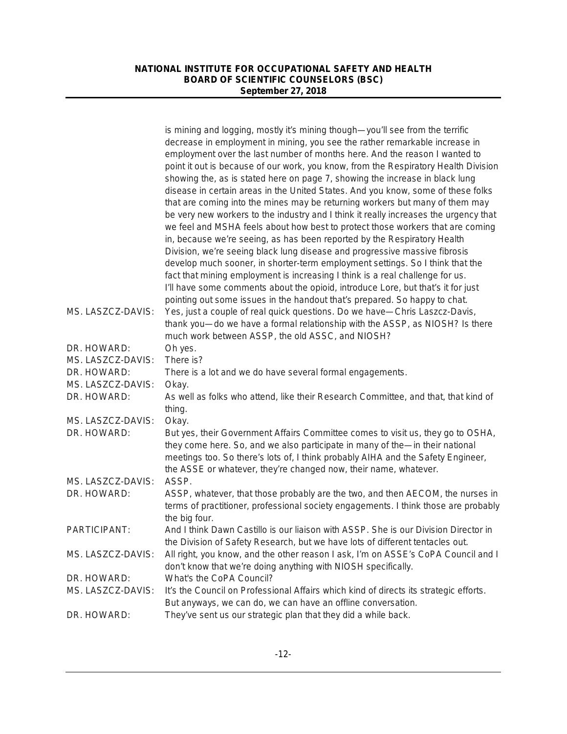|                   | is mining and logging, mostly it's mining though-you'll see from the terrific         |
|-------------------|---------------------------------------------------------------------------------------|
|                   | decrease in employment in mining, you see the rather remarkable increase in           |
|                   | employment over the last number of months here. And the reason I wanted to            |
|                   | point it out is because of our work, you know, from the Respiratory Health Division   |
|                   | showing the, as is stated here on page 7, showing the increase in black lung          |
|                   | disease in certain areas in the United States. And you know, some of these folks      |
|                   | that are coming into the mines may be returning workers but many of them may          |
|                   | be very new workers to the industry and I think it really increases the urgency that  |
|                   | we feel and MSHA feels about how best to protect those workers that are coming        |
|                   | in, because we're seeing, as has been reported by the Respiratory Health              |
|                   | Division, we're seeing black lung disease and progressive massive fibrosis            |
|                   | develop much sooner, in shorter-term employment settings. So I think that the         |
|                   | fact that mining employment is increasing I think is a real challenge for us.         |
|                   | I'll have some comments about the opioid, introduce Lore, but that's it for just      |
|                   | pointing out some issues in the handout that's prepared. So happy to chat.            |
| MS. LASZCZ-DAVIS: | Yes, just a couple of real quick questions. Do we have-Chris Laszcz-Davis,            |
|                   | thank you—do we have a formal relationship with the ASSP, as NIOSH? Is there          |
|                   | much work between ASSP, the old ASSC, and NIOSH?                                      |
| DR. HOWARD:       | Oh yes.                                                                               |
| MS. LASZCZ-DAVIS: | There is?                                                                             |
| DR. HOWARD:       | There is a lot and we do have several formal engagements.                             |
| MS. LASZCZ-DAVIS: | Okay.                                                                                 |
| DR. HOWARD:       | As well as folks who attend, like their Research Committee, and that, that kind of    |
|                   | thing.                                                                                |
| MS. LASZCZ-DAVIS: | Okay.                                                                                 |
| DR. HOWARD:       | But yes, their Government Affairs Committee comes to visit us, they go to OSHA,       |
|                   | they come here. So, and we also participate in many of the-in their national          |
|                   | meetings too. So there's lots of, I think probably AIHA and the Safety Engineer,      |
|                   | the ASSE or whatever, they're changed now, their name, whatever.                      |
| MS. LASZCZ-DAVIS: | ASSP.                                                                                 |
| DR. HOWARD:       | ASSP, whatever, that those probably are the two, and then AECOM, the nurses in        |
|                   | terms of practitioner, professional society engagements. I think those are probably   |
|                   | the big four.                                                                         |
| PARTICIPANT:      | And I think Dawn Castillo is our liaison with ASSP. She is our Division Director in   |
|                   | the Division of Safety Research, but we have lots of different tentacles out.         |
| MS. LASZCZ-DAVIS: | All right, you know, and the other reason I ask, I'm on ASSE's CoPA Council and I     |
|                   | don't know that we're doing anything with NIOSH specifically.                         |
| DR. HOWARD:       | What's the CoPA Council?                                                              |
| MS. LASZCZ-DAVIS: | It's the Council on Professional Affairs which kind of directs its strategic efforts. |
|                   | But anyways, we can do, we can have an offline conversation.                          |
| DR. HOWARD:       | They've sent us our strategic plan that they did a while back.                        |
|                   |                                                                                       |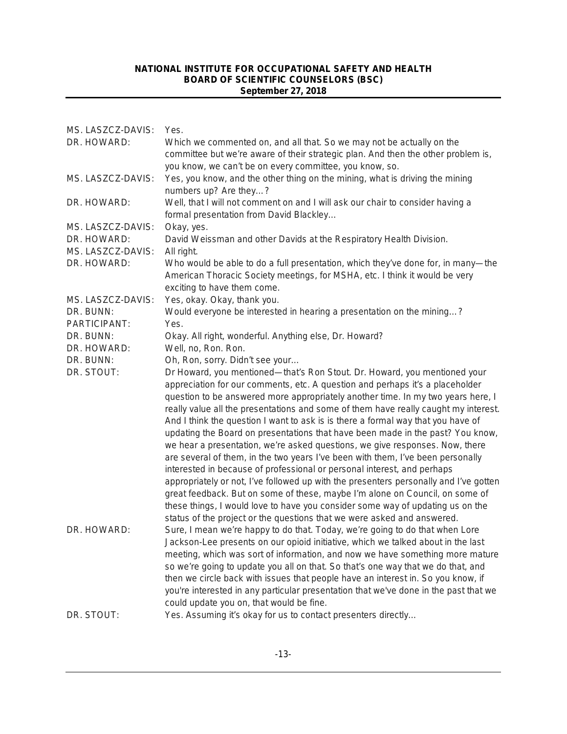| MS. LASZCZ-DAVIS: | Yes.                                                                                  |
|-------------------|---------------------------------------------------------------------------------------|
| DR. HOWARD:       | Which we commented on, and all that. So we may not be actually on the                 |
|                   | committee but we're aware of their strategic plan. And then the other problem is,     |
|                   | you know, we can't be on every committee, you know, so.                               |
| MS. LASZCZ-DAVIS: | Yes, you know, and the other thing on the mining, what is driving the mining          |
|                   | numbers up? Are they?                                                                 |
| DR. HOWARD:       | Well, that I will not comment on and I will ask our chair to consider having a        |
|                   | formal presentation from David Blackley                                               |
| MS. LASZCZ-DAVIS: | Okay, yes.                                                                            |
| DR. HOWARD:       | David Weissman and other Davids at the Respiratory Health Division.                   |
| MS. LASZCZ-DAVIS: | All right.                                                                            |
| DR. HOWARD:       | Who would be able to do a full presentation, which they've done for, in many-the      |
|                   | American Thoracic Society meetings, for MSHA, etc. I think it would be very           |
|                   | exciting to have them come.                                                           |
| MS. LASZCZ-DAVIS: | Yes, okay. Okay, thank you.                                                           |
| DR. BUNN:         | Would everyone be interested in hearing a presentation on the mining?                 |
| PARTICIPANT:      | Yes.                                                                                  |
| DR. BUNN:         | Okay. All right, wonderful. Anything else, Dr. Howard?                                |
| DR. HOWARD:       | Well, no, Ron. Ron.                                                                   |
| DR. BUNN:         | Oh, Ron, sorry. Didn't see your                                                       |
| DR. STOUT:        | Dr Howard, you mentioned—that's Ron Stout. Dr. Howard, you mentioned your             |
|                   | appreciation for our comments, etc. A question and perhaps it's a placeholder         |
|                   | question to be answered more appropriately another time. In my two years here, I      |
|                   | really value all the presentations and some of them have really caught my interest.   |
|                   | And I think the question I want to ask is is there a formal way that you have of      |
|                   | updating the Board on presentations that have been made in the past? You know,        |
|                   | we hear a presentation, we're asked questions, we give responses. Now, there          |
|                   | are several of them, in the two years I've been with them, I've been personally       |
|                   | interested in because of professional or personal interest, and perhaps               |
|                   | appropriately or not, I've followed up with the presenters personally and I've gotten |
|                   | great feedback. But on some of these, maybe I'm alone on Council, on some of          |
|                   | these things, I would love to have you consider some way of updating us on the        |
|                   | status of the project or the questions that we were asked and answered.               |
| DR. HOWARD:       | Sure, I mean we're happy to do that. Today, we're going to do that when Lore          |
|                   | Jackson-Lee presents on our opioid initiative, which we talked about in the last      |
|                   | meeting, which was sort of information, and now we have something more mature         |
|                   | so we're going to update you all on that. So that's one way that we do that, and      |
|                   | then we circle back with issues that people have an interest in. So you know, if      |
|                   | you're interested in any particular presentation that we've done in the past that we  |
|                   | could update you on, that would be fine.                                              |
| DR. STOUT:        | Yes. Assuming it's okay for us to contact presenters directly                         |
|                   |                                                                                       |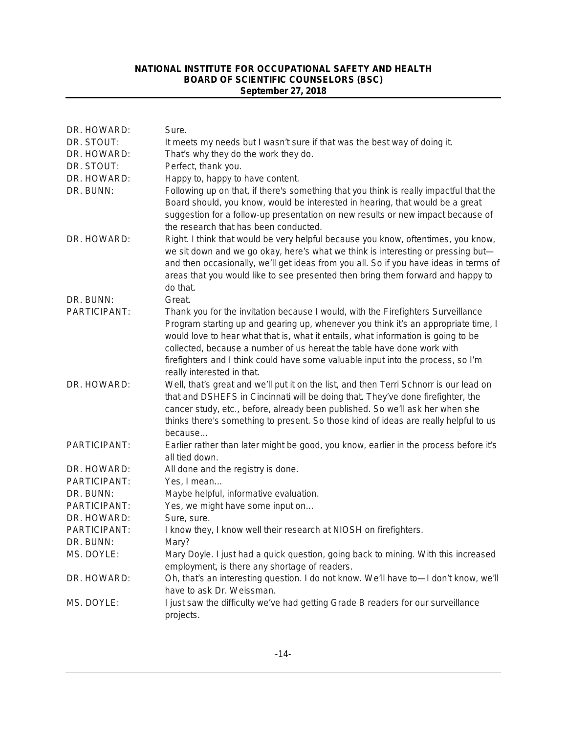| DR. HOWARD:         | Sure.                                                                                                                                                                                                                                                                                                                                                                                                                                                   |
|---------------------|---------------------------------------------------------------------------------------------------------------------------------------------------------------------------------------------------------------------------------------------------------------------------------------------------------------------------------------------------------------------------------------------------------------------------------------------------------|
| DR. STOUT:          | It meets my needs but I wasn't sure if that was the best way of doing it.                                                                                                                                                                                                                                                                                                                                                                               |
| DR. HOWARD:         | That's why they do the work they do.                                                                                                                                                                                                                                                                                                                                                                                                                    |
| DR. STOUT:          | Perfect, thank you.                                                                                                                                                                                                                                                                                                                                                                                                                                     |
| DR. HOWARD:         | Happy to, happy to have content.                                                                                                                                                                                                                                                                                                                                                                                                                        |
| DR. BUNN:           | Following up on that, if there's something that you think is really impactful that the<br>Board should, you know, would be interested in hearing, that would be a great<br>suggestion for a follow-up presentation on new results or new impact because of<br>the research that has been conducted.                                                                                                                                                     |
| DR. HOWARD:         | Right. I think that would be very helpful because you know, oftentimes, you know,<br>we sit down and we go okay, here's what we think is interesting or pressing but-<br>and then occasionally, we'll get ideas from you all. So if you have ideas in terms of<br>areas that you would like to see presented then bring them forward and happy to<br>do that.                                                                                           |
| DR. BUNN:           | Great.                                                                                                                                                                                                                                                                                                                                                                                                                                                  |
| <b>PARTICIPANT:</b> | Thank you for the invitation because I would, with the Firefighters Surveillance<br>Program starting up and gearing up, whenever you think it's an appropriate time, I<br>would love to hear what that is, what it entails, what information is going to be<br>collected, because a number of us hereat the table have done work with<br>firefighters and I think could have some valuable input into the process, so I'm<br>really interested in that. |
| DR. HOWARD:         | Well, that's great and we'll put it on the list, and then Terri Schnorr is our lead on<br>that and DSHEFS in Cincinnati will be doing that. They've done firefighter, the<br>cancer study, etc., before, already been published. So we'll ask her when she<br>thinks there's something to present. So those kind of ideas are really helpful to us<br>because                                                                                           |
| PARTICIPANT:        | Earlier rather than later might be good, you know, earlier in the process before it's<br>all tied down.                                                                                                                                                                                                                                                                                                                                                 |
| DR. HOWARD:         | All done and the registry is done.                                                                                                                                                                                                                                                                                                                                                                                                                      |
| PARTICIPANT:        | Yes, I mean                                                                                                                                                                                                                                                                                                                                                                                                                                             |
| DR. BUNN:           | Maybe helpful, informative evaluation.                                                                                                                                                                                                                                                                                                                                                                                                                  |
| <b>PARTICIPANT:</b> | Yes, we might have some input on                                                                                                                                                                                                                                                                                                                                                                                                                        |
| DR. HOWARD:         | Sure, sure.                                                                                                                                                                                                                                                                                                                                                                                                                                             |
| PARTICIPANT:        | I know they, I know well their research at NIOSH on firefighters.                                                                                                                                                                                                                                                                                                                                                                                       |
| DR. BUNN:           | Mary?                                                                                                                                                                                                                                                                                                                                                                                                                                                   |
| MS. DOYLE:          | Mary Doyle. I just had a quick question, going back to mining. With this increased<br>employment, is there any shortage of readers.                                                                                                                                                                                                                                                                                                                     |
| DR. HOWARD:         | Oh, that's an interesting question. I do not know. We'll have to-I don't know, we'll<br>have to ask Dr. Weissman.                                                                                                                                                                                                                                                                                                                                       |
| MS. DOYLE:          | I just saw the difficulty we've had getting Grade B readers for our surveillance<br>projects.                                                                                                                                                                                                                                                                                                                                                           |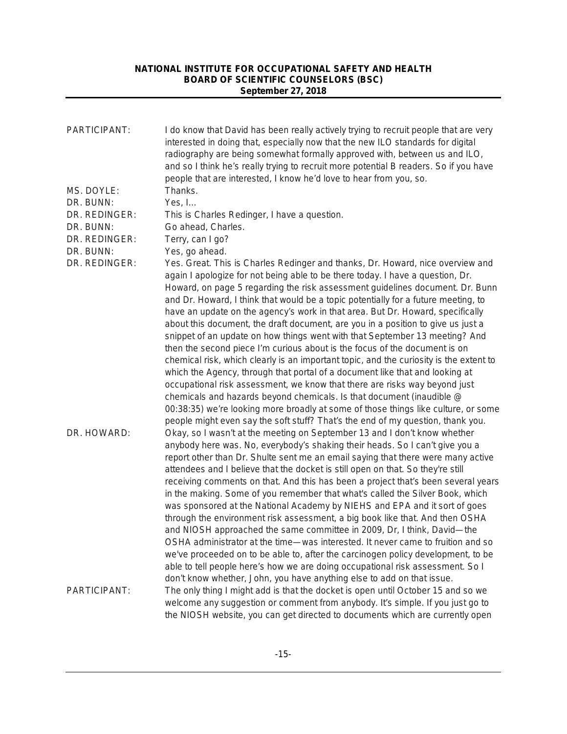| PARTICIPANT:                                          | I do know that David has been really actively trying to recruit people that are very<br>interested in doing that, especially now that the new ILO standards for digital<br>radiography are being somewhat formally approved with, between us and ILO,<br>and so I think he's really trying to recruit more potential B readers. So if you have<br>people that are interested, I know he'd love to hear from you, so.                                                                                                                                                                                                                                                                                                                                                                                                                                                                                                                                                                                                                                                                                                                                                                 |
|-------------------------------------------------------|--------------------------------------------------------------------------------------------------------------------------------------------------------------------------------------------------------------------------------------------------------------------------------------------------------------------------------------------------------------------------------------------------------------------------------------------------------------------------------------------------------------------------------------------------------------------------------------------------------------------------------------------------------------------------------------------------------------------------------------------------------------------------------------------------------------------------------------------------------------------------------------------------------------------------------------------------------------------------------------------------------------------------------------------------------------------------------------------------------------------------------------------------------------------------------------|
| MS. DOYLE:<br>DR. BUNN:<br>DR. REDINGER:<br>DR. BUNN: | Thanks.<br>Yes, I<br>This is Charles Redinger, I have a question.<br>Go ahead, Charles.                                                                                                                                                                                                                                                                                                                                                                                                                                                                                                                                                                                                                                                                                                                                                                                                                                                                                                                                                                                                                                                                                              |
| DR. REDINGER:<br>DR. BUNN:                            | Terry, can I go?<br>Yes, go ahead.                                                                                                                                                                                                                                                                                                                                                                                                                                                                                                                                                                                                                                                                                                                                                                                                                                                                                                                                                                                                                                                                                                                                                   |
| DR. REDINGER:                                         | Yes. Great. This is Charles Redinger and thanks, Dr. Howard, nice overview and<br>again I apologize for not being able to be there today. I have a question, Dr.<br>Howard, on page 5 regarding the risk assessment guidelines document. Dr. Bunn<br>and Dr. Howard, I think that would be a topic potentially for a future meeting, to<br>have an update on the agency's work in that area. But Dr. Howard, specifically<br>about this document, the draft document, are you in a position to give us just a<br>snippet of an update on how things went with that September 13 meeting? And<br>then the second piece I'm curious about is the focus of the document is on<br>chemical risk, which clearly is an important topic, and the curiosity is the extent to<br>which the Agency, through that portal of a document like that and looking at<br>occupational risk assessment, we know that there are risks way beyond just<br>chemicals and hazards beyond chemicals. Is that document (inaudible @<br>00:38:35) we're looking more broadly at some of those things like culture, or some<br>people might even say the soft stuff? That's the end of my question, thank you. |
| DR. HOWARD:                                           | Okay, so I wasn't at the meeting on September 13 and I don't know whether<br>anybody here was. No, everybody's shaking their heads. So I can't give you a<br>report other than Dr. Shulte sent me an email saying that there were many active<br>attendees and I believe that the docket is still open on that. So they're still<br>receiving comments on that. And this has been a project that's been several years<br>in the making. Some of you remember that what's called the Silver Book, which<br>was sponsored at the National Academy by NIEHS and EPA and it sort of goes<br>through the environment risk assessment, a big book like that. And then OSHA<br>and NIOSH approached the same committee in 2009, Dr, I think, David-the<br>OSHA administrator at the time—was interested. It never came to fruition and so<br>we've proceeded on to be able to, after the carcinogen policy development, to be<br>able to tell people here's how we are doing occupational risk assessment. So I<br>don't know whether, John, you have anything else to add on that issue.                                                                                                   |
| PARTICIPANT:                                          | The only thing I might add is that the docket is open until October 15 and so we<br>welcome any suggestion or comment from anybody. It's simple. If you just go to<br>the NIOSH website, you can get directed to documents which are currently open                                                                                                                                                                                                                                                                                                                                                                                                                                                                                                                                                                                                                                                                                                                                                                                                                                                                                                                                  |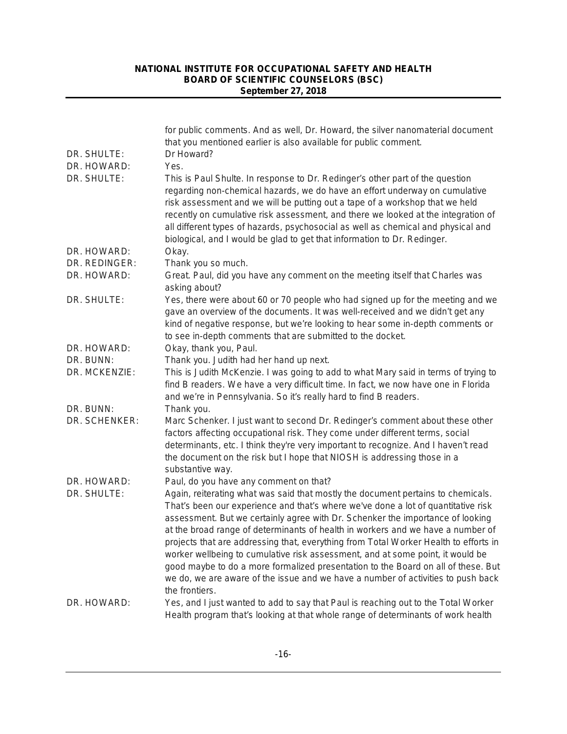|               | for public comments. And as well, Dr. Howard, the silver nanomaterial document<br>that you mentioned earlier is also available for public comment.                                                                                                                                                                                                                                                                                                                                                                                                                                                                                                                                                              |
|---------------|-----------------------------------------------------------------------------------------------------------------------------------------------------------------------------------------------------------------------------------------------------------------------------------------------------------------------------------------------------------------------------------------------------------------------------------------------------------------------------------------------------------------------------------------------------------------------------------------------------------------------------------------------------------------------------------------------------------------|
| DR. SHULTE:   | Dr Howard?                                                                                                                                                                                                                                                                                                                                                                                                                                                                                                                                                                                                                                                                                                      |
| DR. HOWARD:   | Yes.                                                                                                                                                                                                                                                                                                                                                                                                                                                                                                                                                                                                                                                                                                            |
| DR. SHULTE:   | This is Paul Shulte. In response to Dr. Redinger's other part of the question<br>regarding non-chemical hazards, we do have an effort underway on cumulative<br>risk assessment and we will be putting out a tape of a workshop that we held<br>recently on cumulative risk assessment, and there we looked at the integration of<br>all different types of hazards, psychosocial as well as chemical and physical and<br>biological, and I would be glad to get that information to Dr. Redinger.                                                                                                                                                                                                              |
| DR. HOWARD:   | Okay.                                                                                                                                                                                                                                                                                                                                                                                                                                                                                                                                                                                                                                                                                                           |
| DR. REDINGER: | Thank you so much.                                                                                                                                                                                                                                                                                                                                                                                                                                                                                                                                                                                                                                                                                              |
| DR. HOWARD:   | Great. Paul, did you have any comment on the meeting itself that Charles was<br>asking about?                                                                                                                                                                                                                                                                                                                                                                                                                                                                                                                                                                                                                   |
| DR. SHULTE:   | Yes, there were about 60 or 70 people who had signed up for the meeting and we<br>gave an overview of the documents. It was well-received and we didn't get any<br>kind of negative response, but we're looking to hear some in-depth comments or<br>to see in-depth comments that are submitted to the docket.                                                                                                                                                                                                                                                                                                                                                                                                 |
| DR. HOWARD:   | Okay, thank you, Paul.                                                                                                                                                                                                                                                                                                                                                                                                                                                                                                                                                                                                                                                                                          |
| DR. BUNN:     | Thank you. Judith had her hand up next.                                                                                                                                                                                                                                                                                                                                                                                                                                                                                                                                                                                                                                                                         |
| DR. MCKENZIE: | This is Judith McKenzie. I was going to add to what Mary said in terms of trying to<br>find B readers. We have a very difficult time. In fact, we now have one in Florida<br>and we're in Pennsylvania. So it's really hard to find B readers.                                                                                                                                                                                                                                                                                                                                                                                                                                                                  |
| DR. BUNN:     | Thank you.                                                                                                                                                                                                                                                                                                                                                                                                                                                                                                                                                                                                                                                                                                      |
| DR. SCHENKER: | Marc Schenker. I just want to second Dr. Redinger's comment about these other<br>factors affecting occupational risk. They come under different terms, social<br>determinants, etc. I think they're very important to recognize. And I haven't read<br>the document on the risk but I hope that NIOSH is addressing those in a<br>substantive way.                                                                                                                                                                                                                                                                                                                                                              |
| DR. HOWARD:   | Paul, do you have any comment on that?                                                                                                                                                                                                                                                                                                                                                                                                                                                                                                                                                                                                                                                                          |
| DR. SHULTE:   | Again, reiterating what was said that mostly the document pertains to chemicals.<br>That's been our experience and that's where we've done a lot of quantitative risk<br>assessment. But we certainly agree with Dr. Schenker the importance of looking<br>at the broad range of determinants of health in workers and we have a number of<br>projects that are addressing that, everything from Total Worker Health to efforts in<br>worker wellbeing to cumulative risk assessment, and at some point, it would be<br>good maybe to do a more formalized presentation to the Board on all of these. But<br>we do, we are aware of the issue and we have a number of activities to push back<br>the frontiers. |
| DR. HOWARD:   | Yes, and I just wanted to add to say that Paul is reaching out to the Total Worker<br>Health program that's looking at that whole range of determinants of work health                                                                                                                                                                                                                                                                                                                                                                                                                                                                                                                                          |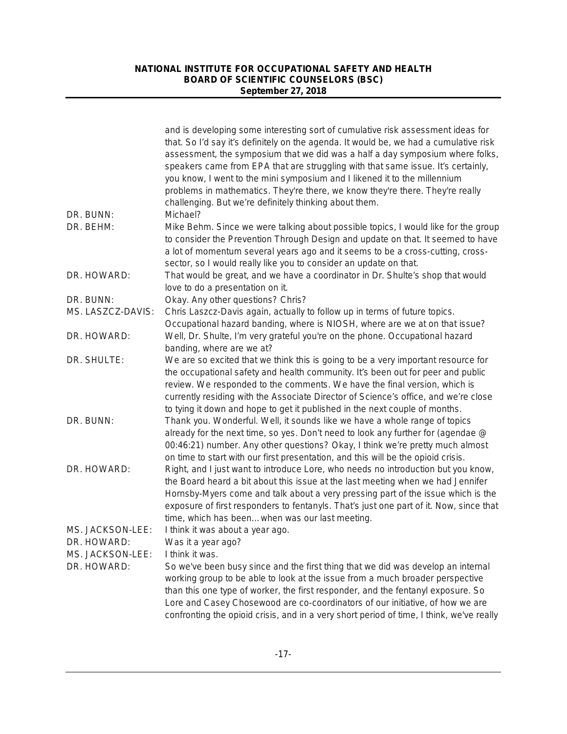| DR. BUNN:         | and is developing some interesting sort of cumulative risk assessment ideas for<br>that. So I'd say it's definitely on the agenda. It would be, we had a cumulative risk<br>assessment, the symposium that we did was a half a day symposium where folks,<br>speakers came from EPA that are struggling with that same issue. It's certainly,<br>you know, I went to the mini symposium and I likened it to the millennium<br>problems in mathematics. They're there, we know they're there. They're really<br>challenging. But we're definitely thinking about them.<br>Michael? |
|-------------------|-----------------------------------------------------------------------------------------------------------------------------------------------------------------------------------------------------------------------------------------------------------------------------------------------------------------------------------------------------------------------------------------------------------------------------------------------------------------------------------------------------------------------------------------------------------------------------------|
| DR. BEHM:         | Mike Behm. Since we were talking about possible topics, I would like for the group                                                                                                                                                                                                                                                                                                                                                                                                                                                                                                |
|                   | to consider the Prevention Through Design and update on that. It seemed to have<br>a lot of momentum several years ago and it seems to be a cross-cutting, cross-<br>sector, so I would really like you to consider an update on that.                                                                                                                                                                                                                                                                                                                                            |
| DR. HOWARD:       | That would be great, and we have a coordinator in Dr. Shulte's shop that would<br>love to do a presentation on it.                                                                                                                                                                                                                                                                                                                                                                                                                                                                |
| DR. BUNN:         | Okay. Any other questions? Chris?                                                                                                                                                                                                                                                                                                                                                                                                                                                                                                                                                 |
| MS. LASZCZ-DAVIS: | Chris Laszcz-Davis again, actually to follow up in terms of future topics.<br>Occupational hazard banding, where is NIOSH, where are we at on that issue?                                                                                                                                                                                                                                                                                                                                                                                                                         |
| DR. HOWARD:       | Well, Dr. Shulte, I'm very grateful you're on the phone. Occupational hazard<br>banding, where are we at?                                                                                                                                                                                                                                                                                                                                                                                                                                                                         |
| DR. SHULTE:       | We are so excited that we think this is going to be a very important resource for<br>the occupational safety and health community. It's been out for peer and public<br>review. We responded to the comments. We have the final version, which is<br>currently residing with the Associate Director of Science's office, and we're close<br>to tying it down and hope to get it published in the next couple of months.                                                                                                                                                           |
| DR. BUNN:         | Thank you. Wonderful. Well, it sounds like we have a whole range of topics<br>already for the next time, so yes. Don't need to look any further for (agendae @<br>00:46:21) number. Any other questions? Okay, I think we're pretty much almost<br>on time to start with our first presentation, and this will be the opioid crisis.                                                                                                                                                                                                                                              |
| DR. HOWARD:       | Right, and I just want to introduce Lore, who needs no introduction but you know,<br>the Board heard a bit about this issue at the last meeting when we had Jennifer<br>Hornsby-Myers come and talk about a very pressing part of the issue which is the<br>exposure of first responders to fentanyls. That's just one part of it. Now, since that<br>time, which has beenwhen was our last meeting.                                                                                                                                                                              |
| MS. JACKSON-LEE:  | I think it was about a year ago.                                                                                                                                                                                                                                                                                                                                                                                                                                                                                                                                                  |
| DR. HOWARD:       | Was it a year ago?                                                                                                                                                                                                                                                                                                                                                                                                                                                                                                                                                                |
| MS. JACKSON-LEE:  | I think it was.                                                                                                                                                                                                                                                                                                                                                                                                                                                                                                                                                                   |
| DR. HOWARD:       | So we've been busy since and the first thing that we did was develop an internal<br>working group to be able to look at the issue from a much broader perspective<br>than this one type of worker, the first responder, and the fentanyl exposure. So<br>Lore and Casey Chosewood are co-coordinators of our initiative, of how we are<br>confronting the opioid crisis, and in a very short period of time, I think, we've really                                                                                                                                                |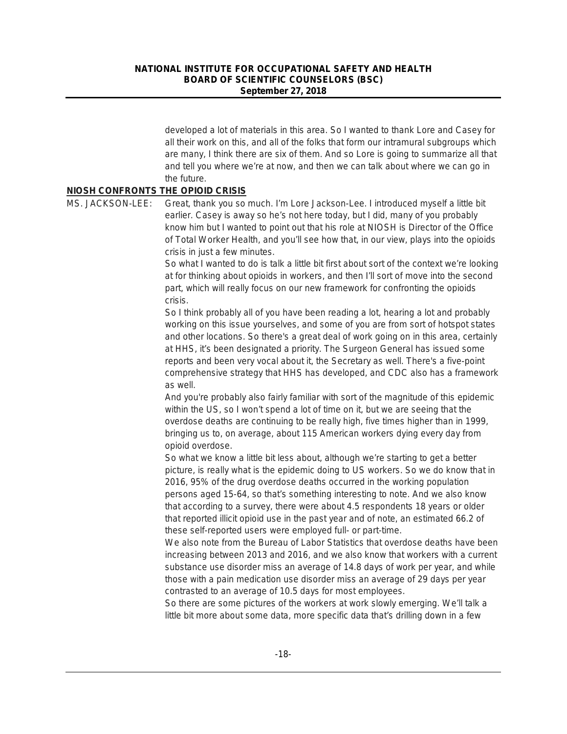developed a lot of materials in this area. So I wanted to thank Lore and Casey for all their work on this, and all of the folks that form our intramural subgroups which are many, I think there are six of them. And so Lore is going to summarize all that and tell you where we're at now, and then we can talk about where we can go in the future.

### **NIOSH CONFRONTS THE OPIOID CRISIS**

MS. JACKSON-LEE: Great, thank you so much. I'm Lore Jackson-Lee. I introduced myself a little bit earlier. Casey is away so he's not here today, but I did, many of you probably know him but I wanted to point out that his role at NIOSH is Director of the Office of Total Worker Health, and you'll see how that, in our view, plays into the opioids crisis in just a few minutes.

> So what I wanted to do is talk a little bit first about sort of the context we're looking at for thinking about opioids in workers, and then I'll sort of move into the second part, which will really focus on our new framework for confronting the opioids crisis.

> So I think probably all of you have been reading a lot, hearing a lot and probably working on this issue yourselves, and some of you are from sort of hotspot states and other locations. So there's a great deal of work going on in this area, certainly at HHS, it's been designated a priority. The Surgeon General has issued some reports and been very vocal about it, the Secretary as well. There's a five-point comprehensive strategy that HHS has developed, and CDC also has a framework as well.

And you're probably also fairly familiar with sort of the magnitude of this epidemic within the US, so I won't spend a lot of time on it, but we are seeing that the overdose deaths are continuing to be really high, five times higher than in 1999, bringing us to, on average, about 115 American workers dying every day from opioid overdose.

So what we know a little bit less about, although we're starting to get a better picture, is really what is the epidemic doing to US workers. So we do know that in 2016, 95% of the drug overdose deaths occurred in the working population persons aged 15-64, so that's something interesting to note. And we also know that according to a survey, there were about 4.5 respondents 18 years or older that reported illicit opioid use in the past year and of note, an estimated 66.2 of these self-reported users were employed full- or part-time.

We also note from the Bureau of Labor Statistics that overdose deaths have been increasing between 2013 and 2016, and we also know that workers with a current substance use disorder miss an average of 14.8 days of work per year, and while those with a pain medication use disorder miss an average of 29 days per year contrasted to an average of 10.5 days for most employees.

So there are some pictures of the workers at work slowly emerging. We'll talk a little bit more about some data, more specific data that's drilling down in a few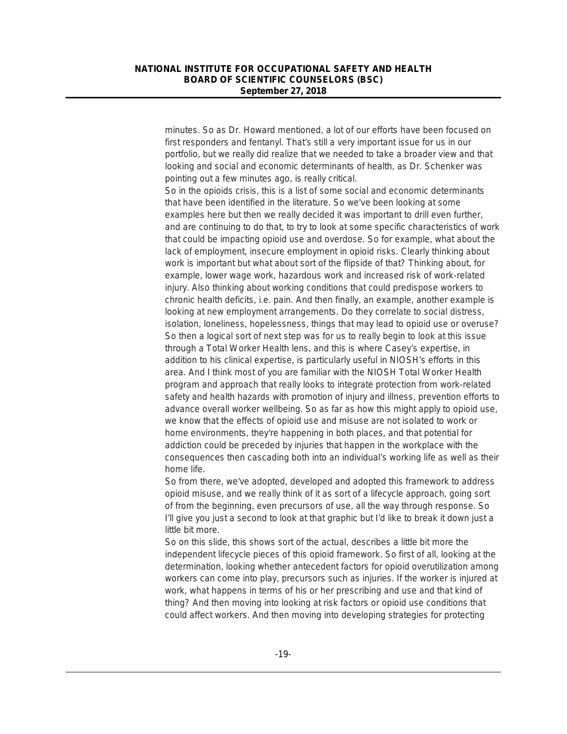minutes. So as Dr. Howard mentioned, a lot of our efforts have been focused on first responders and fentanyl. That's still a very important issue for us in our portfolio, but we really did realize that we needed to take a broader view and that looking and social and economic determinants of health, as Dr. Schenker was pointing out a few minutes ago, is really critical.

So in the opioids crisis, this is a list of some social and economic determinants that have been identified in the literature. So we've been looking at some examples here but then we really decided it was important to drill even further, and are continuing to do that, to try to look at some specific characteristics of work that could be impacting opioid use and overdose. So for example, what about the lack of employment, insecure employment in opioid risks. Clearly thinking about work is important but what about sort of the flipside of that? Thinking about, for example, lower wage work, hazardous work and increased risk of work-related injury. Also thinking about working conditions that could predispose workers to chronic health deficits, i.e. pain. And then finally, an example, another example is looking at new employment arrangements. Do they correlate to social distress, isolation, loneliness, hopelessness, things that may lead to opioid use or overuse? So then a logical sort of next step was for us to really begin to look at this issue through a Total Worker Health lens, and this is where Casey's expertise, in addition to his clinical expertise, is particularly useful in NIOSH's efforts in this area. And I think most of you are familiar with the NIOSH Total Worker Health program and approach that really looks to integrate protection from work-related safety and health hazards with promotion of injury and illness, prevention efforts to advance overall worker wellbeing. So as far as how this might apply to opioid use, we know that the effects of opioid use and misuse are not isolated to work or home environments, they're happening in both places, and that potential for addiction could be preceded by injuries that happen in the workplace with the consequences then cascading both into an individual's working life as well as their home life.

So from there, we've adopted, developed and adopted this framework to address opioid misuse, and we really think of it as sort of a lifecycle approach, going sort of from the beginning, even precursors of use, all the way through response. So I'll give you just a second to look at that graphic but I'd like to break it down just a little bit more.

So on this slide, this shows sort of the actual, describes a little bit more the independent lifecycle pieces of this opioid framework. So first of all, looking at the determination, looking whether antecedent factors for opioid overutilization among workers can come into play, precursors such as injuries. If the worker is injured at work, what happens in terms of his or her prescribing and use and that kind of thing? And then moving into looking at risk factors or opioid use conditions that could affect workers. And then moving into developing strategies for protecting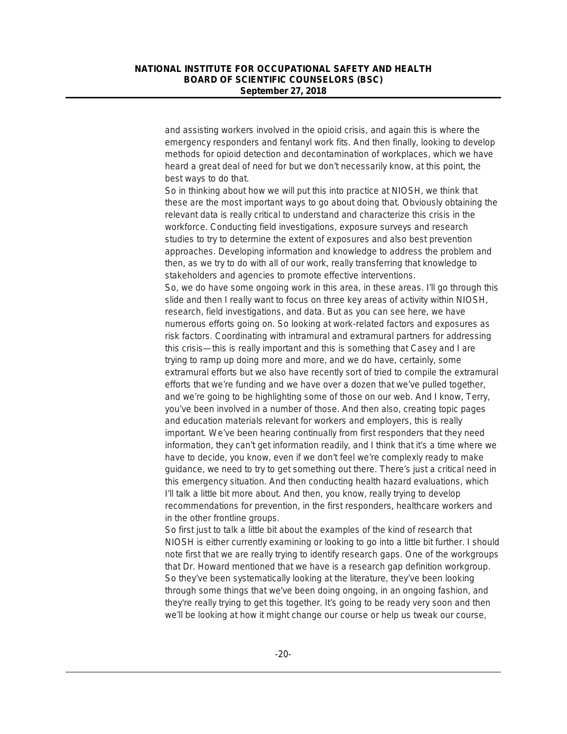and assisting workers involved in the opioid crisis, and again this is where the emergency responders and fentanyl work fits. And then finally, looking to develop methods for opioid detection and decontamination of workplaces, which we have heard a great deal of need for but we don't necessarily know, at this point, the best ways to do that.

So in thinking about how we will put this into practice at NIOSH, we think that these are the most important ways to go about doing that. Obviously obtaining the relevant data is really critical to understand and characterize this crisis in the workforce. Conducting field investigations, exposure surveys and research studies to try to determine the extent of exposures and also best prevention approaches. Developing information and knowledge to address the problem and then, as we try to do with all of our work, really transferring that knowledge to stakeholders and agencies to promote effective interventions.

So, we do have some ongoing work in this area, in these areas. I'll go through this slide and then I really want to focus on three key areas of activity within NIOSH, research, field investigations, and data. But as you can see here, we have numerous efforts going on. So looking at work-related factors and exposures as risk factors. Coordinating with intramural and extramural partners for addressing this crisis—this is really important and this is something that Casey and I are trying to ramp up doing more and more, and we do have, certainly, some extramural efforts but we also have recently sort of tried to compile the extramural efforts that we're funding and we have over a dozen that we've pulled together, and we're going to be highlighting some of those on our web. And I know, Terry, you've been involved in a number of those. And then also, creating topic pages and education materials relevant for workers and employers, this is really important. We've been hearing continually from first responders that they need information, they can't get information readily, and I think that it's a time where we have to decide, you know, even if we don't feel we're complexly ready to make guidance, we need to try to get something out there. There's just a critical need in this emergency situation. And then conducting health hazard evaluations, which I'll talk a little bit more about. And then, you know, really trying to develop recommendations for prevention, in the first responders, healthcare workers and in the other frontline groups.

So first just to talk a little bit about the examples of the kind of research that NIOSH is either currently examining or looking to go into a little bit further. I should note first that we are really trying to identify research gaps. One of the workgroups that Dr. Howard mentioned that we have is a research gap definition workgroup. So they've been systematically looking at the literature, they've been looking through some things that we've been doing ongoing, in an ongoing fashion, and they're really trying to get this together. It's going to be ready very soon and then we'll be looking at how it might change our course or help us tweak our course,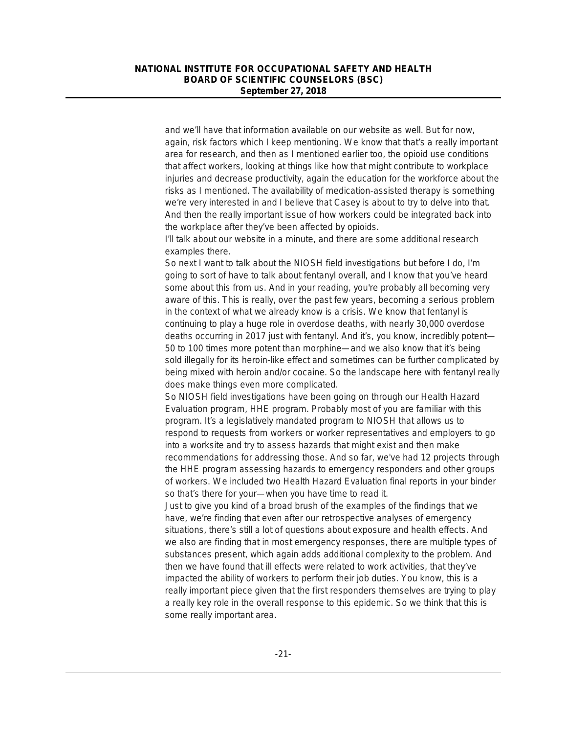and we'll have that information available on our website as well. But for now, again, risk factors which I keep mentioning. We know that that's a really important area for research, and then as I mentioned earlier too, the opioid use conditions that affect workers, looking at things like how that might contribute to workplace injuries and decrease productivity, again the education for the workforce about the risks as I mentioned. The availability of medication-assisted therapy is something we're very interested in and I believe that Casey is about to try to delve into that. And then the really important issue of how workers could be integrated back into the workplace after they've been affected by opioids.

I'll talk about our website in a minute, and there are some additional research examples there.

So next I want to talk about the NIOSH field investigations but before I do, I'm going to sort of have to talk about fentanyl overall, and I know that you've heard some about this from us. And in your reading, you're probably all becoming very aware of this. This is really, over the past few years, becoming a serious problem in the context of what we already know is a crisis. We know that fentanyl is continuing to play a huge role in overdose deaths, with nearly 30,000 overdose deaths occurring in 2017 just with fentanyl. And it's, you know, incredibly potent— 50 to 100 times more potent than morphine—and we also know that it's being sold illegally for its heroin-like effect and sometimes can be further complicated by being mixed with heroin and/or cocaine. So the landscape here with fentanyl really does make things even more complicated.

So NIOSH field investigations have been going on through our Health Hazard Evaluation program, HHE program. Probably most of you are familiar with this program. It's a legislatively mandated program to NIOSH that allows us to respond to requests from workers or worker representatives and employers to go into a worksite and try to assess hazards that might exist and then make recommendations for addressing those. And so far, we've had 12 projects through the HHE program assessing hazards to emergency responders and other groups of workers. We included two Health Hazard Evaluation final reports in your binder so that's there for your—when you have time to read it.

Just to give you kind of a broad brush of the examples of the findings that we have, we're finding that even after our retrospective analyses of emergency situations, there's still a lot of questions about exposure and health effects. And we also are finding that in most emergency responses, there are multiple types of substances present, which again adds additional complexity to the problem. And then we have found that ill effects were related to work activities, that they've impacted the ability of workers to perform their job duties. You know, this is a really important piece given that the first responders themselves are trying to play a really key role in the overall response to this epidemic. So we think that this is some really important area.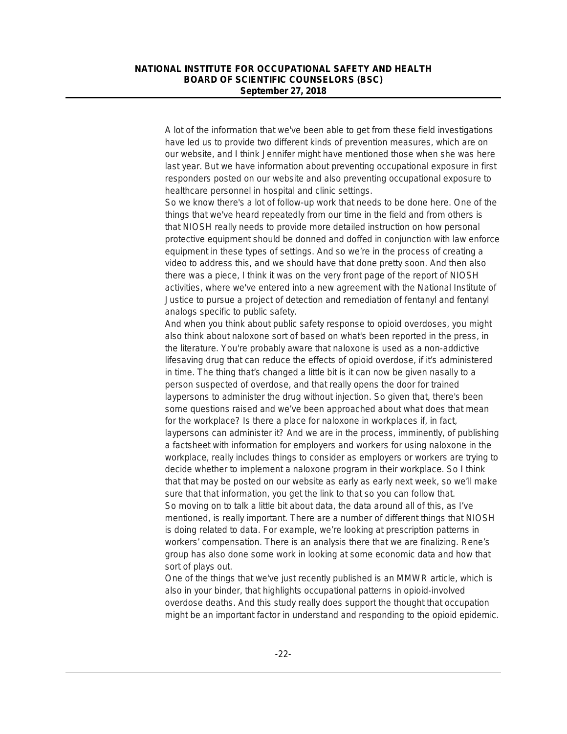A lot of the information that we've been able to get from these field investigations have led us to provide two different kinds of prevention measures, which are on our website, and I think Jennifer might have mentioned those when she was here last year. But we have information about preventing occupational exposure in first responders posted on our website and also preventing occupational exposure to healthcare personnel in hospital and clinic settings.

So we know there's a lot of follow-up work that needs to be done here. One of the things that we've heard repeatedly from our time in the field and from others is that NIOSH really needs to provide more detailed instruction on how personal protective equipment should be donned and doffed in conjunction with law enforce equipment in these types of settings. And so we're in the process of creating a video to address this, and we should have that done pretty soon. And then also there was a piece, I think it was on the very front page of the report of NIOSH activities, where we've entered into a new agreement with the National Institute of Justice to pursue a project of detection and remediation of fentanyl and fentanyl analogs specific to public safety.

And when you think about public safety response to opioid overdoses, you might also think about naloxone sort of based on what's been reported in the press, in the literature. You're probably aware that naloxone is used as a non-addictive lifesaving drug that can reduce the effects of opioid overdose, if it's administered in time. The thing that's changed a little bit is it can now be given nasally to a person suspected of overdose, and that really opens the door for trained laypersons to administer the drug without injection. So given that, there's been some questions raised and we've been approached about what does that mean for the workplace? Is there a place for naloxone in workplaces if, in fact, laypersons can administer it? And we are in the process, imminently, of publishing a factsheet with information for employers and workers for using naloxone in the workplace, really includes things to consider as employers or workers are trying to decide whether to implement a naloxone program in their workplace. So I think that that may be posted on our website as early as early next week, so we'll make sure that that information, you get the link to that so you can follow that. So moving on to talk a little bit about data, the data around all of this, as I've mentioned, is really important. There are a number of different things that NIOSH is doing related to data. For example, we're looking at prescription patterns in workers' compensation. There is an analysis there that we are finalizing. Rene's group has also done some work in looking at some economic data and how that sort of plays out.

One of the things that we've just recently published is an MMWR article, which is also in your binder, that highlights occupational patterns in opioid-involved overdose deaths. And this study really does support the thought that occupation might be an important factor in understand and responding to the opioid epidemic.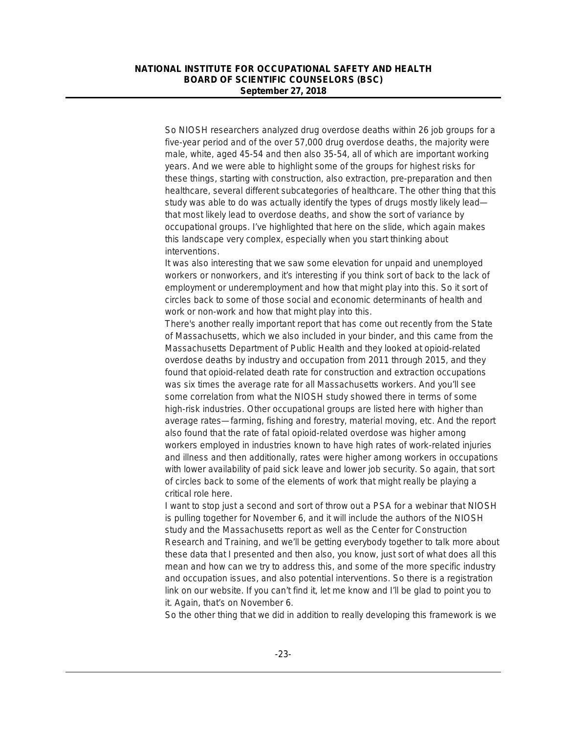So NIOSH researchers analyzed drug overdose deaths within 26 job groups for a five-year period and of the over 57,000 drug overdose deaths, the majority were male, white, aged 45-54 and then also 35-54, all of which are important working years. And we were able to highlight some of the groups for highest risks for these things, starting with construction, also extraction, pre-preparation and then healthcare, several different subcategories of healthcare. The other thing that this study was able to do was actually identify the types of drugs mostly likely lead that most likely lead to overdose deaths, and show the sort of variance by occupational groups. I've highlighted that here on the slide, which again makes this landscape very complex, especially when you start thinking about interventions.

It was also interesting that we saw some elevation for unpaid and unemployed workers or nonworkers, and it's interesting if you think sort of back to the lack of employment or underemployment and how that might play into this. So it sort of circles back to some of those social and economic determinants of health and work or non-work and how that might play into this.

There's another really important report that has come out recently from the State of Massachusetts, which we also included in your binder, and this came from the Massachusetts Department of Public Health and they looked at opioid-related overdose deaths by industry and occupation from 2011 through 2015, and they found that opioid-related death rate for construction and extraction occupations was six times the average rate for all Massachusetts workers. And you'll see some correlation from what the NIOSH study showed there in terms of some high-risk industries. Other occupational groups are listed here with higher than average rates—farming, fishing and forestry, material moving, etc. And the report also found that the rate of fatal opioid-related overdose was higher among workers employed in industries known to have high rates of work-related injuries and illness and then additionally, rates were higher among workers in occupations with lower availability of paid sick leave and lower job security. So again, that sort of circles back to some of the elements of work that might really be playing a critical role here.

I want to stop just a second and sort of throw out a PSA for a webinar that NIOSH is pulling together for November 6, and it will include the authors of the NIOSH study and the Massachusetts report as well as the Center for Construction Research and Training, and we'll be getting everybody together to talk more about these data that I presented and then also, you know, just sort of what does all this mean and how can we try to address this, and some of the more specific industry and occupation issues, and also potential interventions. So there is a registration link on our website. If you can't find it, let me know and I'll be glad to point you to it. Again, that's on November 6.

So the other thing that we did in addition to really developing this framework is we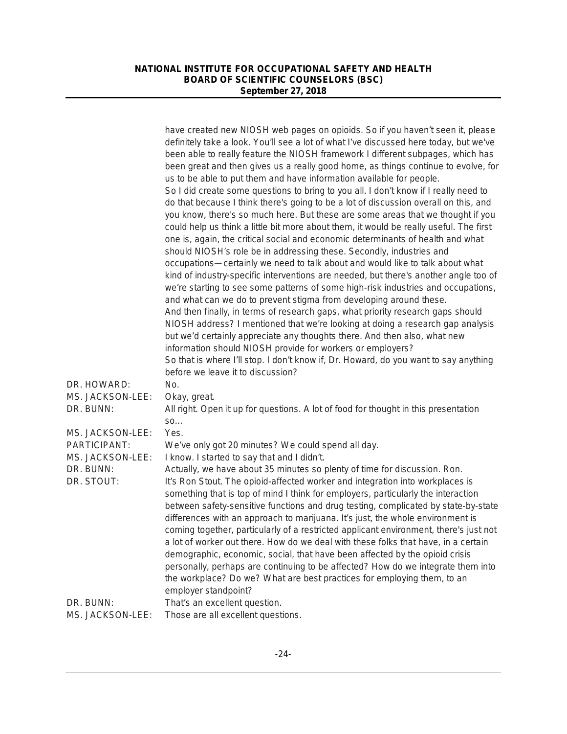|                               | have created new NIOSH web pages on opioids. So if you haven't seen it, please<br>definitely take a look. You'll see a lot of what I've discussed here today, but we've<br>been able to really feature the NIOSH framework I different subpages, which has<br>been great and then gives us a really good home, as things continue to evolve, for<br>us to be able to put them and have information available for people.<br>So I did create some questions to bring to you all. I don't know if I really need to<br>do that because I think there's going to be a lot of discussion overall on this, and<br>you know, there's so much here. But these are some areas that we thought if you<br>could help us think a little bit more about them, it would be really useful. The first<br>one is, again, the critical social and economic determinants of health and what<br>should NIOSH's role be in addressing these. Secondly, industries and<br>occupations-certainly we need to talk about and would like to talk about what<br>kind of industry-specific interventions are needed, but there's another angle too of<br>we're starting to see some patterns of some high-risk industries and occupations, |
|-------------------------------|----------------------------------------------------------------------------------------------------------------------------------------------------------------------------------------------------------------------------------------------------------------------------------------------------------------------------------------------------------------------------------------------------------------------------------------------------------------------------------------------------------------------------------------------------------------------------------------------------------------------------------------------------------------------------------------------------------------------------------------------------------------------------------------------------------------------------------------------------------------------------------------------------------------------------------------------------------------------------------------------------------------------------------------------------------------------------------------------------------------------------------------------------------------------------------------------------------------|
|                               | and what can we do to prevent stigma from developing around these.<br>And then finally, in terms of research gaps, what priority research gaps should<br>NIOSH address? I mentioned that we're looking at doing a research gap analysis<br>but we'd certainly appreciate any thoughts there. And then also, what new<br>information should NIOSH provide for workers or employers?<br>So that is where I'll stop. I don't know if, Dr. Howard, do you want to say anything<br>before we leave it to discussion?                                                                                                                                                                                                                                                                                                                                                                                                                                                                                                                                                                                                                                                                                                |
| DR. HOWARD:                   | No.                                                                                                                                                                                                                                                                                                                                                                                                                                                                                                                                                                                                                                                                                                                                                                                                                                                                                                                                                                                                                                                                                                                                                                                                            |
| MS. JACKSON-LEE:              | Okay, great.                                                                                                                                                                                                                                                                                                                                                                                                                                                                                                                                                                                                                                                                                                                                                                                                                                                                                                                                                                                                                                                                                                                                                                                                   |
| DR. BUNN:                     | All right. Open it up for questions. A lot of food for thought in this presentation                                                                                                                                                                                                                                                                                                                                                                                                                                                                                                                                                                                                                                                                                                                                                                                                                                                                                                                                                                                                                                                                                                                            |
| MS. JACKSON-LEE:              | SO<br>Yes.                                                                                                                                                                                                                                                                                                                                                                                                                                                                                                                                                                                                                                                                                                                                                                                                                                                                                                                                                                                                                                                                                                                                                                                                     |
| PARTICIPANT:                  | We've only got 20 minutes? We could spend all day.                                                                                                                                                                                                                                                                                                                                                                                                                                                                                                                                                                                                                                                                                                                                                                                                                                                                                                                                                                                                                                                                                                                                                             |
| MS. JACKSON-LEE:              | I know. I started to say that and I didn't.                                                                                                                                                                                                                                                                                                                                                                                                                                                                                                                                                                                                                                                                                                                                                                                                                                                                                                                                                                                                                                                                                                                                                                    |
| DR. BUNN:<br>DR. STOUT:       | Actually, we have about 35 minutes so plenty of time for discussion. Ron.<br>It's Ron Stout. The opioid-affected worker and integration into workplaces is                                                                                                                                                                                                                                                                                                                                                                                                                                                                                                                                                                                                                                                                                                                                                                                                                                                                                                                                                                                                                                                     |
|                               | something that is top of mind I think for employers, particularly the interaction<br>between safety-sensitive functions and drug testing, complicated by state-by-state<br>differences with an approach to marijuana. It's just, the whole environment is<br>coming together, particularly of a restricted applicant environment, there's just not<br>a lot of worker out there. How do we deal with these folks that have, in a certain<br>demographic, economic, social, that have been affected by the opioid crisis<br>personally, perhaps are continuing to be affected? How do we integrate them into<br>the workplace? Do we? What are best practices for employing them, to an<br>employer standpoint?                                                                                                                                                                                                                                                                                                                                                                                                                                                                                                 |
| DR. BUNN:<br>MS. JACKSON-LEE: | That's an excellent question.<br>Those are all excellent questions.                                                                                                                                                                                                                                                                                                                                                                                                                                                                                                                                                                                                                                                                                                                                                                                                                                                                                                                                                                                                                                                                                                                                            |
|                               |                                                                                                                                                                                                                                                                                                                                                                                                                                                                                                                                                                                                                                                                                                                                                                                                                                                                                                                                                                                                                                                                                                                                                                                                                |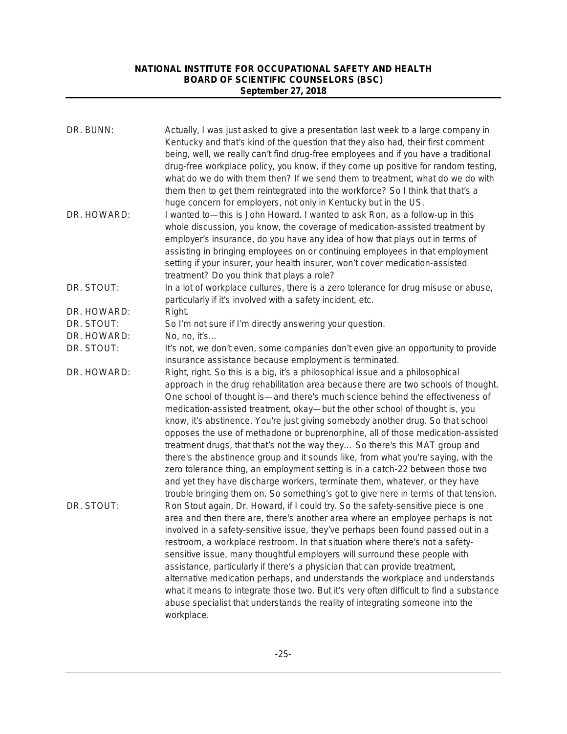| DR. BUNN:   | Actually, I was just asked to give a presentation last week to a large company in<br>Kentucky and that's kind of the question that they also had, their first comment<br>being, well, we really can't find drug-free employees and if you have a traditional<br>drug-free workplace policy, you know, if they come up positive for random testing,<br>what do we do with them then? If we send them to treatment, what do we do with<br>them then to get them reintegrated into the workforce? So I think that that's a<br>huge concern for employers, not only in Kentucky but in the US.                                                                                                                                                                                                                                                                                                                                              |
|-------------|-----------------------------------------------------------------------------------------------------------------------------------------------------------------------------------------------------------------------------------------------------------------------------------------------------------------------------------------------------------------------------------------------------------------------------------------------------------------------------------------------------------------------------------------------------------------------------------------------------------------------------------------------------------------------------------------------------------------------------------------------------------------------------------------------------------------------------------------------------------------------------------------------------------------------------------------|
| DR. HOWARD: | I wanted to—this is John Howard. I wanted to ask Ron, as a follow-up in this<br>whole discussion, you know, the coverage of medication-assisted treatment by<br>employer's insurance, do you have any idea of how that plays out in terms of<br>assisting in bringing employees on or continuing employees in that employment<br>setting if your insurer, your health insurer, won't cover medication-assisted<br>treatment? Do you think that plays a role?                                                                                                                                                                                                                                                                                                                                                                                                                                                                            |
| DR. STOUT:  | In a lot of workplace cultures, there is a zero tolerance for drug misuse or abuse,<br>particularly if it's involved with a safety incident, etc.                                                                                                                                                                                                                                                                                                                                                                                                                                                                                                                                                                                                                                                                                                                                                                                       |
| DR. HOWARD: | Right.                                                                                                                                                                                                                                                                                                                                                                                                                                                                                                                                                                                                                                                                                                                                                                                                                                                                                                                                  |
| DR. STOUT:  | So I'm not sure if I'm directly answering your question.                                                                                                                                                                                                                                                                                                                                                                                                                                                                                                                                                                                                                                                                                                                                                                                                                                                                                |
| DR. HOWARD: | No, no, it's                                                                                                                                                                                                                                                                                                                                                                                                                                                                                                                                                                                                                                                                                                                                                                                                                                                                                                                            |
| DR. STOUT:  | It's not, we don't even, some companies don't even give an opportunity to provide<br>insurance assistance because employment is terminated.                                                                                                                                                                                                                                                                                                                                                                                                                                                                                                                                                                                                                                                                                                                                                                                             |
| DR. HOWARD: | Right, right. So this is a big, it's a philosophical issue and a philosophical<br>approach in the drug rehabilitation area because there are two schools of thought.<br>One school of thought is-and there's much science behind the effectiveness of<br>medication-assisted treatment, okay-but the other school of thought is, you<br>know, it's abstinence. You're just giving somebody another drug. So that school<br>opposes the use of methadone or buprenorphine, all of those medication-assisted<br>treatment drugs, that that's not the way they So there's this MAT group and<br>there's the abstinence group and it sounds like, from what you're saying, with the<br>zero tolerance thing, an employment setting is in a catch-22 between those two<br>and yet they have discharge workers, terminate them, whatever, or they have<br>trouble bringing them on. So something's got to give here in terms of that tension. |
| DR. STOUT:  | Ron Stout again, Dr. Howard, if I could try. So the safety-sensitive piece is one<br>area and then there are, there's another area where an employee perhaps is not<br>involved in a safety-sensitive issue, they've perhaps been found passed out in a<br>restroom, a workplace restroom. In that situation where there's not a safety-<br>sensitive issue, many thoughtful employers will surround these people with<br>assistance, particularly if there's a physician that can provide treatment,<br>alternative medication perhaps, and understands the workplace and understands<br>what it means to integrate those two. But it's very often difficult to find a substance<br>abuse specialist that understands the reality of integrating someone into the<br>workplace.                                                                                                                                                        |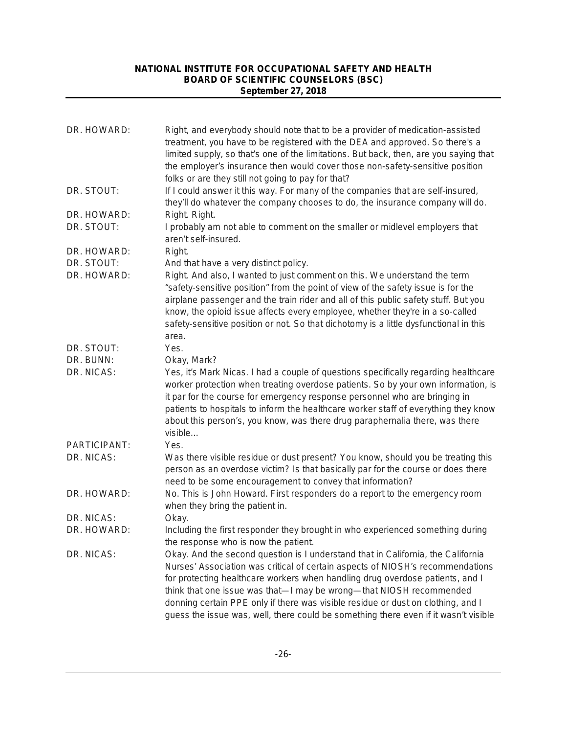| DR. HOWARD:  | Right, and everybody should note that to be a provider of medication-assisted<br>treatment, you have to be registered with the DEA and approved. So there's a<br>limited supply, so that's one of the limitations. But back, then, are you saying that<br>the employer's insurance then would cover those non-safety-sensitive position<br>folks or are they still not going to pay for that?                                                                                                         |
|--------------|-------------------------------------------------------------------------------------------------------------------------------------------------------------------------------------------------------------------------------------------------------------------------------------------------------------------------------------------------------------------------------------------------------------------------------------------------------------------------------------------------------|
| DR. STOUT:   | If I could answer it this way. For many of the companies that are self-insured,<br>they'll do whatever the company chooses to do, the insurance company will do.                                                                                                                                                                                                                                                                                                                                      |
| DR. HOWARD:  | Right. Right.                                                                                                                                                                                                                                                                                                                                                                                                                                                                                         |
| DR. STOUT:   | I probably am not able to comment on the smaller or midlevel employers that<br>aren't self-insured.                                                                                                                                                                                                                                                                                                                                                                                                   |
| DR. HOWARD:  | Right.                                                                                                                                                                                                                                                                                                                                                                                                                                                                                                |
| DR. STOUT:   | And that have a very distinct policy.                                                                                                                                                                                                                                                                                                                                                                                                                                                                 |
| DR. HOWARD:  | Right. And also, I wanted to just comment on this. We understand the term<br>"safety-sensitive position" from the point of view of the safety issue is for the<br>airplane passenger and the train rider and all of this public safety stuff. But you<br>know, the opioid issue affects every employee, whether they're in a so-called<br>safety-sensitive position or not. So that dichotomy is a little dysfunctional in this<br>area.                                                              |
| DR. STOUT:   | Yes.                                                                                                                                                                                                                                                                                                                                                                                                                                                                                                  |
| DR. BUNN:    | Okay, Mark?                                                                                                                                                                                                                                                                                                                                                                                                                                                                                           |
| DR. NICAS:   | Yes, it's Mark Nicas. I had a couple of questions specifically regarding healthcare<br>worker protection when treating overdose patients. So by your own information, is<br>it par for the course for emergency response personnel who are bringing in<br>patients to hospitals to inform the healthcare worker staff of everything they know<br>about this person's, you know, was there drug paraphernalia there, was there<br>visible                                                              |
| PARTICIPANT: | Yes.                                                                                                                                                                                                                                                                                                                                                                                                                                                                                                  |
| DR. NICAS:   | Was there visible residue or dust present? You know, should you be treating this<br>person as an overdose victim? Is that basically par for the course or does there<br>need to be some encouragement to convey that information?                                                                                                                                                                                                                                                                     |
| DR. HOWARD:  | No. This is John Howard. First responders do a report to the emergency room<br>when they bring the patient in.                                                                                                                                                                                                                                                                                                                                                                                        |
| DR. NICAS:   | Okay.                                                                                                                                                                                                                                                                                                                                                                                                                                                                                                 |
| DR. HOWARD:  | Including the first responder they brought in who experienced something during<br>the response who is now the patient.                                                                                                                                                                                                                                                                                                                                                                                |
| DR. NICAS:   | Okay. And the second question is I understand that in California, the California<br>Nurses' Association was critical of certain aspects of NIOSH's recommendations<br>for protecting healthcare workers when handling drug overdose patients, and I<br>think that one issue was that-I may be wrong-that NIOSH recommended<br>donning certain PPE only if there was visible residue or dust on clothing, and I<br>guess the issue was, well, there could be something there even if it wasn't visible |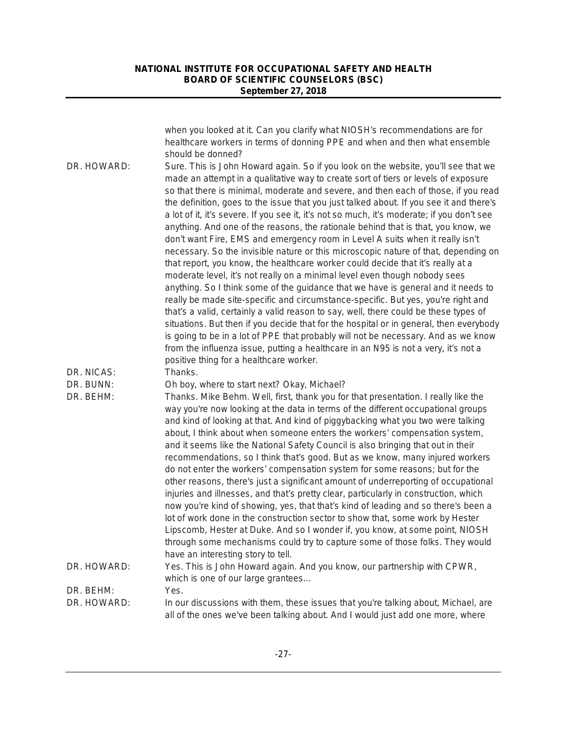|             | when you looked at it. Can you clarify what NIOSH's recommendations are for<br>healthcare workers in terms of donning PPE and when and then what ensemble<br>should be donned?                                                                                                                                                                                                                                                                                                                                                                                                                                                                                                                                                                                                                                                                                                                                                                                                                                                                                                                                                                                                                                                                                                                                                                                                                                                                                           |
|-------------|--------------------------------------------------------------------------------------------------------------------------------------------------------------------------------------------------------------------------------------------------------------------------------------------------------------------------------------------------------------------------------------------------------------------------------------------------------------------------------------------------------------------------------------------------------------------------------------------------------------------------------------------------------------------------------------------------------------------------------------------------------------------------------------------------------------------------------------------------------------------------------------------------------------------------------------------------------------------------------------------------------------------------------------------------------------------------------------------------------------------------------------------------------------------------------------------------------------------------------------------------------------------------------------------------------------------------------------------------------------------------------------------------------------------------------------------------------------------------|
| DR. HOWARD: | Sure. This is John Howard again. So if you look on the website, you'll see that we<br>made an attempt in a qualitative way to create sort of tiers or levels of exposure<br>so that there is minimal, moderate and severe, and then each of those, if you read<br>the definition, goes to the issue that you just talked about. If you see it and there's<br>a lot of it, it's severe. If you see it, it's not so much, it's moderate; if you don't see<br>anything. And one of the reasons, the rationale behind that is that, you know, we<br>don't want Fire, EMS and emergency room in Level A suits when it really isn't<br>necessary. So the invisible nature or this microscopic nature of that, depending on<br>that report, you know, the healthcare worker could decide that it's really at a<br>moderate level, it's not really on a minimal level even though nobody sees<br>anything. So I think some of the guidance that we have is general and it needs to<br>really be made site-specific and circumstance-specific. But yes, you're right and<br>that's a valid, certainly a valid reason to say, well, there could be these types of<br>situations. But then if you decide that for the hospital or in general, then everybody<br>is going to be in a lot of PPE that probably will not be necessary. And as we know<br>from the influenza issue, putting a healthcare in an N95 is not a very, it's not a<br>positive thing for a healthcare worker. |
| DR. NICAS:  | Thanks.                                                                                                                                                                                                                                                                                                                                                                                                                                                                                                                                                                                                                                                                                                                                                                                                                                                                                                                                                                                                                                                                                                                                                                                                                                                                                                                                                                                                                                                                  |
| DR. BUNN:   | Oh boy, where to start next? Okay, Michael?                                                                                                                                                                                                                                                                                                                                                                                                                                                                                                                                                                                                                                                                                                                                                                                                                                                                                                                                                                                                                                                                                                                                                                                                                                                                                                                                                                                                                              |
| DR. BEHM:   | Thanks. Mike Behm. Well, first, thank you for that presentation. I really like the<br>way you're now looking at the data in terms of the different occupational groups<br>and kind of looking at that. And kind of piggybacking what you two were talking<br>about, I think about when someone enters the workers' compensation system,<br>and it seems like the National Safety Council is also bringing that out in their<br>recommendations, so I think that's good. But as we know, many injured workers<br>do not enter the workers' compensation system for some reasons; but for the<br>other reasons, there's just a significant amount of underreporting of occupational<br>injuries and illnesses, and that's pretty clear, particularly in construction, which<br>now you're kind of showing, yes, that that's kind of leading and so there's been a<br>lot of work done in the construction sector to show that, some work by Hester<br>Lipscomb, Hester at Duke. And so I wonder if, you know, at some point, NIOSH<br>through some mechanisms could try to capture some of those folks. They would<br>have an interesting story to tell.                                                                                                                                                                                                                                                                                                                   |
| DR. HOWARD: | Yes. This is John Howard again. And you know, our partnership with CPWR,<br>which is one of our large grantees                                                                                                                                                                                                                                                                                                                                                                                                                                                                                                                                                                                                                                                                                                                                                                                                                                                                                                                                                                                                                                                                                                                                                                                                                                                                                                                                                           |
| DR. BEHM:   | Yes.                                                                                                                                                                                                                                                                                                                                                                                                                                                                                                                                                                                                                                                                                                                                                                                                                                                                                                                                                                                                                                                                                                                                                                                                                                                                                                                                                                                                                                                                     |
| DR. HOWARD: | In our discussions with them, these issues that you're talking about, Michael, are<br>all of the ones we've been talking about. And I would just add one more, where                                                                                                                                                                                                                                                                                                                                                                                                                                                                                                                                                                                                                                                                                                                                                                                                                                                                                                                                                                                                                                                                                                                                                                                                                                                                                                     |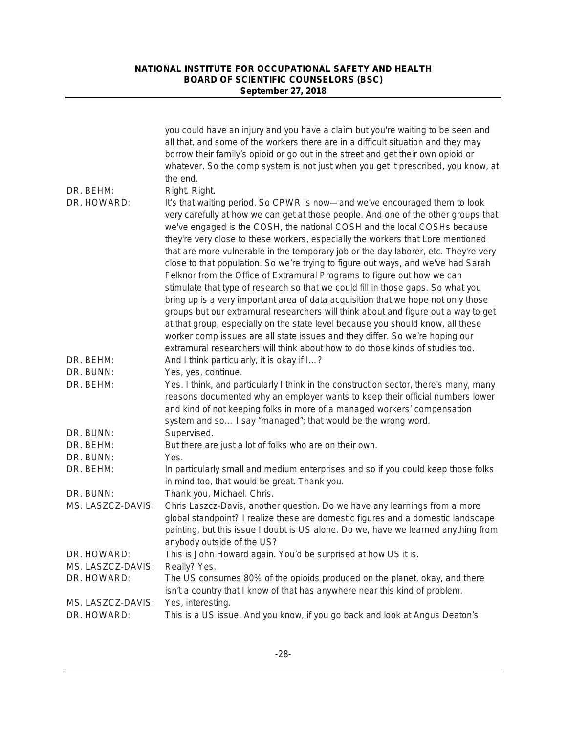|                   | you could have an injury and you have a claim but you're waiting to be seen and<br>all that, and some of the workers there are in a difficult situation and they may<br>borrow their family's opioid or go out in the street and get their own opioid or<br>whatever. So the comp system is not just when you get it prescribed, you know, at<br>the end.                                                                                                                                                                                                                                                                                                                                                                                                                                                                                                                                                                                                                                                                |
|-------------------|--------------------------------------------------------------------------------------------------------------------------------------------------------------------------------------------------------------------------------------------------------------------------------------------------------------------------------------------------------------------------------------------------------------------------------------------------------------------------------------------------------------------------------------------------------------------------------------------------------------------------------------------------------------------------------------------------------------------------------------------------------------------------------------------------------------------------------------------------------------------------------------------------------------------------------------------------------------------------------------------------------------------------|
| DR. BEHM:         | Right. Right.                                                                                                                                                                                                                                                                                                                                                                                                                                                                                                                                                                                                                                                                                                                                                                                                                                                                                                                                                                                                            |
| DR. HOWARD:       | It's that waiting period. So CPWR is now—and we've encouraged them to look<br>very carefully at how we can get at those people. And one of the other groups that<br>we've engaged is the COSH, the national COSH and the local COSHs because<br>they're very close to these workers, especially the workers that Lore mentioned<br>that are more vulnerable in the temporary job or the day laborer, etc. They're very<br>close to that population. So we're trying to figure out ways, and we've had Sarah<br>Felknor from the Office of Extramural Programs to figure out how we can<br>stimulate that type of research so that we could fill in those gaps. So what you<br>bring up is a very important area of data acquisition that we hope not only those<br>groups but our extramural researchers will think about and figure out a way to get<br>at that group, especially on the state level because you should know, all these<br>worker comp issues are all state issues and they differ. So we're hoping our |
| DR. BEHM:         | extramural researchers will think about how to do those kinds of studies too.<br>And I think particularly, it is okay if I?                                                                                                                                                                                                                                                                                                                                                                                                                                                                                                                                                                                                                                                                                                                                                                                                                                                                                              |
| DR. BUNN:         | Yes, yes, continue.                                                                                                                                                                                                                                                                                                                                                                                                                                                                                                                                                                                                                                                                                                                                                                                                                                                                                                                                                                                                      |
| DR. BEHM:         | Yes. I think, and particularly I think in the construction sector, there's many, many<br>reasons documented why an employer wants to keep their official numbers lower<br>and kind of not keeping folks in more of a managed workers' compensation<br>system and so I say "managed"; that would be the wrong word.                                                                                                                                                                                                                                                                                                                                                                                                                                                                                                                                                                                                                                                                                                       |
| DR. BUNN:         | Supervised.                                                                                                                                                                                                                                                                                                                                                                                                                                                                                                                                                                                                                                                                                                                                                                                                                                                                                                                                                                                                              |
| DR. BEHM:         | But there are just a lot of folks who are on their own.                                                                                                                                                                                                                                                                                                                                                                                                                                                                                                                                                                                                                                                                                                                                                                                                                                                                                                                                                                  |
| DR. BUNN:         | Yes.                                                                                                                                                                                                                                                                                                                                                                                                                                                                                                                                                                                                                                                                                                                                                                                                                                                                                                                                                                                                                     |
| DR. BEHM:         | In particularly small and medium enterprises and so if you could keep those folks<br>in mind too, that would be great. Thank you.                                                                                                                                                                                                                                                                                                                                                                                                                                                                                                                                                                                                                                                                                                                                                                                                                                                                                        |
| DR. BUNN:         | Thank you, Michael. Chris.                                                                                                                                                                                                                                                                                                                                                                                                                                                                                                                                                                                                                                                                                                                                                                                                                                                                                                                                                                                               |
| MS. LASZCZ-DAVIS: | Chris Laszcz-Davis, another question. Do we have any learnings from a more<br>global standpoint? I realize these are domestic figures and a domestic landscape<br>painting, but this issue I doubt is US alone. Do we, have we learned anything from<br>anybody outside of the US?                                                                                                                                                                                                                                                                                                                                                                                                                                                                                                                                                                                                                                                                                                                                       |
| DR. HOWARD:       | This is John Howard again. You'd be surprised at how US it is.                                                                                                                                                                                                                                                                                                                                                                                                                                                                                                                                                                                                                                                                                                                                                                                                                                                                                                                                                           |
| MS. LASZCZ-DAVIS: | Really? Yes.                                                                                                                                                                                                                                                                                                                                                                                                                                                                                                                                                                                                                                                                                                                                                                                                                                                                                                                                                                                                             |
| DR. HOWARD:       | The US consumes 80% of the opioids produced on the planet, okay, and there<br>isn't a country that I know of that has anywhere near this kind of problem.                                                                                                                                                                                                                                                                                                                                                                                                                                                                                                                                                                                                                                                                                                                                                                                                                                                                |
| MS. LASZCZ-DAVIS: | Yes, interesting.                                                                                                                                                                                                                                                                                                                                                                                                                                                                                                                                                                                                                                                                                                                                                                                                                                                                                                                                                                                                        |
| DR. HOWARD:       | This is a US issue. And you know, if you go back and look at Angus Deaton's                                                                                                                                                                                                                                                                                                                                                                                                                                                                                                                                                                                                                                                                                                                                                                                                                                                                                                                                              |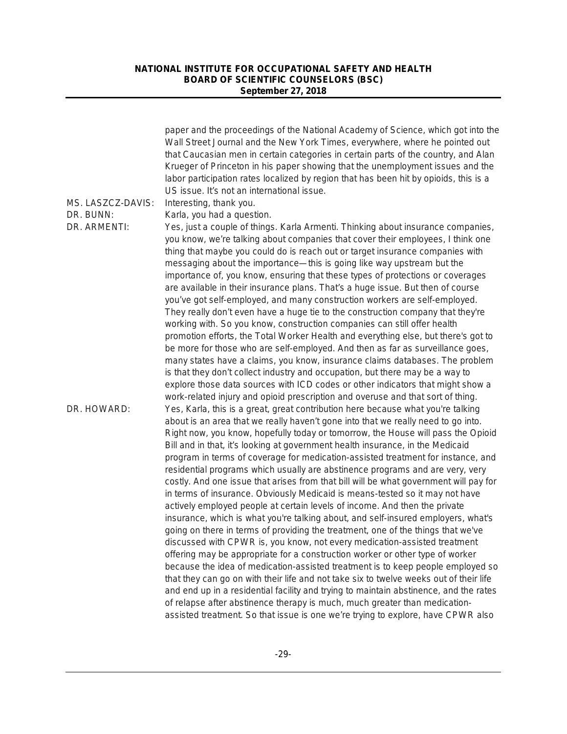|                   | paper and the proceedings of the National Academy of Science, which got into the<br>Wall Street Journal and the New York Times, everywhere, where he pointed out<br>that Caucasian men in certain categories in certain parts of the country, and Alan<br>Krueger of Princeton in his paper showing that the unemployment issues and the<br>labor participation rates localized by region that has been hit by opioids, this is a<br>US issue. It's not an international issue.                                                                                                                                                                                                                                                                                                                                                                                                                                                                                                                                                                                                                                                                                                                                                                                 |
|-------------------|-----------------------------------------------------------------------------------------------------------------------------------------------------------------------------------------------------------------------------------------------------------------------------------------------------------------------------------------------------------------------------------------------------------------------------------------------------------------------------------------------------------------------------------------------------------------------------------------------------------------------------------------------------------------------------------------------------------------------------------------------------------------------------------------------------------------------------------------------------------------------------------------------------------------------------------------------------------------------------------------------------------------------------------------------------------------------------------------------------------------------------------------------------------------------------------------------------------------------------------------------------------------|
| MS. LASZCZ-DAVIS: | Interesting, thank you.                                                                                                                                                                                                                                                                                                                                                                                                                                                                                                                                                                                                                                                                                                                                                                                                                                                                                                                                                                                                                                                                                                                                                                                                                                         |
| DR. BUNN:         | Karla, you had a question.                                                                                                                                                                                                                                                                                                                                                                                                                                                                                                                                                                                                                                                                                                                                                                                                                                                                                                                                                                                                                                                                                                                                                                                                                                      |
| DR. ARMENTI:      | Yes, just a couple of things. Karla Armenti. Thinking about insurance companies,<br>you know, we're talking about companies that cover their employees, I think one<br>thing that maybe you could do is reach out or target insurance companies with<br>messaging about the importance—this is going like way upstream but the<br>importance of, you know, ensuring that these types of protections or coverages<br>are available in their insurance plans. That's a huge issue. But then of course<br>you've got self-employed, and many construction workers are self-employed.<br>They really don't even have a huge tie to the construction company that they're<br>working with. So you know, construction companies can still offer health<br>promotion efforts, the Total Worker Health and everything else, but there's got to<br>be more for those who are self-employed. And then as far as surveillance goes,<br>many states have a claims, you know, insurance claims databases. The problem<br>is that they don't collect industry and occupation, but there may be a way to<br>explore those data sources with ICD codes or other indicators that might show a<br>work-related injury and opioid prescription and overuse and that sort of thing. |
| DR. HOWARD:       | Yes, Karla, this is a great, great contribution here because what you're talking<br>about is an area that we really haven't gone into that we really need to go into.<br>Right now, you know, hopefully today or tomorrow, the House will pass the Opioid<br>Bill and in that, it's looking at government health insurance, in the Medicaid<br>program in terms of coverage for medication-assisted treatment for instance, and<br>residential programs which usually are abstinence programs and are very, very<br>costly. And one issue that arises from that bill will be what government will pay for<br>in terms of insurance. Obviously Medicaid is means-tested so it may not have<br>actively employed people at certain levels of income. And then the private<br>insurance, which is what you're talking about, and self-insured employers, what's<br>going on there in terms of providing the treatment, one of the things that we've<br>discussed with CPWR is, you know, not every medication-assisted treatment<br>offering may be appropriate for a construction worker or other type of worker                                                                                                                                                  |
|                   | because the idea of medication-assisted treatment is to keep people employed so<br>that they can go on with their life and not take six to twelve weeks out of their life<br>and end up in a residential facility and trying to maintain abstinence, and the rates<br>of relapse after abstinence therapy is much, much greater than medication-                                                                                                                                                                                                                                                                                                                                                                                                                                                                                                                                                                                                                                                                                                                                                                                                                                                                                                                |
|                   | assisted treatment. So that issue is one we're trying to explore, have CPWR also                                                                                                                                                                                                                                                                                                                                                                                                                                                                                                                                                                                                                                                                                                                                                                                                                                                                                                                                                                                                                                                                                                                                                                                |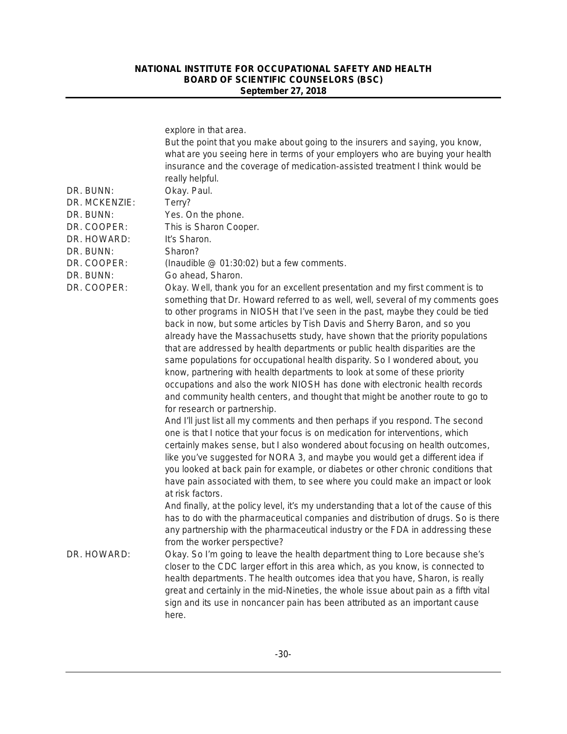| DR. BUNN:<br>DR. MCKENZIE:<br>DR. BUNN:<br>DR. COOPER:<br>DR. HOWARD:<br>DR. BUNN:<br>DR. COOPER:<br>DR. BUNN: | explore in that area.<br>But the point that you make about going to the insurers and saying, you know,<br>what are you seeing here in terms of your employers who are buying your health<br>insurance and the coverage of medication-assisted treatment I think would be<br>really helpful.<br>Okay. Paul.<br>Terry?<br>Yes. On the phone.<br>This is Sharon Cooper.<br>It's Sharon.<br>Sharon?<br>(Inaudible @ 01:30:02) but a few comments.<br>Go ahead, Sharon.                                                                                                                                                                                                                                                                                                                                                                                                                                                                                                                                                                                                                                                                                                                                                                                                                                                                                                               |
|----------------------------------------------------------------------------------------------------------------|----------------------------------------------------------------------------------------------------------------------------------------------------------------------------------------------------------------------------------------------------------------------------------------------------------------------------------------------------------------------------------------------------------------------------------------------------------------------------------------------------------------------------------------------------------------------------------------------------------------------------------------------------------------------------------------------------------------------------------------------------------------------------------------------------------------------------------------------------------------------------------------------------------------------------------------------------------------------------------------------------------------------------------------------------------------------------------------------------------------------------------------------------------------------------------------------------------------------------------------------------------------------------------------------------------------------------------------------------------------------------------|
| DR. COOPER:                                                                                                    | Okay. Well, thank you for an excellent presentation and my first comment is to<br>something that Dr. Howard referred to as well, well, several of my comments goes<br>to other programs in NIOSH that I've seen in the past, maybe they could be tied<br>back in now, but some articles by Tish Davis and Sherry Baron, and so you<br>already have the Massachusetts study, have shown that the priority populations<br>that are addressed by health departments or public health disparities are the<br>same populations for occupational health disparity. So I wondered about, you<br>know, partnering with health departments to look at some of these priority<br>occupations and also the work NIOSH has done with electronic health records<br>and community health centers, and thought that might be another route to go to<br>for research or partnership.<br>And I'll just list all my comments and then perhaps if you respond. The second<br>one is that I notice that your focus is on medication for interventions, which<br>certainly makes sense, but I also wondered about focusing on health outcomes,<br>like you've suggested for NORA 3, and maybe you would get a different idea if<br>you looked at back pain for example, or diabetes or other chronic conditions that<br>have pain associated with them, to see where you could make an impact or look |
|                                                                                                                | at risk factors.<br>And finally, at the policy level, it's my understanding that a lot of the cause of this<br>has to do with the pharmaceutical companies and distribution of drugs. So is there<br>any partnership with the pharmaceutical industry or the FDA in addressing these<br>from the worker perspective?                                                                                                                                                                                                                                                                                                                                                                                                                                                                                                                                                                                                                                                                                                                                                                                                                                                                                                                                                                                                                                                             |
| DR. HOWARD:                                                                                                    | Okay. So I'm going to leave the health department thing to Lore because she's<br>closer to the CDC larger effort in this area which, as you know, is connected to<br>health departments. The health outcomes idea that you have, Sharon, is really<br>great and certainly in the mid-Nineties, the whole issue about pain as a fifth vital<br>sign and its use in noncancer pain has been attributed as an important cause<br>here.                                                                                                                                                                                                                                                                                                                                                                                                                                                                                                                                                                                                                                                                                                                                                                                                                                                                                                                                              |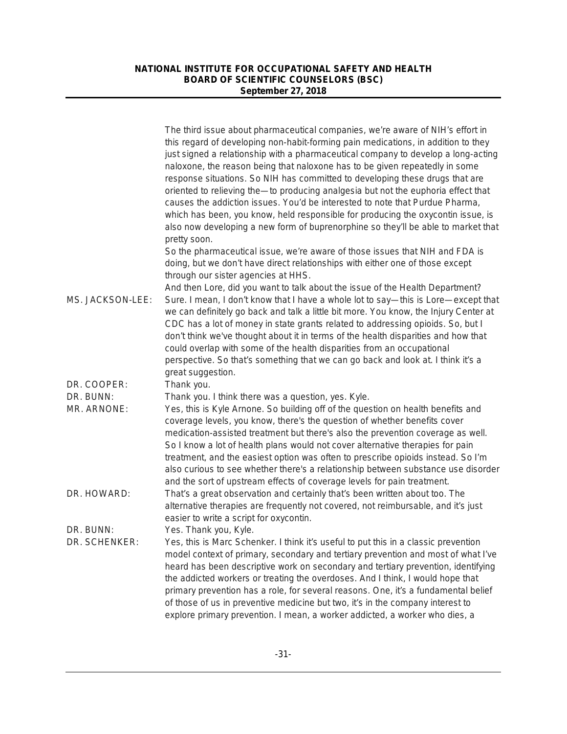|                            | The third issue about pharmaceutical companies, we're aware of NIH's effort in<br>this regard of developing non-habit-forming pain medications, in addition to they<br>just signed a relationship with a pharmaceutical company to develop a long-acting<br>naloxone, the reason being that naloxone has to be given repeatedly in some<br>response situations. So NIH has committed to developing these drugs that are<br>oriented to relieving the-to producing analgesia but not the euphoria effect that<br>causes the addiction issues. You'd be interested to note that Purdue Pharma,<br>which has been, you know, held responsible for producing the oxycontin issue, is<br>also now developing a new form of buprenorphine so they'll be able to market that<br>pretty soon. |
|----------------------------|---------------------------------------------------------------------------------------------------------------------------------------------------------------------------------------------------------------------------------------------------------------------------------------------------------------------------------------------------------------------------------------------------------------------------------------------------------------------------------------------------------------------------------------------------------------------------------------------------------------------------------------------------------------------------------------------------------------------------------------------------------------------------------------|
|                            | So the pharmaceutical issue, we're aware of those issues that NIH and FDA is<br>doing, but we don't have direct relationships with either one of those except<br>through our sister agencies at HHS.                                                                                                                                                                                                                                                                                                                                                                                                                                                                                                                                                                                  |
| MS. JACKSON-LEE:           | And then Lore, did you want to talk about the issue of the Health Department?<br>Sure. I mean, I don't know that I have a whole lot to say—this is Lore—except that<br>we can definitely go back and talk a little bit more. You know, the Injury Center at<br>CDC has a lot of money in state grants related to addressing opioids. So, but I<br>don't think we've thought about it in terms of the health disparities and how that<br>could overlap with some of the health disparities from an occupational<br>perspective. So that's something that we can go back and look at. I think it's a<br>great suggestion.                                                                                                                                                               |
| DR. COOPER:                | Thank you.                                                                                                                                                                                                                                                                                                                                                                                                                                                                                                                                                                                                                                                                                                                                                                            |
| DR. BUNN:<br>MR. ARNONE:   | Thank you. I think there was a question, yes. Kyle.<br>Yes, this is Kyle Arnone. So building off of the question on health benefits and<br>coverage levels, you know, there's the question of whether benefits cover<br>medication-assisted treatment but there's also the prevention coverage as well.<br>So I know a lot of health plans would not cover alternative therapies for pain<br>treatment, and the easiest option was often to prescribe opioids instead. So I'm<br>also curious to see whether there's a relationship between substance use disorder<br>and the sort of upstream effects of coverage levels for pain treatment.                                                                                                                                         |
| DR. HOWARD:                | That's a great observation and certainly that's been written about too. The<br>alternative therapies are frequently not covered, not reimbursable, and it's just<br>easier to write a script for oxycontin.                                                                                                                                                                                                                                                                                                                                                                                                                                                                                                                                                                           |
| DR. BUNN:<br>DR. SCHENKER: | Yes. Thank you, Kyle.<br>Yes, this is Marc Schenker. I think it's useful to put this in a classic prevention<br>model context of primary, secondary and tertiary prevention and most of what I've<br>heard has been descriptive work on secondary and tertiary prevention, identifying<br>the addicted workers or treating the overdoses. And I think, I would hope that<br>primary prevention has a role, for several reasons. One, it's a fundamental belief<br>of those of us in preventive medicine but two, it's in the company interest to<br>explore primary prevention. I mean, a worker addicted, a worker who dies, a                                                                                                                                                       |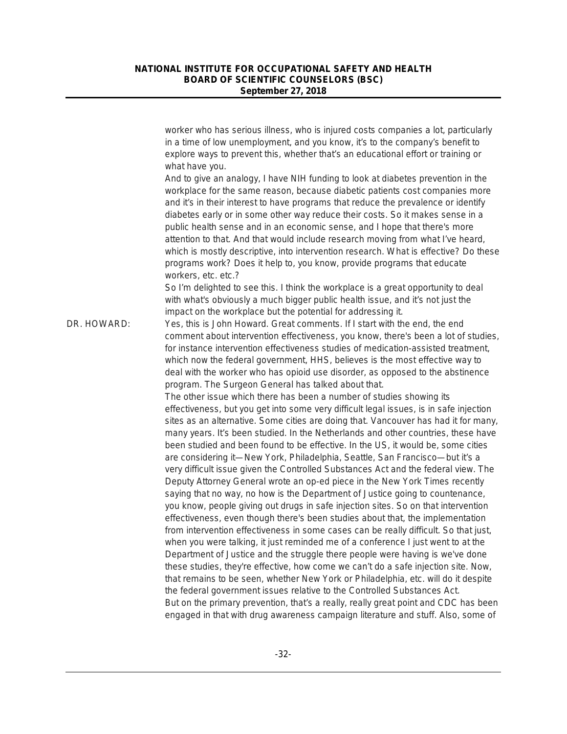|             | worker who has serious illness, who is injured costs companies a lot, particularly<br>in a time of low unemployment, and you know, it's to the company's benefit to<br>explore ways to prevent this, whether that's an educational effort or training or<br>what have you.<br>And to give an analogy, I have NIH funding to look at diabetes prevention in the<br>workplace for the same reason, because diabetic patients cost companies more<br>and it's in their interest to have programs that reduce the prevalence or identify<br>diabetes early or in some other way reduce their costs. So it makes sense in a<br>public health sense and in an economic sense, and I hope that there's more<br>attention to that. And that would include research moving from what I've heard,<br>which is mostly descriptive, into intervention research. What is effective? Do these<br>programs work? Does it help to, you know, provide programs that educate<br>workers, etc. etc.?                                                                                                                                                                                                                                                                                                                                                                                                     |
|-------------|---------------------------------------------------------------------------------------------------------------------------------------------------------------------------------------------------------------------------------------------------------------------------------------------------------------------------------------------------------------------------------------------------------------------------------------------------------------------------------------------------------------------------------------------------------------------------------------------------------------------------------------------------------------------------------------------------------------------------------------------------------------------------------------------------------------------------------------------------------------------------------------------------------------------------------------------------------------------------------------------------------------------------------------------------------------------------------------------------------------------------------------------------------------------------------------------------------------------------------------------------------------------------------------------------------------------------------------------------------------------------------------|
|             | So I'm delighted to see this. I think the workplace is a great opportunity to deal<br>with what's obviously a much bigger public health issue, and it's not just the<br>impact on the workplace but the potential for addressing it.                                                                                                                                                                                                                                                                                                                                                                                                                                                                                                                                                                                                                                                                                                                                                                                                                                                                                                                                                                                                                                                                                                                                                  |
| DR. HOWARD: | Yes, this is John Howard. Great comments. If I start with the end, the end<br>comment about intervention effectiveness, you know, there's been a lot of studies,<br>for instance intervention effectiveness studies of medication-assisted treatment,<br>which now the federal government, HHS, believes is the most effective way to<br>deal with the worker who has opioid use disorder, as opposed to the abstinence<br>program. The Surgeon General has talked about that.                                                                                                                                                                                                                                                                                                                                                                                                                                                                                                                                                                                                                                                                                                                                                                                                                                                                                                        |
|             | The other issue which there has been a number of studies showing its<br>effectiveness, but you get into some very difficult legal issues, is in safe injection<br>sites as an alternative. Some cities are doing that. Vancouver has had it for many,<br>many years. It's been studied. In the Netherlands and other countries, these have<br>been studied and been found to be effective. In the US, it would be, some cities<br>are considering it-New York, Philadelphia, Seattle, San Francisco-but it's a<br>very difficult issue given the Controlled Substances Act and the federal view. The<br>Deputy Attorney General wrote an op-ed piece in the New York Times recently<br>saying that no way, no how is the Department of Justice going to countenance,<br>you know, people giving out drugs in safe injection sites. So on that intervention<br>effectiveness, even though there's been studies about that, the implementation<br>from intervention effectiveness in some cases can be really difficult. So that just,<br>when you were talking, it just reminded me of a conference I just went to at the<br>Department of Justice and the struggle there people were having is we've done<br>these studies, they're effective, how come we can't do a safe injection site. Now,<br>that remains to be seen, whether New York or Philadelphia, etc. will do it despite |
|             | the federal government issues relative to the Controlled Substances Act.<br>But on the primary prevention, that's a really, really great point and CDC has been<br>engaged in that with drug awareness campaign literature and stuff. Also, some of                                                                                                                                                                                                                                                                                                                                                                                                                                                                                                                                                                                                                                                                                                                                                                                                                                                                                                                                                                                                                                                                                                                                   |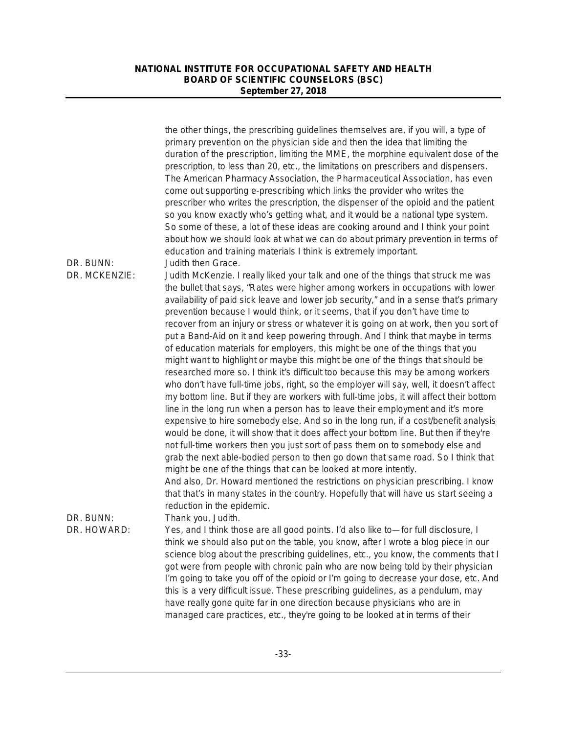|                            | the other things, the prescribing guidelines themselves are, if you will, a type of<br>primary prevention on the physician side and then the idea that limiting the<br>duration of the prescription, limiting the MME, the morphine equivalent dose of the<br>prescription, to less than 20, etc., the limitations on prescribers and dispensers.<br>The American Pharmacy Association, the Pharmaceutical Association, has even<br>come out supporting e-prescribing which links the provider who writes the<br>prescriber who writes the prescription, the dispenser of the opioid and the patient<br>so you know exactly who's getting what, and it would be a national type system.<br>So some of these, a lot of these ideas are cooking around and I think your point<br>about how we should look at what we can do about primary prevention in terms of<br>education and training materials I think is extremely important.                                                                                                                                                                                                                                                                                                                                                                                                                                                                                                                                                                            |
|----------------------------|---------------------------------------------------------------------------------------------------------------------------------------------------------------------------------------------------------------------------------------------------------------------------------------------------------------------------------------------------------------------------------------------------------------------------------------------------------------------------------------------------------------------------------------------------------------------------------------------------------------------------------------------------------------------------------------------------------------------------------------------------------------------------------------------------------------------------------------------------------------------------------------------------------------------------------------------------------------------------------------------------------------------------------------------------------------------------------------------------------------------------------------------------------------------------------------------------------------------------------------------------------------------------------------------------------------------------------------------------------------------------------------------------------------------------------------------------------------------------------------------------------------|
| DR. BUNN:<br>DR. MCKENZIE: | Judith then Grace.<br>Judith McKenzie. I really liked your talk and one of the things that struck me was<br>the bullet that says, "Rates were higher among workers in occupations with lower<br>availability of paid sick leave and lower job security," and in a sense that's primary<br>prevention because I would think, or it seems, that if you don't have time to<br>recover from an injury or stress or whatever it is going on at work, then you sort of<br>put a Band-Aid on it and keep powering through. And I think that maybe in terms<br>of education materials for employers, this might be one of the things that you<br>might want to highlight or maybe this might be one of the things that should be<br>researched more so. I think it's difficult too because this may be among workers<br>who don't have full-time jobs, right, so the employer will say, well, it doesn't affect<br>my bottom line. But if they are workers with full-time jobs, it will affect their bottom<br>line in the long run when a person has to leave their employment and it's more<br>expensive to hire somebody else. And so in the long run, if a cost/benefit analysis<br>would be done, it will show that it does affect your bottom line. But then if they're<br>not full-time workers then you just sort of pass them on to somebody else and<br>grab the next able-bodied person to then go down that same road. So I think that<br>might be one of the things that can be looked at more intently. |
| DR. BUNN:<br>DR. HOWARD:   | And also, Dr. Howard mentioned the restrictions on physician prescribing. I know<br>that that's in many states in the country. Hopefully that will have us start seeing a<br>reduction in the epidemic.<br>Thank you, Judith.<br>Yes, and I think those are all good points. I'd also like to-for full disclosure, I<br>think we should also put on the table, you know, after I wrote a blog piece in our<br>science blog about the prescribing guidelines, etc., you know, the comments that I<br>got were from people with chronic pain who are now being told by their physician<br>I'm going to take you off of the opioid or I'm going to decrease your dose, etc. And<br>this is a very difficult issue. These prescribing guidelines, as a pendulum, may<br>have really gone quite far in one direction because physicians who are in<br>managed care practices, etc., they're going to be looked at in terms of their                                                                                                                                                                                                                                                                                                                                                                                                                                                                                                                                                                                |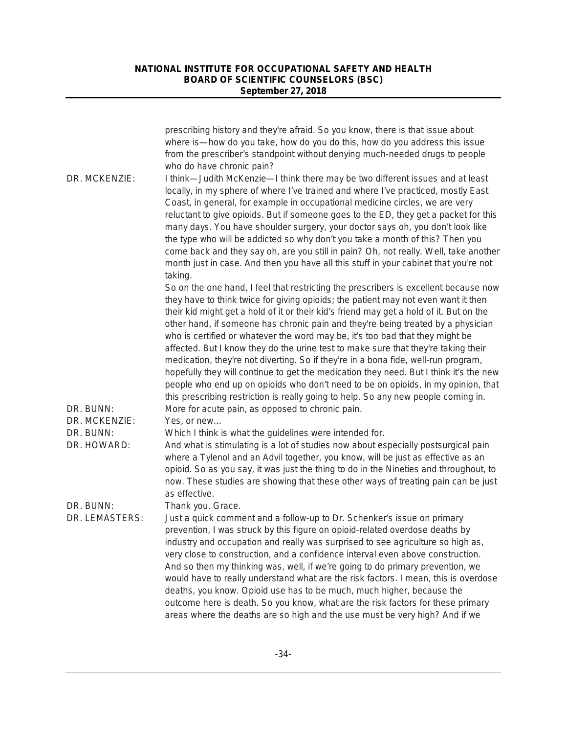|                                           | prescribing history and they're afraid. So you know, there is that issue about<br>where is—how do you take, how do you do this, how do you address this issue<br>from the prescriber's standpoint without denying much-needed drugs to people<br>who do have chronic pain?                                                                                                                                                                                                                                                                                                                                                                                                                                                                                                                                                                                                                                                                      |
|-------------------------------------------|-------------------------------------------------------------------------------------------------------------------------------------------------------------------------------------------------------------------------------------------------------------------------------------------------------------------------------------------------------------------------------------------------------------------------------------------------------------------------------------------------------------------------------------------------------------------------------------------------------------------------------------------------------------------------------------------------------------------------------------------------------------------------------------------------------------------------------------------------------------------------------------------------------------------------------------------------|
| DR. MCKENZIE:                             | I think—Judith McKenzie—I think there may be two different issues and at least<br>locally, in my sphere of where I've trained and where I've practiced, mostly East<br>Coast, in general, for example in occupational medicine circles, we are very<br>reluctant to give opioids. But if someone goes to the ED, they get a packet for this<br>many days. You have shoulder surgery, your doctor says oh, you don't look like<br>the type who will be addicted so why don't you take a month of this? Then you<br>come back and they say oh, are you still in pain? Oh, not really. Well, take another<br>month just in case. And then you have all this stuff in your cabinet that you're not<br>taking.                                                                                                                                                                                                                                       |
| DR. BUNN:                                 | So on the one hand, I feel that restricting the prescribers is excellent because now<br>they have to think twice for giving opioids; the patient may not even want it then<br>their kid might get a hold of it or their kid's friend may get a hold of it. But on the<br>other hand, if someone has chronic pain and they're being treated by a physician<br>who is certified or whatever the word may be, it's too bad that they might be<br>affected. But I know they do the urine test to make sure that they're taking their<br>medication, they're not diverting. So if they're in a bona fide, well-run program,<br>hopefully they will continue to get the medication they need. But I think it's the new<br>people who end up on opioids who don't need to be on opioids, in my opinion, that<br>this prescribing restriction is really going to help. So any new people coming in.<br>More for acute pain, as opposed to chronic pain. |
| DR. MCKENZIE:<br>DR. BUNN:<br>DR. HOWARD: | Yes, or new<br>Which I think is what the guidelines were intended for.<br>And what is stimulating is a lot of studies now about especially postsurgical pain<br>where a Tylenol and an Advil together, you know, will be just as effective as an<br>opioid. So as you say, it was just the thing to do in the Nineties and throughout, to<br>now. These studies are showing that these other ways of treating pain can be just<br>as effective.                                                                                                                                                                                                                                                                                                                                                                                                                                                                                                 |
| DR. BUNN:<br>DR. LEMASTERS:               | Thank you. Grace.<br>Just a quick comment and a follow-up to Dr. Schenker's issue on primary<br>prevention, I was struck by this figure on opioid-related overdose deaths by<br>industry and occupation and really was surprised to see agriculture so high as,<br>very close to construction, and a confidence interval even above construction.<br>And so then my thinking was, well, if we're going to do primary prevention, we<br>would have to really understand what are the risk factors. I mean, this is overdose<br>deaths, you know. Opioid use has to be much, much higher, because the<br>outcome here is death. So you know, what are the risk factors for these primary<br>areas where the deaths are so high and the use must be very high? And if we                                                                                                                                                                           |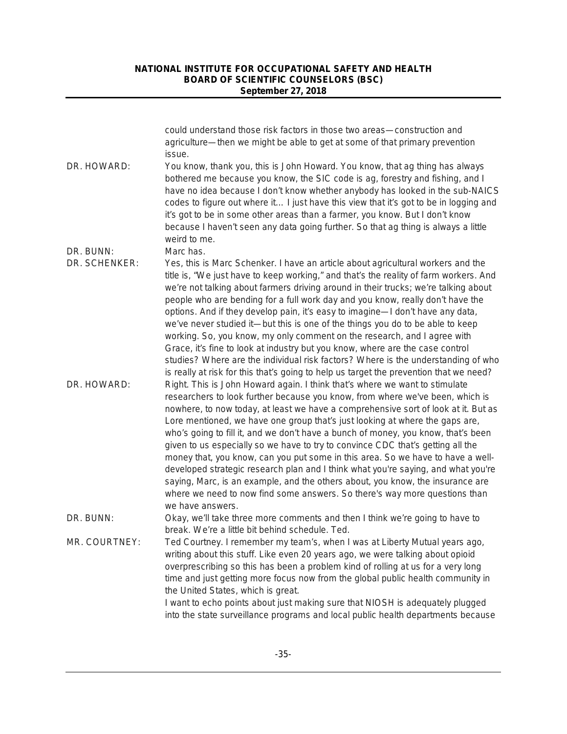|               | could understand those risk factors in those two areas-construction and<br>agriculture—then we might be able to get at some of that primary prevention<br>issue.                                                                                                                                                                                                                                                                                                                                                                                                                                                                                                                                                                                                                                                                                                       |
|---------------|------------------------------------------------------------------------------------------------------------------------------------------------------------------------------------------------------------------------------------------------------------------------------------------------------------------------------------------------------------------------------------------------------------------------------------------------------------------------------------------------------------------------------------------------------------------------------------------------------------------------------------------------------------------------------------------------------------------------------------------------------------------------------------------------------------------------------------------------------------------------|
| DR. HOWARD:   | You know, thank you, this is John Howard. You know, that ag thing has always<br>bothered me because you know, the SIC code is ag, forestry and fishing, and I<br>have no idea because I don't know whether anybody has looked in the sub-NAICS<br>codes to figure out where it I just have this view that it's got to be in logging and<br>it's got to be in some other areas than a farmer, you know. But I don't know<br>because I haven't seen any data going further. So that ag thing is always a little<br>weird to me.                                                                                                                                                                                                                                                                                                                                          |
| DR. BUNN:     | Marc has.                                                                                                                                                                                                                                                                                                                                                                                                                                                                                                                                                                                                                                                                                                                                                                                                                                                              |
| DR. SCHENKER: | Yes, this is Marc Schenker. I have an article about agricultural workers and the<br>title is, "We just have to keep working," and that's the reality of farm workers. And<br>we're not talking about farmers driving around in their trucks; we're talking about<br>people who are bending for a full work day and you know, really don't have the<br>options. And if they develop pain, it's easy to imagine-I don't have any data,<br>we've never studied it—but this is one of the things you do to be able to keep<br>working. So, you know, my only comment on the research, and I agree with<br>Grace, it's fine to look at industry but you know, where are the case control<br>studies? Where are the individual risk factors? Where is the understanding of who<br>is really at risk for this that's going to help us target the prevention that we need?     |
| DR. HOWARD:   | Right. This is John Howard again. I think that's where we want to stimulate<br>researchers to look further because you know, from where we've been, which is<br>nowhere, to now today, at least we have a comprehensive sort of look at it. But as<br>Lore mentioned, we have one group that's just looking at where the gaps are,<br>who's going to fill it, and we don't have a bunch of money, you know, that's been<br>given to us especially so we have to try to convince CDC that's getting all the<br>money that, you know, can you put some in this area. So we have to have a well-<br>developed strategic research plan and I think what you're saying, and what you're<br>saying, Marc, is an example, and the others about, you know, the insurance are<br>where we need to now find some answers. So there's way more questions than<br>we have answers. |
| DR. BUNN:     | Okay, we'll take three more comments and then I think we're going to have to<br>break. We're a little bit behind schedule. Ted.                                                                                                                                                                                                                                                                                                                                                                                                                                                                                                                                                                                                                                                                                                                                        |
| MR. COURTNEY: | Ted Courtney. I remember my team's, when I was at Liberty Mutual years ago,<br>writing about this stuff. Like even 20 years ago, we were talking about opioid<br>overprescribing so this has been a problem kind of rolling at us for a very long<br>time and just getting more focus now from the global public health community in<br>the United States, which is great.<br>I want to echo points about just making sure that NIOSH is adequately plugged<br>into the state surveillance programs and local public health departments because                                                                                                                                                                                                                                                                                                                        |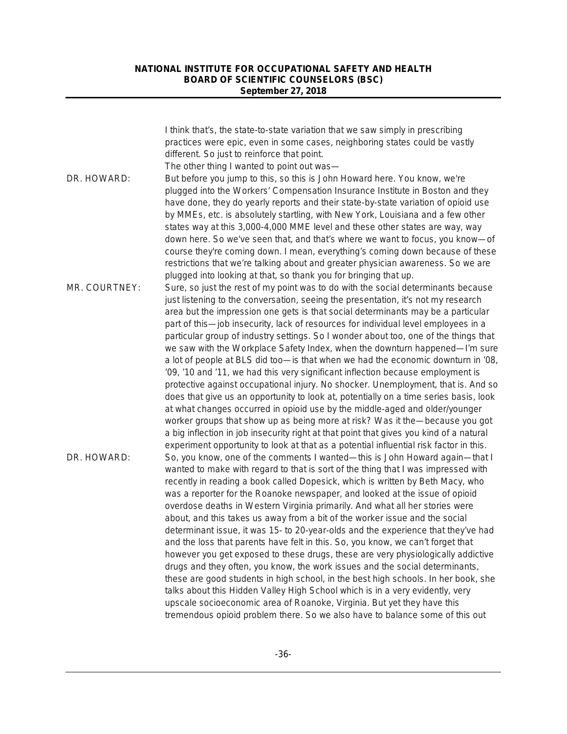| I think that's, the state-to-state variation that we saw simply in prescribing                     |  |
|----------------------------------------------------------------------------------------------------|--|
| practices were epic, even in some cases, neighboring states could be vastly                        |  |
| different. So just to reinforce that point.                                                        |  |
| The other thing I wanted to point out was-                                                         |  |
| DR. HOWARD:<br>But before you jump to this, so this is John Howard here. You know, we're           |  |
| plugged into the Workers' Compensation Insurance Institute in Boston and they                      |  |
| have done, they do yearly reports and their state-by-state variation of opioid use                 |  |
| by MMEs, etc. is absolutely startling, with New York, Louisiana and a few other                    |  |
| states way at this 3,000-4,000 MME level and these other states are way, way                       |  |
| down here. So we've seen that, and that's where we want to focus, you know-of                      |  |
| course they're coming down. I mean, everything's coming down because of these                      |  |
| restrictions that we're talking about and greater physician awareness. So we are                   |  |
| plugged into looking at that, so thank you for bringing that up.                                   |  |
| MR. COURTNEY:<br>Sure, so just the rest of my point was to do with the social determinants because |  |
| just listening to the conversation, seeing the presentation, it's not my research                  |  |
| area but the impression one gets is that social determinants may be a particular                   |  |
| part of this-job insecurity, lack of resources for individual level employees in a                 |  |
| particular group of industry settings. So I wonder about too, one of the things that               |  |
| we saw with the Workplace Safety Index, when the downturn happened—I'm sure                        |  |
| a lot of people at BLS did too—is that when we had the economic downturn in '08,                   |  |
| '09, '10 and '11, we had this very significant inflection because employment is                    |  |
| protective against occupational injury. No shocker. Unemployment, that is. And so                  |  |
| does that give us an opportunity to look at, potentially on a time series basis, look              |  |
| at what changes occurred in opioid use by the middle-aged and older/younger                        |  |
| worker groups that show up as being more at risk? Was it the—because you got                       |  |
| a big inflection in job insecurity right at that point that gives you kind of a natural            |  |
| experiment opportunity to look at that as a potential influential risk factor in this.             |  |
| DR. HOWARD:<br>So, you know, one of the comments I wanted—this is John Howard again—that I         |  |
| wanted to make with regard to that is sort of the thing that I was impressed with                  |  |
| recently in reading a book called Dopesick, which is written by Beth Macy, who                     |  |
| was a reporter for the Roanoke newspaper, and looked at the issue of opioid                        |  |
| overdose deaths in Western Virginia primarily. And what all her stories were                       |  |
| about, and this takes us away from a bit of the worker issue and the social                        |  |
| determinant issue, it was 15- to 20-year-olds and the experience that they've had                  |  |
| and the loss that parents have felt in this. So, you know, we can't forget that                    |  |
| however you get exposed to these drugs, these are very physiologically addictive                   |  |
| drugs and they often, you know, the work issues and the social determinants,                       |  |
| these are good students in high school, in the best high schools. In her book, she                 |  |
| talks about this Hidden Valley High School which is in a very evidently, very                      |  |
| upscale socioeconomic area of Roanoke, Virginia. But yet they have this                            |  |
| tremendous opioid problem there. So we also have to balance some of this out                       |  |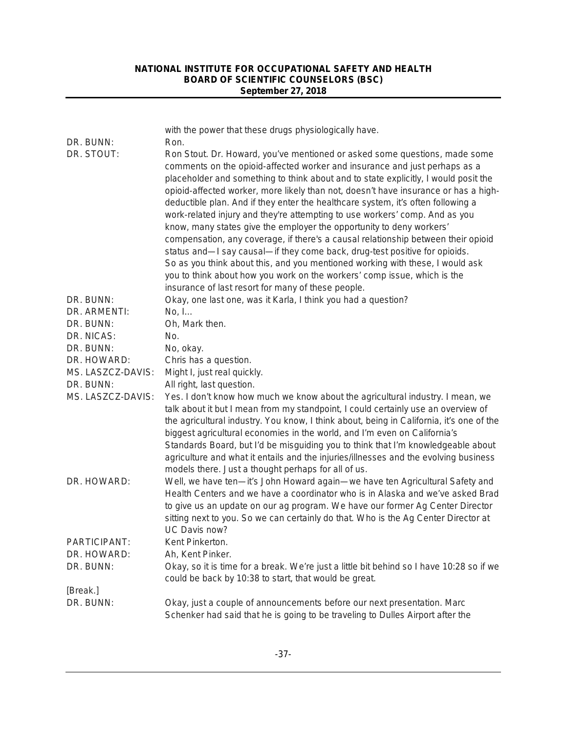| DR. BUNN:         | with the power that these drugs physiologically have.<br>Ron.                                                                                                                                                                                                                                                                                                                                                                                                                                                                                                                                                                                                                                                                                                                                                                                                                                                                                                           |
|-------------------|-------------------------------------------------------------------------------------------------------------------------------------------------------------------------------------------------------------------------------------------------------------------------------------------------------------------------------------------------------------------------------------------------------------------------------------------------------------------------------------------------------------------------------------------------------------------------------------------------------------------------------------------------------------------------------------------------------------------------------------------------------------------------------------------------------------------------------------------------------------------------------------------------------------------------------------------------------------------------|
| DR. STOUT:        | Ron Stout. Dr. Howard, you've mentioned or asked some questions, made some<br>comments on the opioid-affected worker and insurance and just perhaps as a<br>placeholder and something to think about and to state explicitly, I would posit the<br>opioid-affected worker, more likely than not, doesn't have insurance or has a high-<br>deductible plan. And if they enter the healthcare system, it's often following a<br>work-related injury and they're attempting to use workers' comp. And as you<br>know, many states give the employer the opportunity to deny workers'<br>compensation, any coverage, if there's a causal relationship between their opioid<br>status and-I say causal-if they come back, drug-test positive for opioids.<br>So as you think about this, and you mentioned working with these, I would ask<br>you to think about how you work on the workers' comp issue, which is the<br>insurance of last resort for many of these people. |
| DR. BUNN:         | Okay, one last one, was it Karla, I think you had a question?                                                                                                                                                                                                                                                                                                                                                                                                                                                                                                                                                                                                                                                                                                                                                                                                                                                                                                           |
| DR. ARMENTI:      | No, I                                                                                                                                                                                                                                                                                                                                                                                                                                                                                                                                                                                                                                                                                                                                                                                                                                                                                                                                                                   |
| DR. BUNN:         | Oh, Mark then.                                                                                                                                                                                                                                                                                                                                                                                                                                                                                                                                                                                                                                                                                                                                                                                                                                                                                                                                                          |
| DR. NICAS:        | No.                                                                                                                                                                                                                                                                                                                                                                                                                                                                                                                                                                                                                                                                                                                                                                                                                                                                                                                                                                     |
| DR. BUNN:         | No, okay.                                                                                                                                                                                                                                                                                                                                                                                                                                                                                                                                                                                                                                                                                                                                                                                                                                                                                                                                                               |
| DR. HOWARD:       | Chris has a question.                                                                                                                                                                                                                                                                                                                                                                                                                                                                                                                                                                                                                                                                                                                                                                                                                                                                                                                                                   |
| MS. LASZCZ-DAVIS: | Might I, just real quickly.                                                                                                                                                                                                                                                                                                                                                                                                                                                                                                                                                                                                                                                                                                                                                                                                                                                                                                                                             |
| DR. BUNN:         | All right, last question.                                                                                                                                                                                                                                                                                                                                                                                                                                                                                                                                                                                                                                                                                                                                                                                                                                                                                                                                               |
| MS. LASZCZ-DAVIS: | Yes. I don't know how much we know about the agricultural industry. I mean, we<br>talk about it but I mean from my standpoint, I could certainly use an overview of<br>the agricultural industry. You know, I think about, being in California, it's one of the<br>biggest agricultural economies in the world, and I'm even on California's<br>Standards Board, but I'd be misguiding you to think that I'm knowledgeable about<br>agriculture and what it entails and the injuries/illnesses and the evolving business<br>models there. Just a thought perhaps for all of us.                                                                                                                                                                                                                                                                                                                                                                                         |
| DR. HOWARD:       | Well, we have ten-it's John Howard again-we have ten Agricultural Safety and<br>Health Centers and we have a coordinator who is in Alaska and we've asked Brad<br>to give us an update on our ag program. We have our former Ag Center Director<br>sitting next to you. So we can certainly do that. Who is the Ag Center Director at<br>UC Davis now?                                                                                                                                                                                                                                                                                                                                                                                                                                                                                                                                                                                                                  |
| PARTICIPANT:      | Kent Pinkerton.                                                                                                                                                                                                                                                                                                                                                                                                                                                                                                                                                                                                                                                                                                                                                                                                                                                                                                                                                         |
| DR. HOWARD:       | Ah, Kent Pinker.                                                                                                                                                                                                                                                                                                                                                                                                                                                                                                                                                                                                                                                                                                                                                                                                                                                                                                                                                        |
| DR. BUNN:         | Okay, so it is time for a break. We're just a little bit behind so I have 10:28 so if we<br>could be back by 10:38 to start, that would be great.                                                                                                                                                                                                                                                                                                                                                                                                                                                                                                                                                                                                                                                                                                                                                                                                                       |
| [Break.]          |                                                                                                                                                                                                                                                                                                                                                                                                                                                                                                                                                                                                                                                                                                                                                                                                                                                                                                                                                                         |
| DR. BUNN:         | Okay, just a couple of announcements before our next presentation. Marc<br>Schenker had said that he is going to be traveling to Dulles Airport after the                                                                                                                                                                                                                                                                                                                                                                                                                                                                                                                                                                                                                                                                                                                                                                                                               |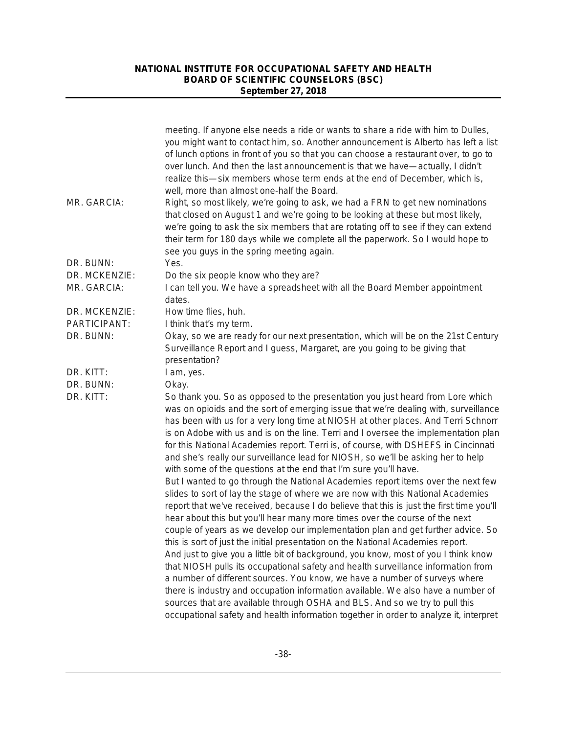|               | meeting. If anyone else needs a ride or wants to share a ride with him to Dulles,<br>you might want to contact him, so. Another announcement is Alberto has left a list<br>of lunch options in front of you so that you can choose a restaurant over, to go to<br>over lunch. And then the last announcement is that we have—actually, I didn't<br>realize this—six members whose term ends at the end of December, which is,<br>well, more than almost one-half the Board.                                                                                                                     |
|---------------|-------------------------------------------------------------------------------------------------------------------------------------------------------------------------------------------------------------------------------------------------------------------------------------------------------------------------------------------------------------------------------------------------------------------------------------------------------------------------------------------------------------------------------------------------------------------------------------------------|
| MR. GARCIA:   | Right, so most likely, we're going to ask, we had a FRN to get new nominations<br>that closed on August 1 and we're going to be looking at these but most likely,<br>we're going to ask the six members that are rotating off to see if they can extend<br>their term for 180 days while we complete all the paperwork. So I would hope to<br>see you guys in the spring meeting again.                                                                                                                                                                                                         |
| DR. BUNN:     | Yes.                                                                                                                                                                                                                                                                                                                                                                                                                                                                                                                                                                                            |
| DR. MCKENZIE: | Do the six people know who they are?                                                                                                                                                                                                                                                                                                                                                                                                                                                                                                                                                            |
| MR. GARCIA:   | I can tell you. We have a spreadsheet with all the Board Member appointment<br>dates.                                                                                                                                                                                                                                                                                                                                                                                                                                                                                                           |
| DR. MCKENZIE: | How time flies, huh.                                                                                                                                                                                                                                                                                                                                                                                                                                                                                                                                                                            |
| PARTICIPANT:  | I think that's my term.                                                                                                                                                                                                                                                                                                                                                                                                                                                                                                                                                                         |
| DR. BUNN:     | Okay, so we are ready for our next presentation, which will be on the 21st Century<br>Surveillance Report and I guess, Margaret, are you going to be giving that                                                                                                                                                                                                                                                                                                                                                                                                                                |
|               | presentation?                                                                                                                                                                                                                                                                                                                                                                                                                                                                                                                                                                                   |
| DR. KITT:     | I am, yes.                                                                                                                                                                                                                                                                                                                                                                                                                                                                                                                                                                                      |
| DR. BUNN:     | Okay.                                                                                                                                                                                                                                                                                                                                                                                                                                                                                                                                                                                           |
| DR. KITT:     | So thank you. So as opposed to the presentation you just heard from Lore which<br>was on opioids and the sort of emerging issue that we're dealing with, surveillance<br>has been with us for a very long time at NIOSH at other places. And Terri Schnorr<br>is on Adobe with us and is on the line. Terri and I oversee the implementation plan<br>for this National Academies report. Terri is, of course, with DSHEFS in Cincinnati<br>and she's really our surveillance lead for NIOSH, so we'll be asking her to help<br>with some of the questions at the end that I'm sure you'll have. |
|               | But I wanted to go through the National Academies report items over the next few<br>slides to sort of lay the stage of where we are now with this National Academies<br>report that we've received, because I do believe that this is just the first time you'll                                                                                                                                                                                                                                                                                                                                |
|               | hear about this but you'll hear many more times over the course of the next<br>couple of years as we develop our implementation plan and get further advice. So                                                                                                                                                                                                                                                                                                                                                                                                                                 |
|               | this is sort of just the initial presentation on the National Academies report.<br>And just to give you a little bit of background, you know, most of you I think know                                                                                                                                                                                                                                                                                                                                                                                                                          |
|               | that NIOSH pulls its occupational safety and health surveillance information from                                                                                                                                                                                                                                                                                                                                                                                                                                                                                                               |
|               | a number of different sources. You know, we have a number of surveys where                                                                                                                                                                                                                                                                                                                                                                                                                                                                                                                      |
|               | there is industry and occupation information available. We also have a number of<br>sources that are available through OSHA and BLS. And so we try to pull this                                                                                                                                                                                                                                                                                                                                                                                                                                 |
|               | occupational safety and health information together in order to analyze it, interpret                                                                                                                                                                                                                                                                                                                                                                                                                                                                                                           |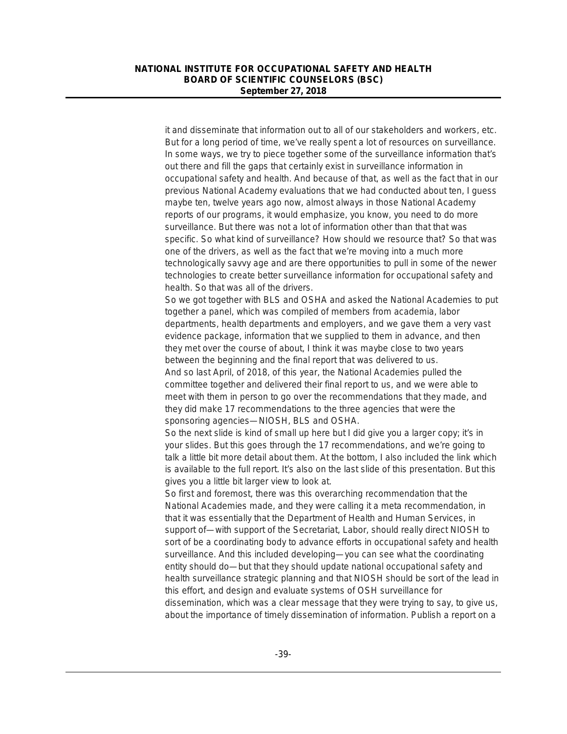it and disseminate that information out to all of our stakeholders and workers, etc. But for a long period of time, we've really spent a lot of resources on surveillance. In some ways, we try to piece together some of the surveillance information that's out there and fill the gaps that certainly exist in surveillance information in occupational safety and health. And because of that, as well as the fact that in our previous National Academy evaluations that we had conducted about ten, I guess maybe ten, twelve years ago now, almost always in those National Academy reports of our programs, it would emphasize, you know, you need to do more surveillance. But there was not a lot of information other than that that was specific. So what kind of surveillance? How should we resource that? So that was one of the drivers, as well as the fact that we're moving into a much more technologically savvy age and are there opportunities to pull in some of the newer technologies to create better surveillance information for occupational safety and health. So that was all of the drivers.

So we got together with BLS and OSHA and asked the National Academies to put together a panel, which was compiled of members from academia, labor departments, health departments and employers, and we gave them a very vast evidence package, information that we supplied to them in advance, and then they met over the course of about, I think it was maybe close to two years between the beginning and the final report that was delivered to us. And so last April, of 2018, of this year, the National Academies pulled the committee together and delivered their final report to us, and we were able to meet with them in person to go over the recommendations that they made, and they did make 17 recommendations to the three agencies that were the sponsoring agencies—NIOSH, BLS and OSHA.

So the next slide is kind of small up here but I did give you a larger copy; it's in your slides. But this goes through the 17 recommendations, and we're going to talk a little bit more detail about them. At the bottom, I also included the link which is available to the full report. It's also on the last slide of this presentation. But this gives you a little bit larger view to look at.

So first and foremost, there was this overarching recommendation that the National Academies made, and they were calling it a meta recommendation, in that it was essentially that the Department of Health and Human Services, in support of—with support of the Secretariat, Labor, should really direct NIOSH to sort of be a coordinating body to advance efforts in occupational safety and health surveillance. And this included developing—you can see what the coordinating entity should do—but that they should update national occupational safety and health surveillance strategic planning and that NIOSH should be sort of the lead in this effort, and design and evaluate systems of OSH surveillance for dissemination, which was a clear message that they were trying to say, to give us, about the importance of timely dissemination of information. Publish a report on a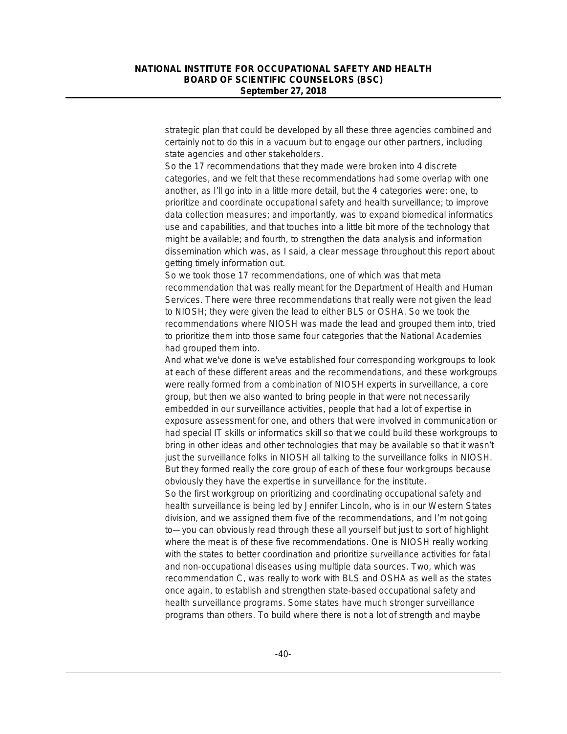strategic plan that could be developed by all these three agencies combined and certainly not to do this in a vacuum but to engage our other partners, including state agencies and other stakeholders.

So the 17 recommendations that they made were broken into 4 discrete categories, and we felt that these recommendations had some overlap with one another, as I'll go into in a little more detail, but the 4 categories were: one, to prioritize and coordinate occupational safety and health surveillance; to improve data collection measures; and importantly, was to expand biomedical informatics use and capabilities, and that touches into a little bit more of the technology that might be available; and fourth, to strengthen the data analysis and information dissemination which was, as I said, a clear message throughout this report about getting timely information out.

So we took those 17 recommendations, one of which was that meta recommendation that was really meant for the Department of Health and Human Services. There were three recommendations that really were not given the lead to NIOSH; they were given the lead to either BLS or OSHA. So we took the recommendations where NIOSH was made the lead and grouped them into, tried to prioritize them into those same four categories that the National Academies had grouped them into.

And what we've done is we've established four corresponding workgroups to look at each of these different areas and the recommendations, and these workgroups were really formed from a combination of NIOSH experts in surveillance, a core group, but then we also wanted to bring people in that were not necessarily embedded in our surveillance activities, people that had a lot of expertise in exposure assessment for one, and others that were involved in communication or had special IT skills or informatics skill so that we could build these workgroups to bring in other ideas and other technologies that may be available so that it wasn't just the surveillance folks in NIOSH all talking to the surveillance folks in NIOSH. But they formed really the core group of each of these four workgroups because obviously they have the expertise in surveillance for the institute.

So the first workgroup on prioritizing and coordinating occupational safety and health surveillance is being led by Jennifer Lincoln, who is in our Western States division, and we assigned them five of the recommendations, and I'm not going to—you can obviously read through these all yourself but just to sort of highlight where the meat is of these five recommendations. One is NIOSH really working with the states to better coordination and prioritize surveillance activities for fatal and non-occupational diseases using multiple data sources. Two, which was recommendation C, was really to work with BLS and OSHA as well as the states once again, to establish and strengthen state-based occupational safety and health surveillance programs. Some states have much stronger surveillance programs than others. To build where there is not a lot of strength and maybe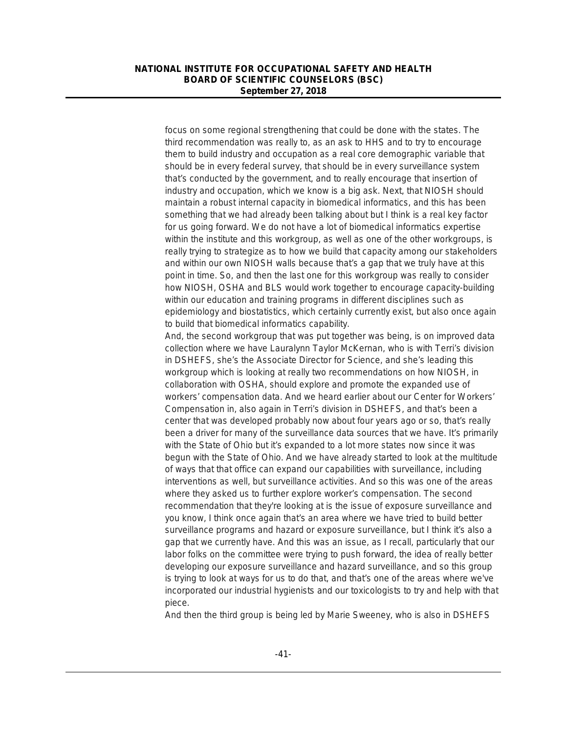focus on some regional strengthening that could be done with the states. The third recommendation was really to, as an ask to HHS and to try to encourage them to build industry and occupation as a real core demographic variable that should be in every federal survey, that should be in every surveillance system that's conducted by the government, and to really encourage that insertion of industry and occupation, which we know is a big ask. Next, that NIOSH should maintain a robust internal capacity in biomedical informatics, and this has been something that we had already been talking about but I think is a real key factor for us going forward. We do not have a lot of biomedical informatics expertise within the institute and this workgroup, as well as one of the other workgroups, is really trying to strategize as to how we build that capacity among our stakeholders and within our own NIOSH walls because that's a gap that we truly have at this point in time. So, and then the last one for this workgroup was really to consider how NIOSH, OSHA and BLS would work together to encourage capacity-building within our education and training programs in different disciplines such as epidemiology and biostatistics, which certainly currently exist, but also once again to build that biomedical informatics capability.

And, the second workgroup that was put together was being, is on improved data collection where we have Lauralynn Taylor McKernan, who is with Terri's division in DSHEFS, she's the Associate Director for Science, and she's leading this workgroup which is looking at really two recommendations on how NIOSH, in collaboration with OSHA, should explore and promote the expanded use of workers' compensation data. And we heard earlier about our Center for Workers' Compensation in, also again in Terri's division in DSHEFS, and that's been a center that was developed probably now about four years ago or so, that's really been a driver for many of the surveillance data sources that we have. It's primarily with the State of Ohio but it's expanded to a lot more states now since it was begun with the State of Ohio. And we have already started to look at the multitude of ways that that office can expand our capabilities with surveillance, including interventions as well, but surveillance activities. And so this was one of the areas where they asked us to further explore worker's compensation. The second recommendation that they're looking at is the issue of exposure surveillance and you know, I think once again that's an area where we have tried to build better surveillance programs and hazard or exposure surveillance, but I think it's also a gap that we currently have. And this was an issue, as I recall, particularly that our labor folks on the committee were trying to push forward, the idea of really better developing our exposure surveillance and hazard surveillance, and so this group is trying to look at ways for us to do that, and that's one of the areas where we've incorporated our industrial hygienists and our toxicologists to try and help with that piece.

And then the third group is being led by Marie Sweeney, who is also in DSHEFS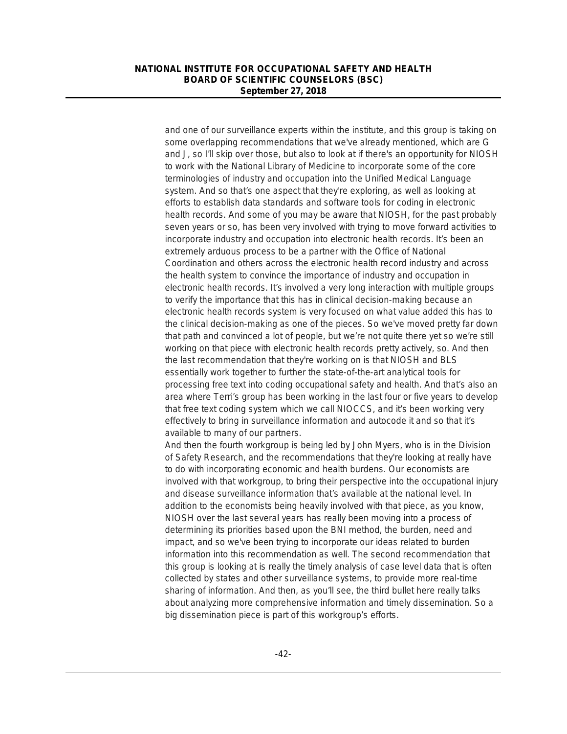and one of our surveillance experts within the institute, and this group is taking on some overlapping recommendations that we've already mentioned, which are G and J, so I'll skip over those, but also to look at if there's an opportunity for NIOSH to work with the National Library of Medicine to incorporate some of the core terminologies of industry and occupation into the Unified Medical Language system. And so that's one aspect that they're exploring, as well as looking at efforts to establish data standards and software tools for coding in electronic health records. And some of you may be aware that NIOSH, for the past probably seven years or so, has been very involved with trying to move forward activities to incorporate industry and occupation into electronic health records. It's been an extremely arduous process to be a partner with the Office of National Coordination and others across the electronic health record industry and across the health system to convince the importance of industry and occupation in electronic health records. It's involved a very long interaction with multiple groups to verify the importance that this has in clinical decision-making because an electronic health records system is very focused on what value added this has to the clinical decision-making as one of the pieces. So we've moved pretty far down that path and convinced a lot of people, but we're not quite there yet so we're still working on that piece with electronic health records pretty actively, so. And then the last recommendation that they're working on is that NIOSH and BLS essentially work together to further the state-of-the-art analytical tools for processing free text into coding occupational safety and health. And that's also an area where Terri's group has been working in the last four or five years to develop that free text coding system which we call NIOCCS, and it's been working very effectively to bring in surveillance information and autocode it and so that it's available to many of our partners.

And then the fourth workgroup is being led by John Myers, who is in the Division of Safety Research, and the recommendations that they're looking at really have to do with incorporating economic and health burdens. Our economists are involved with that workgroup, to bring their perspective into the occupational injury and disease surveillance information that's available at the national level. In addition to the economists being heavily involved with that piece, as you know, NIOSH over the last several years has really been moving into a process of determining its priorities based upon the BNI method, the burden, need and impact, and so we've been trying to incorporate our ideas related to burden information into this recommendation as well. The second recommendation that this group is looking at is really the timely analysis of case level data that is often collected by states and other surveillance systems, to provide more real-time sharing of information. And then, as you'll see, the third bullet here really talks about analyzing more comprehensive information and timely dissemination. So a big dissemination piece is part of this workgroup's efforts.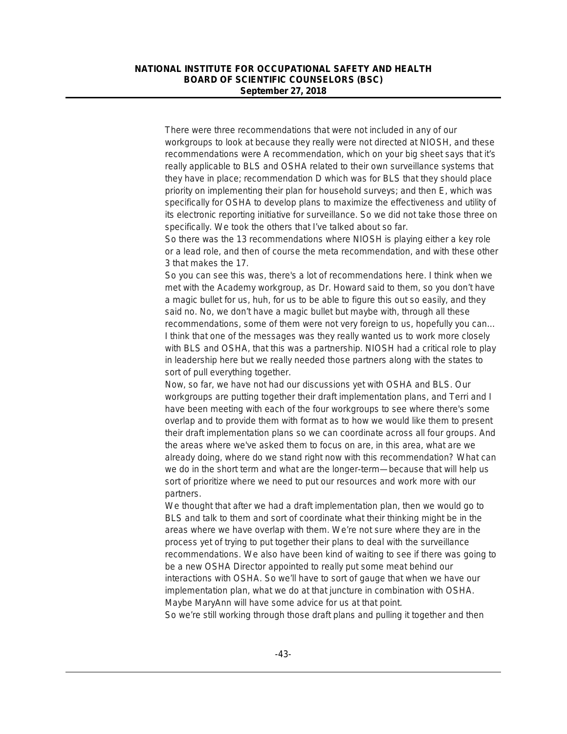There were three recommendations that were not included in any of our workgroups to look at because they really were not directed at NIOSH, and these recommendations were A recommendation, which on your big sheet says that it's really applicable to BLS and OSHA related to their own surveillance systems that they have in place; recommendation D which was for BLS that they should place priority on implementing their plan for household surveys; and then E, which was specifically for OSHA to develop plans to maximize the effectiveness and utility of its electronic reporting initiative for surveillance. So we did not take those three on specifically. We took the others that I've talked about so far.

So there was the 13 recommendations where NIOSH is playing either a key role or a lead role, and then of course the meta recommendation, and with these other 3 that makes the 17.

So you can see this was, there's a lot of recommendations here. I think when we met with the Academy workgroup, as Dr. Howard said to them, so you don't have a magic bullet for us, huh, for us to be able to figure this out so easily, and they said no. No, we don't have a magic bullet but maybe with, through all these recommendations, some of them were not very foreign to us, hopefully you can… I think that one of the messages was they really wanted us to work more closely with BLS and OSHA, that this was a partnership. NIOSH had a critical role to play in leadership here but we really needed those partners along with the states to sort of pull everything together.

Now, so far, we have not had our discussions yet with OSHA and BLS. Our workgroups are putting together their draft implementation plans, and Terri and I have been meeting with each of the four workgroups to see where there's some overlap and to provide them with format as to how we would like them to present their draft implementation plans so we can coordinate across all four groups. And the areas where we've asked them to focus on are, in this area, what are we already doing, where do we stand right now with this recommendation? What can we do in the short term and what are the longer-term—because that will help us sort of prioritize where we need to put our resources and work more with our partners.

We thought that after we had a draft implementation plan, then we would go to BLS and talk to them and sort of coordinate what their thinking might be in the areas where we have overlap with them. We're not sure where they are in the process yet of trying to put together their plans to deal with the surveillance recommendations. We also have been kind of waiting to see if there was going to be a new OSHA Director appointed to really put some meat behind our interactions with OSHA. So we'll have to sort of gauge that when we have our implementation plan, what we do at that juncture in combination with OSHA. Maybe MaryAnn will have some advice for us at that point.

So we're still working through those draft plans and pulling it together and then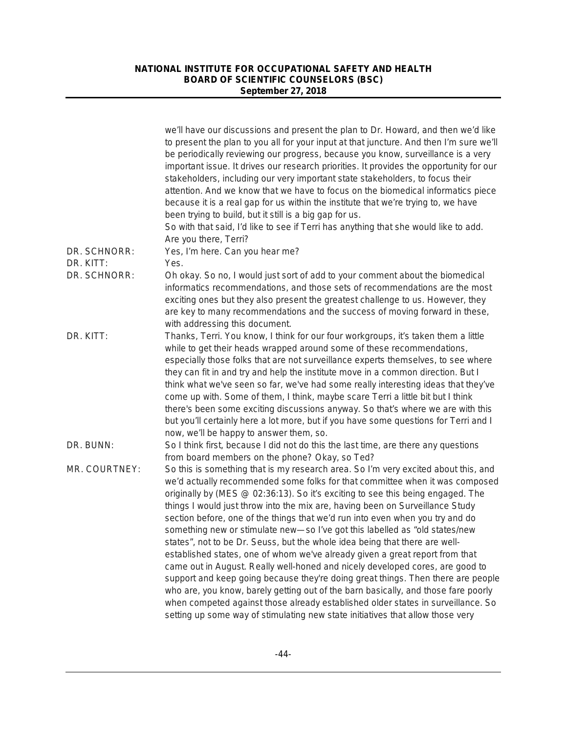|               | we'll have our discussions and present the plan to Dr. Howard, and then we'd like<br>to present the plan to you all for your input at that juncture. And then I'm sure we'll<br>be periodically reviewing our progress, because you know, surveillance is a very<br>important issue. It drives our research priorities. It provides the opportunity for our<br>stakeholders, including our very important state stakeholders, to focus their<br>attention. And we know that we have to focus on the biomedical informatics piece<br>because it is a real gap for us within the institute that we're trying to, we have<br>been trying to build, but it still is a big gap for us.<br>So with that said, I'd like to see if Terri has anything that she would like to add.<br>Are you there, Terri?                                                                                                                                                                                                                                                                                                     |
|---------------|--------------------------------------------------------------------------------------------------------------------------------------------------------------------------------------------------------------------------------------------------------------------------------------------------------------------------------------------------------------------------------------------------------------------------------------------------------------------------------------------------------------------------------------------------------------------------------------------------------------------------------------------------------------------------------------------------------------------------------------------------------------------------------------------------------------------------------------------------------------------------------------------------------------------------------------------------------------------------------------------------------------------------------------------------------------------------------------------------------|
| DR. SCHNORR:  | Yes, I'm here. Can you hear me?                                                                                                                                                                                                                                                                                                                                                                                                                                                                                                                                                                                                                                                                                                                                                                                                                                                                                                                                                                                                                                                                        |
| DR. KITT:     | Yes.                                                                                                                                                                                                                                                                                                                                                                                                                                                                                                                                                                                                                                                                                                                                                                                                                                                                                                                                                                                                                                                                                                   |
| DR. SCHNORR:  | Oh okay. So no, I would just sort of add to your comment about the biomedical<br>informatics recommendations, and those sets of recommendations are the most<br>exciting ones but they also present the greatest challenge to us. However, they<br>are key to many recommendations and the success of moving forward in these,<br>with addressing this document.                                                                                                                                                                                                                                                                                                                                                                                                                                                                                                                                                                                                                                                                                                                                       |
| DR. KITT:     | Thanks, Terri. You know, I think for our four workgroups, it's taken them a little<br>while to get their heads wrapped around some of these recommendations,<br>especially those folks that are not surveillance experts themselves, to see where<br>they can fit in and try and help the institute move in a common direction. But I<br>think what we've seen so far, we've had some really interesting ideas that they've<br>come up with. Some of them, I think, maybe scare Terri a little bit but I think<br>there's been some exciting discussions anyway. So that's where we are with this<br>but you'll certainly here a lot more, but if you have some questions for Terri and I<br>now, we'll be happy to answer them, so.                                                                                                                                                                                                                                                                                                                                                                   |
| DR. BUNN:     | So I think first, because I did not do this the last time, are there any questions<br>from board members on the phone? Okay, so Ted?                                                                                                                                                                                                                                                                                                                                                                                                                                                                                                                                                                                                                                                                                                                                                                                                                                                                                                                                                                   |
| MR. COURTNEY: | So this is something that is my research area. So I'm very excited about this, and<br>we'd actually recommended some folks for that committee when it was composed<br>originally by (MES @ 02:36:13). So it's exciting to see this being engaged. The<br>things I would just throw into the mix are, having been on Surveillance Study<br>section before, one of the things that we'd run into even when you try and do<br>something new or stimulate new-so I've got this labelled as "old states/new<br>states", not to be Dr. Seuss, but the whole idea being that there are well-<br>established states, one of whom we've already given a great report from that<br>came out in August. Really well-honed and nicely developed cores, are good to<br>support and keep going because they're doing great things. Then there are people<br>who are, you know, barely getting out of the barn basically, and those fare poorly<br>when competed against those already established older states in surveillance. So<br>setting up some way of stimulating new state initiatives that allow those very |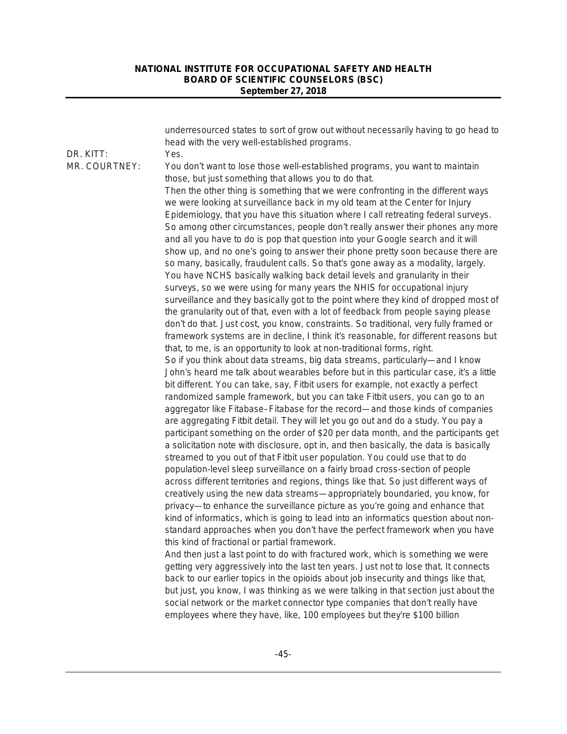|               | underresourced states to sort of grow out without necessarily having to go head to<br>head with the very well-established programs.                                                                                                                     |
|---------------|---------------------------------------------------------------------------------------------------------------------------------------------------------------------------------------------------------------------------------------------------------|
| DR. KITT:     | Yes.                                                                                                                                                                                                                                                    |
| MR. COURTNEY: | You don't want to lose those well-established programs, you want to maintain<br>those, but just something that allows you to do that.                                                                                                                   |
|               | Then the other thing is something that we were confronting in the different ways<br>we were looking at surveillance back in my old team at the Center for Injury<br>Epidemiology, that you have this situation where I call retreating federal surveys. |
|               | So among other circumstances, people don't really answer their phones any more<br>and all you have to do is pop that question into your Google search and it will                                                                                       |
|               | show up, and no one's going to answer their phone pretty soon because there are<br>so many, basically, fraudulent calls. So that's gone away as a modality, largely.<br>You have NCHS basically walking back detail levels and granularity in their     |
|               | surveys, so we were using for many years the NHIS for occupational injury                                                                                                                                                                               |
|               | surveillance and they basically got to the point where they kind of dropped most of                                                                                                                                                                     |
|               | the granularity out of that, even with a lot of feedback from people saying please                                                                                                                                                                      |
|               | don't do that. Just cost, you know, constraints. So traditional, very fully framed or<br>framework systems are in decline, I think it's reasonable, for different reasons but                                                                           |
|               | that, to me, is an opportunity to look at non-traditional forms, right.                                                                                                                                                                                 |
|               | So if you think about data streams, big data streams, particularly—and I know                                                                                                                                                                           |
|               | John's heard me talk about wearables before but in this particular case, it's a little                                                                                                                                                                  |
|               | bit different. You can take, say, Fitbit users for example, not exactly a perfect                                                                                                                                                                       |
|               | randomized sample framework, but you can take Fitbit users, you can go to an                                                                                                                                                                            |
|               | aggregator like Fitabase–Fitabase for the record—and those kinds of companies                                                                                                                                                                           |
|               | are aggregating Fitbit detail. They will let you go out and do a study. You pay a                                                                                                                                                                       |
|               | participant something on the order of \$20 per data month, and the participants get                                                                                                                                                                     |
|               | a solicitation note with disclosure, opt in, and then basically, the data is basically                                                                                                                                                                  |
|               | streamed to you out of that Fitbit user population. You could use that to do<br>population-level sleep surveillance on a fairly broad cross-section of people                                                                                           |
|               | across different territories and regions, things like that. So just different ways of                                                                                                                                                                   |
|               | creatively using the new data streams—appropriately boundaried, you know, for                                                                                                                                                                           |
|               | privacy-to enhance the surveillance picture as you're going and enhance that                                                                                                                                                                            |
|               | kind of informatics, which is going to lead into an informatics question about non-                                                                                                                                                                     |
|               | standard approaches when you don't have the perfect framework when you have                                                                                                                                                                             |
|               | this kind of fractional or partial framework.                                                                                                                                                                                                           |
|               | And then just a last point to do with fractured work, which is something we were                                                                                                                                                                        |
|               | getting very aggressively into the last ten years. Just not to lose that. It connects                                                                                                                                                                   |
|               | back to our earlier topics in the opioids about job insecurity and things like that,                                                                                                                                                                    |
|               | but just, you know, I was thinking as we were talking in that section just about the                                                                                                                                                                    |
|               | social network or the market connector type companies that don't really have<br>employees where they have, like, 100 employees but they're \$100 billion                                                                                                |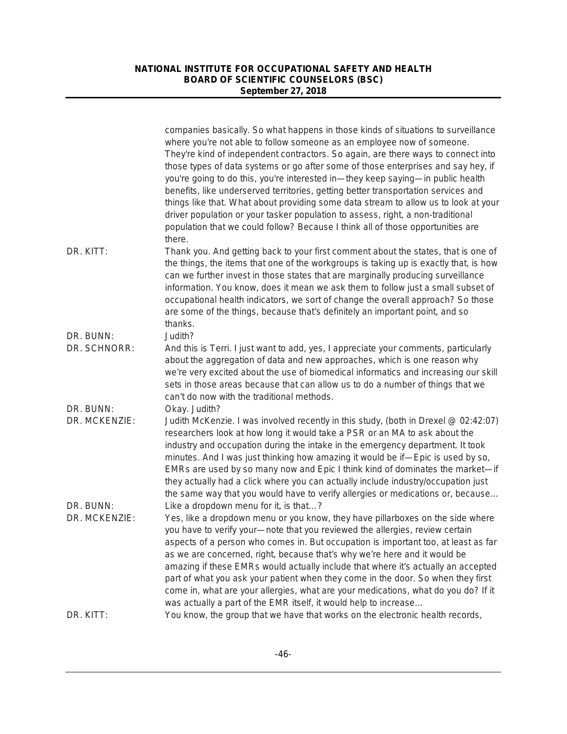|                            | companies basically. So what happens in those kinds of situations to surveillance<br>where you're not able to follow someone as an employee now of someone.<br>They're kind of independent contractors. So again, are there ways to connect into<br>those types of data systems or go after some of those enterprises and say hey, if<br>you're going to do this, you're interested in—they keep saying—in public health<br>benefits, like underserved territories, getting better transportation services and<br>things like that. What about providing some data stream to allow us to look at your<br>driver population or your tasker population to assess, right, a non-traditional<br>population that we could follow? Because I think all of those opportunities are<br>there. |
|----------------------------|---------------------------------------------------------------------------------------------------------------------------------------------------------------------------------------------------------------------------------------------------------------------------------------------------------------------------------------------------------------------------------------------------------------------------------------------------------------------------------------------------------------------------------------------------------------------------------------------------------------------------------------------------------------------------------------------------------------------------------------------------------------------------------------|
| DR. KITT:                  | Thank you. And getting back to your first comment about the states, that is one of<br>the things, the items that one of the workgroups is taking up is exactly that, is how<br>can we further invest in those states that are marginally producing surveillance<br>information. You know, does it mean we ask them to follow just a small subset of<br>occupational health indicators, we sort of change the overall approach? So those<br>are some of the things, because that's definitely an important point, and so<br>thanks.                                                                                                                                                                                                                                                    |
| DR. BUNN:<br>DR. SCHNORR:  | Judith?<br>And this is Terri. I just want to add, yes, I appreciate your comments, particularly<br>about the aggregation of data and new approaches, which is one reason why<br>we're very excited about the use of biomedical informatics and increasing our skill<br>sets in those areas because that can allow us to do a number of things that we<br>can't do now with the traditional methods.                                                                                                                                                                                                                                                                                                                                                                                   |
| DR. BUNN:<br>DR. MCKENZIE: | Okay. Judith?<br>Judith McKenzie. I was involved recently in this study, (both in Drexel @ 02:42:07)<br>researchers look at how long it would take a PSR or an MA to ask about the<br>industry and occupation during the intake in the emergency department. It took<br>minutes. And I was just thinking how amazing it would be if—Epic is used by so,<br>EMRs are used by so many now and Epic I think kind of dominates the market-if<br>they actually had a click where you can actually include industry/occupation just<br>the same way that you would have to verify allergies or medications or, because                                                                                                                                                                      |
| DR. BUNN:<br>DR. MCKENZIE: | Like a dropdown menu for it, is that?<br>Yes, like a dropdown menu or you know, they have pillarboxes on the side where<br>you have to verify your-note that you reviewed the allergies, review certain<br>aspects of a person who comes in. But occupation is important too, at least as far<br>as we are concerned, right, because that's why we're here and it would be<br>amazing if these EMRs would actually include that where it's actually an accepted<br>part of what you ask your patient when they come in the door. So when they first<br>come in, what are your allergies, what are your medications, what do you do? If it<br>was actually a part of the EMR itself, it would help to increase                                                                         |
| DR. KITT:                  | You know, the group that we have that works on the electronic health records,                                                                                                                                                                                                                                                                                                                                                                                                                                                                                                                                                                                                                                                                                                         |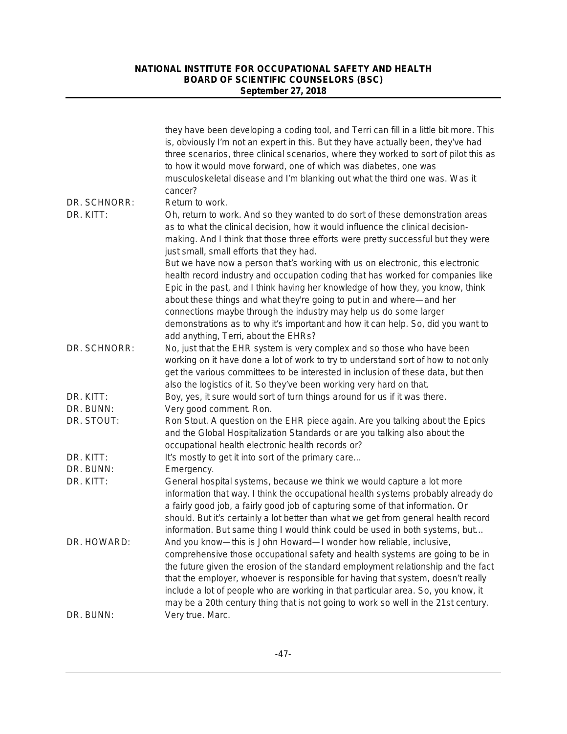|              | they have been developing a coding tool, and Terri can fill in a little bit more. This<br>is, obviously I'm not an expert in this. But they have actually been, they've had<br>three scenarios, three clinical scenarios, where they worked to sort of pilot this as<br>to how it would move forward, one of which was diabetes, one was<br>musculoskeletal disease and I'm blanking out what the third one was. Was it<br>cancer?                                                                      |
|--------------|---------------------------------------------------------------------------------------------------------------------------------------------------------------------------------------------------------------------------------------------------------------------------------------------------------------------------------------------------------------------------------------------------------------------------------------------------------------------------------------------------------|
| DR. SCHNORR: | Return to work.                                                                                                                                                                                                                                                                                                                                                                                                                                                                                         |
| DR. KITT:    | Oh, return to work. And so they wanted to do sort of these demonstration areas<br>as to what the clinical decision, how it would influence the clinical decision-<br>making. And I think that those three efforts were pretty successful but they were<br>just small, small efforts that they had.                                                                                                                                                                                                      |
|              | But we have now a person that's working with us on electronic, this electronic<br>health record industry and occupation coding that has worked for companies like<br>Epic in the past, and I think having her knowledge of how they, you know, think<br>about these things and what they're going to put in and where—and her<br>connections maybe through the industry may help us do some larger                                                                                                      |
|              | demonstrations as to why it's important and how it can help. So, did you want to<br>add anything, Terri, about the EHRs?                                                                                                                                                                                                                                                                                                                                                                                |
| DR. SCHNORR: | No, just that the EHR system is very complex and so those who have been<br>working on it have done a lot of work to try to understand sort of how to not only<br>get the various committees to be interested in inclusion of these data, but then                                                                                                                                                                                                                                                       |
| DR. KITT:    | also the logistics of it. So they've been working very hard on that.<br>Boy, yes, it sure would sort of turn things around for us if it was there.                                                                                                                                                                                                                                                                                                                                                      |
| DR. BUNN:    | Very good comment. Ron.                                                                                                                                                                                                                                                                                                                                                                                                                                                                                 |
| DR. STOUT:   | Ron Stout. A question on the EHR piece again. Are you talking about the Epics<br>and the Global Hospitalization Standards or are you talking also about the<br>occupational health electronic health records or?                                                                                                                                                                                                                                                                                        |
| DR. KITT:    | It's mostly to get it into sort of the primary care                                                                                                                                                                                                                                                                                                                                                                                                                                                     |
| DR. BUNN:    | Emergency.                                                                                                                                                                                                                                                                                                                                                                                                                                                                                              |
| DR. KITT:    | General hospital systems, because we think we would capture a lot more<br>information that way. I think the occupational health systems probably already do<br>a fairly good job, a fairly good job of capturing some of that information. Or<br>should. But it's certainly a lot better than what we get from general health record<br>information. But same thing I would think could be used in both systems, but                                                                                    |
| DR. HOWARD:  | And you know-this is John Howard-I wonder how reliable, inclusive,<br>comprehensive those occupational safety and health systems are going to be in<br>the future given the erosion of the standard employment relationship and the fact<br>that the employer, whoever is responsible for having that system, doesn't really<br>include a lot of people who are working in that particular area. So, you know, it<br>may be a 20th century thing that is not going to work so well in the 21st century. |
| DR. BUNN:    | Very true. Marc.                                                                                                                                                                                                                                                                                                                                                                                                                                                                                        |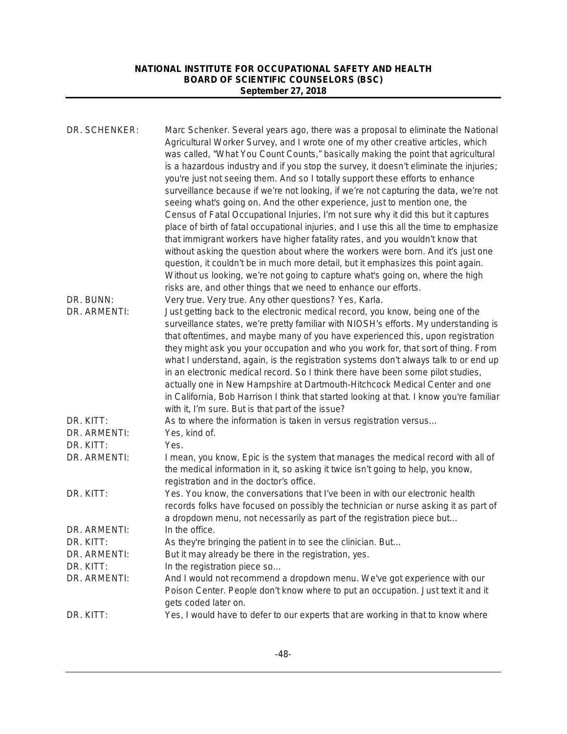| DR. SCHENKER: | Marc Schenker. Several years ago, there was a proposal to eliminate the National<br>Agricultural Worker Survey, and I wrote one of my other creative articles, which                                                                                                                                                                                                                                                                                                                                                                                                                                                                                                                                                                                                                                                                                                                                                                                                                                                                   |
|---------------|----------------------------------------------------------------------------------------------------------------------------------------------------------------------------------------------------------------------------------------------------------------------------------------------------------------------------------------------------------------------------------------------------------------------------------------------------------------------------------------------------------------------------------------------------------------------------------------------------------------------------------------------------------------------------------------------------------------------------------------------------------------------------------------------------------------------------------------------------------------------------------------------------------------------------------------------------------------------------------------------------------------------------------------|
|               | was called, "What You Count Counts," basically making the point that agricultural<br>is a hazardous industry and if you stop the survey, it doesn't eliminate the injuries;<br>you're just not seeing them. And so I totally support these efforts to enhance<br>surveillance because if we're not looking, if we're not capturing the data, we're not<br>seeing what's going on. And the other experience, just to mention one, the<br>Census of Fatal Occupational Injuries, I'm not sure why it did this but it captures<br>place of birth of fatal occupational injuries, and I use this all the time to emphasize<br>that immigrant workers have higher fatality rates, and you wouldn't know that<br>without asking the question about where the workers were born. And it's just one<br>question, it couldn't be in much more detail, but it emphasizes this point again.<br>Without us looking, we're not going to capture what's going on, where the high<br>risks are, and other things that we need to enhance our efforts. |
| DR. BUNN:     | Very true. Very true. Any other questions? Yes, Karla.                                                                                                                                                                                                                                                                                                                                                                                                                                                                                                                                                                                                                                                                                                                                                                                                                                                                                                                                                                                 |
| DR. ARMENTI:  | Just getting back to the electronic medical record, you know, being one of the<br>surveillance states, we're pretty familiar with NIOSH's efforts. My understanding is<br>that oftentimes, and maybe many of you have experienced this, upon registration<br>they might ask you your occupation and who you work for, that sort of thing. From<br>what I understand, again, is the registration systems don't always talk to or end up<br>in an electronic medical record. So I think there have been some pilot studies,<br>actually one in New Hampshire at Dartmouth-Hitchcock Medical Center and one<br>in California, Bob Harrison I think that started looking at that. I know you're familiar<br>with it, I'm sure. But is that part of the issue?                                                                                                                                                                                                                                                                              |
| DR. KITT:     | As to where the information is taken in versus registration versus                                                                                                                                                                                                                                                                                                                                                                                                                                                                                                                                                                                                                                                                                                                                                                                                                                                                                                                                                                     |
| DR. ARMENTI:  | Yes, kind of.                                                                                                                                                                                                                                                                                                                                                                                                                                                                                                                                                                                                                                                                                                                                                                                                                                                                                                                                                                                                                          |
| DR. KITT:     | Yes.                                                                                                                                                                                                                                                                                                                                                                                                                                                                                                                                                                                                                                                                                                                                                                                                                                                                                                                                                                                                                                   |
| DR. ARMENTI:  | I mean, you know, Epic is the system that manages the medical record with all of<br>the medical information in it, so asking it twice isn't going to help, you know,<br>registration and in the doctor's office.                                                                                                                                                                                                                                                                                                                                                                                                                                                                                                                                                                                                                                                                                                                                                                                                                       |
| DR. KITT:     | Yes. You know, the conversations that I've been in with our electronic health<br>records folks have focused on possibly the technician or nurse asking it as part of<br>a dropdown menu, not necessarily as part of the registration piece but                                                                                                                                                                                                                                                                                                                                                                                                                                                                                                                                                                                                                                                                                                                                                                                         |
| DR. ARMENTI:  | In the office.                                                                                                                                                                                                                                                                                                                                                                                                                                                                                                                                                                                                                                                                                                                                                                                                                                                                                                                                                                                                                         |
| DR. KITT:     | As they're bringing the patient in to see the clinician. But                                                                                                                                                                                                                                                                                                                                                                                                                                                                                                                                                                                                                                                                                                                                                                                                                                                                                                                                                                           |
| DR. ARMENTI:  | But it may already be there in the registration, yes.                                                                                                                                                                                                                                                                                                                                                                                                                                                                                                                                                                                                                                                                                                                                                                                                                                                                                                                                                                                  |
| DR. KITT:     | In the registration piece so                                                                                                                                                                                                                                                                                                                                                                                                                                                                                                                                                                                                                                                                                                                                                                                                                                                                                                                                                                                                           |
| DR. ARMENTI:  | And I would not recommend a dropdown menu. We've got experience with our<br>Poison Center. People don't know where to put an occupation. Just text it and it                                                                                                                                                                                                                                                                                                                                                                                                                                                                                                                                                                                                                                                                                                                                                                                                                                                                           |
| DR. KITT:     | gets coded later on.<br>Yes, I would have to defer to our experts that are working in that to know where                                                                                                                                                                                                                                                                                                                                                                                                                                                                                                                                                                                                                                                                                                                                                                                                                                                                                                                               |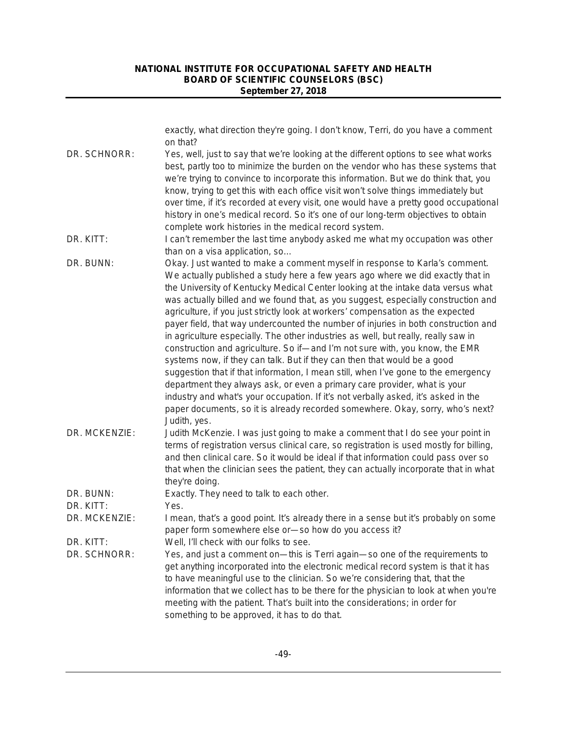|               | exactly, what direction they're going. I don't know, Terri, do you have a comment<br>on that?                                                                                                                                                                                                                                                                                                                                                                                                                                                                                                                                                                                                                                                                                                                                                                                                                                                                                                                                                                                                                                 |
|---------------|-------------------------------------------------------------------------------------------------------------------------------------------------------------------------------------------------------------------------------------------------------------------------------------------------------------------------------------------------------------------------------------------------------------------------------------------------------------------------------------------------------------------------------------------------------------------------------------------------------------------------------------------------------------------------------------------------------------------------------------------------------------------------------------------------------------------------------------------------------------------------------------------------------------------------------------------------------------------------------------------------------------------------------------------------------------------------------------------------------------------------------|
| DR. SCHNORR:  | Yes, well, just to say that we're looking at the different options to see what works<br>best, partly too to minimize the burden on the vendor who has these systems that<br>we're trying to convince to incorporate this information. But we do think that, you<br>know, trying to get this with each office visit won't solve things immediately but<br>over time, if it's recorded at every visit, one would have a pretty good occupational<br>history in one's medical record. So it's one of our long-term objectives to obtain<br>complete work histories in the medical record system.                                                                                                                                                                                                                                                                                                                                                                                                                                                                                                                                 |
| DR. KITT:     | I can't remember the last time anybody asked me what my occupation was other<br>than on a visa application, so                                                                                                                                                                                                                                                                                                                                                                                                                                                                                                                                                                                                                                                                                                                                                                                                                                                                                                                                                                                                                |
| DR. BUNN:     | Okay. Just wanted to make a comment myself in response to Karla's comment.<br>We actually published a study here a few years ago where we did exactly that in<br>the University of Kentucky Medical Center looking at the intake data versus what<br>was actually billed and we found that, as you suggest, especially construction and<br>agriculture, if you just strictly look at workers' compensation as the expected<br>payer field, that way undercounted the number of injuries in both construction and<br>in agriculture especially. The other industries as well, but really, really saw in<br>construction and agriculture. So if-and I'm not sure with, you know, the EMR<br>systems now, if they can talk. But if they can then that would be a good<br>suggestion that if that information, I mean still, when I've gone to the emergency<br>department they always ask, or even a primary care provider, what is your<br>industry and what's your occupation. If it's not verbally asked, it's asked in the<br>paper documents, so it is already recorded somewhere. Okay, sorry, who's next?<br>Judith, yes. |
| DR. MCKENZIE: | Judith McKenzie. I was just going to make a comment that I do see your point in<br>terms of registration versus clinical care, so registration is used mostly for billing,<br>and then clinical care. So it would be ideal if that information could pass over so<br>that when the clinician sees the patient, they can actually incorporate that in what<br>they're doing.                                                                                                                                                                                                                                                                                                                                                                                                                                                                                                                                                                                                                                                                                                                                                   |
| DR. BUNN:     | Exactly. They need to talk to each other.                                                                                                                                                                                                                                                                                                                                                                                                                                                                                                                                                                                                                                                                                                                                                                                                                                                                                                                                                                                                                                                                                     |
| DR. KITT:     | Yes.                                                                                                                                                                                                                                                                                                                                                                                                                                                                                                                                                                                                                                                                                                                                                                                                                                                                                                                                                                                                                                                                                                                          |
| DR. MCKENZIE: | I mean, that's a good point. It's already there in a sense but it's probably on some<br>paper form somewhere else or-so how do you access it?                                                                                                                                                                                                                                                                                                                                                                                                                                                                                                                                                                                                                                                                                                                                                                                                                                                                                                                                                                                 |
| DR. KITT:     | Well, I'll check with our folks to see.                                                                                                                                                                                                                                                                                                                                                                                                                                                                                                                                                                                                                                                                                                                                                                                                                                                                                                                                                                                                                                                                                       |
| DR. SCHNORR:  | Yes, and just a comment on-this is Terri again-so one of the requirements to<br>get anything incorporated into the electronic medical record system is that it has<br>to have meaningful use to the clinician. So we're considering that, that the<br>information that we collect has to be there for the physician to look at when you're<br>meeting with the patient. That's built into the considerations; in order for<br>something to be approved, it has to do that.                                                                                                                                                                                                                                                                                                                                                                                                                                                                                                                                                                                                                                                    |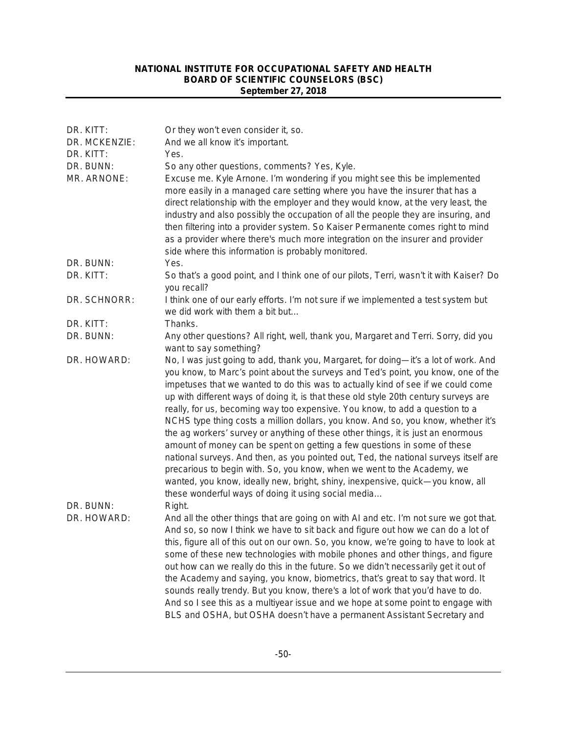| DR. KITT:<br>DR. MCKENZIE: | Or they won't even consider it, so.<br>And we all know it's important.                                                                                                                                                                                                                                                                                                                                                                                                                                                                                                                                                                                                                                                                                                                                                                                                                                                                                                                                |
|----------------------------|-------------------------------------------------------------------------------------------------------------------------------------------------------------------------------------------------------------------------------------------------------------------------------------------------------------------------------------------------------------------------------------------------------------------------------------------------------------------------------------------------------------------------------------------------------------------------------------------------------------------------------------------------------------------------------------------------------------------------------------------------------------------------------------------------------------------------------------------------------------------------------------------------------------------------------------------------------------------------------------------------------|
| DR. KITT:                  | Yes.                                                                                                                                                                                                                                                                                                                                                                                                                                                                                                                                                                                                                                                                                                                                                                                                                                                                                                                                                                                                  |
| DR. BUNN:                  | So any other questions, comments? Yes, Kyle.                                                                                                                                                                                                                                                                                                                                                                                                                                                                                                                                                                                                                                                                                                                                                                                                                                                                                                                                                          |
| MR. ARNONE:                | Excuse me. Kyle Arnone. I'm wondering if you might see this be implemented<br>more easily in a managed care setting where you have the insurer that has a<br>direct relationship with the employer and they would know, at the very least, the<br>industry and also possibly the occupation of all the people they are insuring, and<br>then filtering into a provider system. So Kaiser Permanente comes right to mind<br>as a provider where there's much more integration on the insurer and provider<br>side where this information is probably monitored.                                                                                                                                                                                                                                                                                                                                                                                                                                        |
| DR. BUNN:                  | Yes.                                                                                                                                                                                                                                                                                                                                                                                                                                                                                                                                                                                                                                                                                                                                                                                                                                                                                                                                                                                                  |
| DR. KITT:                  | So that's a good point, and I think one of our pilots, Terri, wasn't it with Kaiser? Do<br>you recall?                                                                                                                                                                                                                                                                                                                                                                                                                                                                                                                                                                                                                                                                                                                                                                                                                                                                                                |
| DR. SCHNORR:               | I think one of our early efforts. I'm not sure if we implemented a test system but<br>we did work with them a bit but                                                                                                                                                                                                                                                                                                                                                                                                                                                                                                                                                                                                                                                                                                                                                                                                                                                                                 |
| DR. KITT:                  | Thanks.                                                                                                                                                                                                                                                                                                                                                                                                                                                                                                                                                                                                                                                                                                                                                                                                                                                                                                                                                                                               |
| DR. BUNN:                  | Any other questions? All right, well, thank you, Margaret and Terri. Sorry, did you<br>want to say something?                                                                                                                                                                                                                                                                                                                                                                                                                                                                                                                                                                                                                                                                                                                                                                                                                                                                                         |
| DR. HOWARD:                | No, I was just going to add, thank you, Margaret, for doing—it's a lot of work. And<br>you know, to Marc's point about the surveys and Ted's point, you know, one of the<br>impetuses that we wanted to do this was to actually kind of see if we could come<br>up with different ways of doing it, is that these old style 20th century surveys are<br>really, for us, becoming way too expensive. You know, to add a question to a<br>NCHS type thing costs a million dollars, you know. And so, you know, whether it's<br>the ag workers' survey or anything of these other things, it is just an enormous<br>amount of money can be spent on getting a few questions in some of these<br>national surveys. And then, as you pointed out, Ted, the national surveys itself are<br>precarious to begin with. So, you know, when we went to the Academy, we<br>wanted, you know, ideally new, bright, shiny, inexpensive, quick-you know, all<br>these wonderful ways of doing it using social media |
| DR. BUNN:<br>DR. HOWARD:   | Right.<br>And all the other things that are going on with AI and etc. I'm not sure we got that.<br>And so, so now I think we have to sit back and figure out how we can do a lot of<br>this, figure all of this out on our own. So, you know, we're going to have to look at<br>some of these new technologies with mobile phones and other things, and figure<br>out how can we really do this in the future. So we didn't necessarily get it out of<br>the Academy and saying, you know, biometrics, that's great to say that word. It<br>sounds really trendy. But you know, there's a lot of work that you'd have to do.<br>And so I see this as a multiyear issue and we hope at some point to engage with<br>BLS and OSHA, but OSHA doesn't have a permanent Assistant Secretary and                                                                                                                                                                                                            |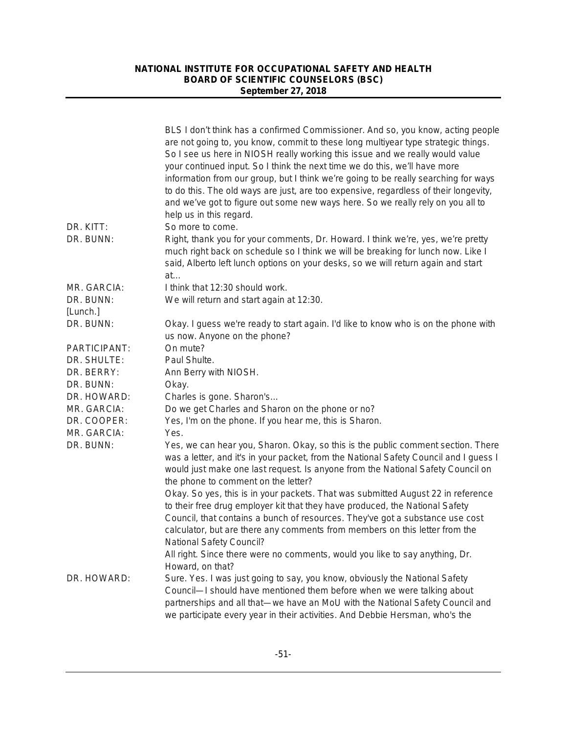|              | BLS I don't think has a confirmed Commissioner. And so, you know, acting people<br>are not going to, you know, commit to these long multiyear type strategic things.<br>So I see us here in NIOSH really working this issue and we really would value<br>your continued input. So I think the next time we do this, we'll have more<br>information from our group, but I think we're going to be really searching for ways<br>to do this. The old ways are just, are too expensive, regardless of their longevity,<br>and we've got to figure out some new ways here. So we really rely on you all to<br>help us in this regard. |
|--------------|----------------------------------------------------------------------------------------------------------------------------------------------------------------------------------------------------------------------------------------------------------------------------------------------------------------------------------------------------------------------------------------------------------------------------------------------------------------------------------------------------------------------------------------------------------------------------------------------------------------------------------|
| DR. KITT:    | So more to come.                                                                                                                                                                                                                                                                                                                                                                                                                                                                                                                                                                                                                 |
| DR. BUNN:    | Right, thank you for your comments, Dr. Howard. I think we're, yes, we're pretty<br>much right back on schedule so I think we will be breaking for lunch now. Like I<br>said, Alberto left lunch options on your desks, so we will return again and start<br>at                                                                                                                                                                                                                                                                                                                                                                  |
| MR. GARCIA:  | I think that 12:30 should work.                                                                                                                                                                                                                                                                                                                                                                                                                                                                                                                                                                                                  |
| DR. BUNN:    | We will return and start again at 12:30.                                                                                                                                                                                                                                                                                                                                                                                                                                                                                                                                                                                         |
| [Lunch.]     |                                                                                                                                                                                                                                                                                                                                                                                                                                                                                                                                                                                                                                  |
| DR. BUNN:    | Okay. I guess we're ready to start again. I'd like to know who is on the phone with                                                                                                                                                                                                                                                                                                                                                                                                                                                                                                                                              |
|              | us now. Anyone on the phone?                                                                                                                                                                                                                                                                                                                                                                                                                                                                                                                                                                                                     |
| PARTICIPANT: | On mute?                                                                                                                                                                                                                                                                                                                                                                                                                                                                                                                                                                                                                         |
| DR. SHULTE:  | Paul Shulte.                                                                                                                                                                                                                                                                                                                                                                                                                                                                                                                                                                                                                     |
| DR. BERRY:   | Ann Berry with NIOSH.                                                                                                                                                                                                                                                                                                                                                                                                                                                                                                                                                                                                            |
| DR. BUNN:    | Okay.                                                                                                                                                                                                                                                                                                                                                                                                                                                                                                                                                                                                                            |
| DR. HOWARD:  | Charles is gone. Sharon's                                                                                                                                                                                                                                                                                                                                                                                                                                                                                                                                                                                                        |
| MR. GARCIA:  | Do we get Charles and Sharon on the phone or no?                                                                                                                                                                                                                                                                                                                                                                                                                                                                                                                                                                                 |
| DR. COOPER:  | Yes, I'm on the phone. If you hear me, this is Sharon.                                                                                                                                                                                                                                                                                                                                                                                                                                                                                                                                                                           |
| MR. GARCIA:  | Yes.                                                                                                                                                                                                                                                                                                                                                                                                                                                                                                                                                                                                                             |
| DR. BUNN:    | Yes, we can hear you, Sharon. Okay, so this is the public comment section. There<br>was a letter, and it's in your packet, from the National Safety Council and I guess I<br>would just make one last request. Is anyone from the National Safety Council on<br>the phone to comment on the letter?                                                                                                                                                                                                                                                                                                                              |
|              | Okay. So yes, this is in your packets. That was submitted August 22 in reference<br>to their free drug employer kit that they have produced, the National Safety<br>Council, that contains a bunch of resources. They've got a substance use cost                                                                                                                                                                                                                                                                                                                                                                                |
|              | calculator, but are there any comments from members on this letter from the<br><b>National Safety Council?</b>                                                                                                                                                                                                                                                                                                                                                                                                                                                                                                                   |
|              | All right. Since there were no comments, would you like to say anything, Dr.<br>Howard, on that?                                                                                                                                                                                                                                                                                                                                                                                                                                                                                                                                 |
| DR. HOWARD:  | Sure. Yes. I was just going to say, you know, obviously the National Safety<br>Council-I should have mentioned them before when we were talking about<br>partnerships and all that—we have an MoU with the National Safety Council and<br>we participate every year in their activities. And Debbie Hersman, who's the                                                                                                                                                                                                                                                                                                           |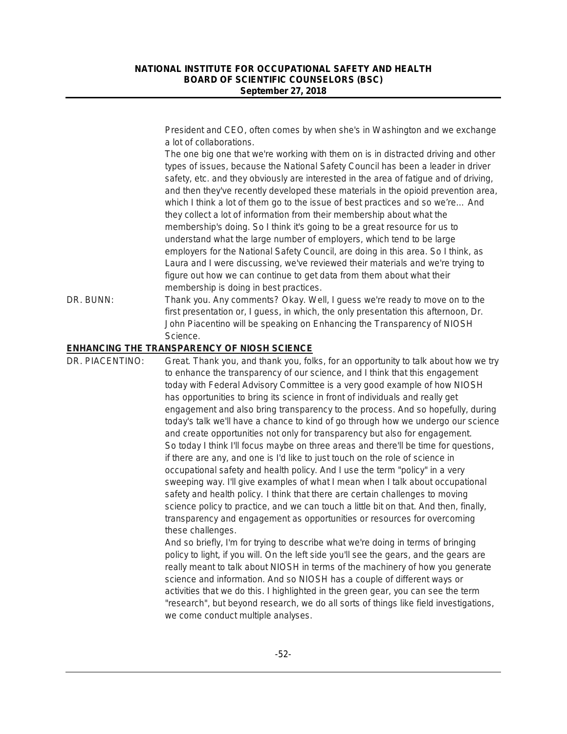President and CEO, often comes by when she's in Washington and we exchange a lot of collaborations.

The one big one that we're working with them on is in distracted driving and other types of issues, because the National Safety Council has been a leader in driver safety, etc. and they obviously are interested in the area of fatigue and of driving, and then they've recently developed these materials in the opioid prevention area, which I think a lot of them go to the issue of best practices and so we're… And they collect a lot of information from their membership about what the membership's doing. So I think it's going to be a great resource for us to understand what the large number of employers, which tend to be large employers for the National Safety Council, are doing in this area. So I think, as Laura and I were discussing, we've reviewed their materials and we're trying to figure out how we can continue to get data from them about what their membership is doing in best practices.

DR. BUNN: Thank you. Any comments? Okay. Well, I guess we're ready to move on to the first presentation or, I guess, in which, the only presentation this afternoon, Dr. John Piacentino will be speaking on Enhancing the Transparency of NIOSH Science.

#### **ENHANCING THE TRANSPARENCY OF NIOSH SCIENCE**

DR. PIACENTINO: Great. Thank you, and thank you, folks, for an opportunity to talk about how we try to enhance the transparency of our science, and I think that this engagement today with Federal Advisory Committee is a very good example of how NIOSH has opportunities to bring its science in front of individuals and really get engagement and also bring transparency to the process. And so hopefully, during today's talk we'll have a chance to kind of go through how we undergo our science and create opportunities not only for transparency but also for engagement. So today I think I'll focus maybe on three areas and there'll be time for questions, if there are any, and one is I'd like to just touch on the role of science in occupational safety and health policy. And I use the term "policy" in a very sweeping way. I'll give examples of what I mean when I talk about occupational safety and health policy. I think that there are certain challenges to moving science policy to practice, and we can touch a little bit on that. And then, finally, transparency and engagement as opportunities or resources for overcoming these challenges. And so briefly, I'm for trying to describe what we're doing in terms of bringing

policy to light, if you will. On the left side you'll see the gears, and the gears are really meant to talk about NIOSH in terms of the machinery of how you generate science and information. And so NIOSH has a couple of different ways or activities that we do this. I highlighted in the green gear, you can see the term "research", but beyond research, we do all sorts of things like field investigations, we come conduct multiple analyses.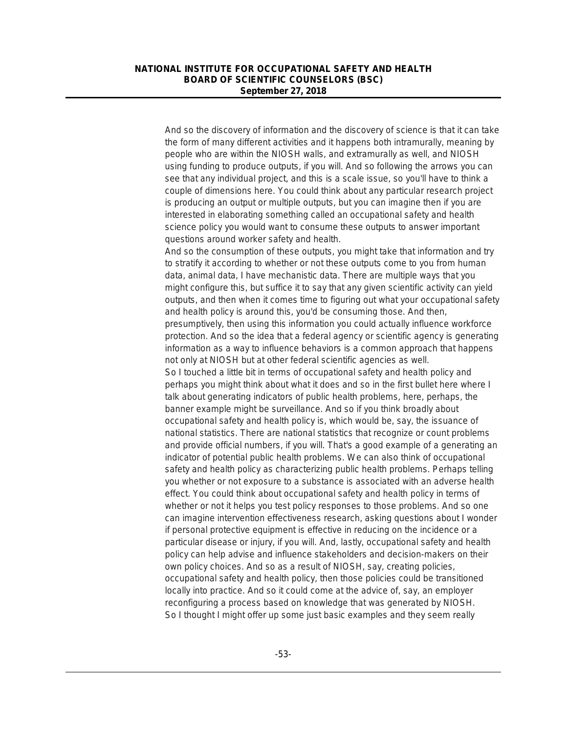And so the discovery of information and the discovery of science is that it can take the form of many different activities and it happens both intramurally, meaning by people who are within the NIOSH walls, and extramurally as well, and NIOSH using funding to produce outputs, if you will. And so following the arrows you can see that any individual project, and this is a scale issue, so you'll have to think a couple of dimensions here. You could think about any particular research project is producing an output or multiple outputs, but you can imagine then if you are interested in elaborating something called an occupational safety and health science policy you would want to consume these outputs to answer important questions around worker safety and health.

And so the consumption of these outputs, you might take that information and try to stratify it according to whether or not these outputs come to you from human data, animal data, I have mechanistic data. There are multiple ways that you might configure this, but suffice it to say that any given scientific activity can yield outputs, and then when it comes time to figuring out what your occupational safety and health policy is around this, you'd be consuming those. And then, presumptively, then using this information you could actually influence workforce protection. And so the idea that a federal agency or scientific agency is generating information as a way to influence behaviors is a common approach that happens not only at NIOSH but at other federal scientific agencies as well. So I touched a little bit in terms of occupational safety and health policy and perhaps you might think about what it does and so in the first bullet here where I talk about generating indicators of public health problems, here, perhaps, the banner example might be surveillance. And so if you think broadly about occupational safety and health policy is, which would be, say, the issuance of national statistics. There are national statistics that recognize or count problems and provide official numbers, if you will. That's a good example of a generating an indicator of potential public health problems. We can also think of occupational safety and health policy as characterizing public health problems. Perhaps telling you whether or not exposure to a substance is associated with an adverse health effect. You could think about occupational safety and health policy in terms of whether or not it helps you test policy responses to those problems. And so one can imagine intervention effectiveness research, asking questions about I wonder if personal protective equipment is effective in reducing on the incidence or a particular disease or injury, if you will. And, lastly, occupational safety and health policy can help advise and influence stakeholders and decision-makers on their own policy choices. And so as a result of NIOSH, say, creating policies, occupational safety and health policy, then those policies could be transitioned locally into practice. And so it could come at the advice of, say, an employer reconfiguring a process based on knowledge that was generated by NIOSH. So I thought I might offer up some just basic examples and they seem really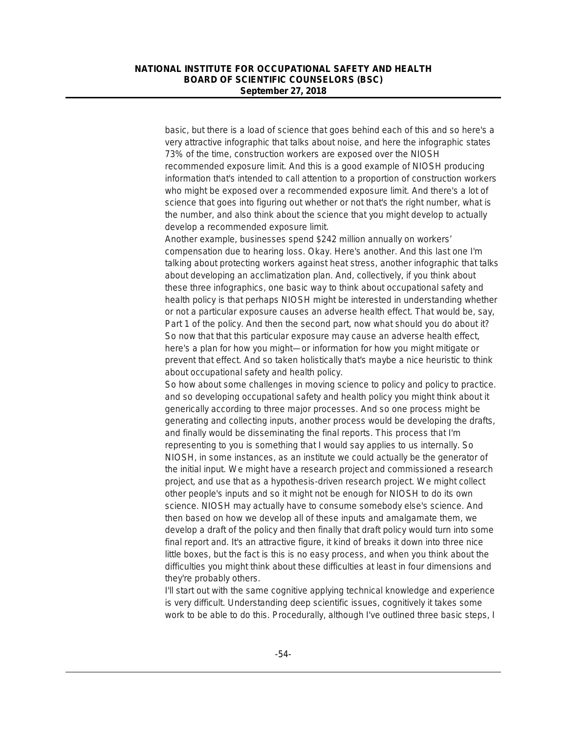basic, but there is a load of science that goes behind each of this and so here's a very attractive infographic that talks about noise, and here the infographic states 73% of the time, construction workers are exposed over the NIOSH recommended exposure limit. And this is a good example of NIOSH producing information that's intended to call attention to a proportion of construction workers who might be exposed over a recommended exposure limit. And there's a lot of science that goes into figuring out whether or not that's the right number, what is the number, and also think about the science that you might develop to actually develop a recommended exposure limit.

Another example, businesses spend \$242 million annually on workers' compensation due to hearing loss. Okay. Here's another. And this last one I'm talking about protecting workers against heat stress, another infographic that talks about developing an acclimatization plan. And, collectively, if you think about these three infographics, one basic way to think about occupational safety and health policy is that perhaps NIOSH might be interested in understanding whether or not a particular exposure causes an adverse health effect. That would be, say, Part 1 of the policy. And then the second part, now what should you do about it? So now that that this particular exposure may cause an adverse health effect, here's a plan for how you might—or information for how you might mitigate or prevent that effect. And so taken holistically that's maybe a nice heuristic to think about occupational safety and health policy.

So how about some challenges in moving science to policy and policy to practice. and so developing occupational safety and health policy you might think about it generically according to three major processes. And so one process might be generating and collecting inputs, another process would be developing the drafts, and finally would be disseminating the final reports. This process that I'm representing to you is something that I would say applies to us internally. So NIOSH, in some instances, as an institute we could actually be the generator of the initial input. We might have a research project and commissioned a research project, and use that as a hypothesis-driven research project. We might collect other people's inputs and so it might not be enough for NIOSH to do its own science. NIOSH may actually have to consume somebody else's science. And then based on how we develop all of these inputs and amalgamate them, we develop a draft of the policy and then finally that draft policy would turn into some final report and. It's an attractive figure, it kind of breaks it down into three nice little boxes, but the fact is this is no easy process, and when you think about the difficulties you might think about these difficulties at least in four dimensions and they're probably others.

I'll start out with the same cognitive applying technical knowledge and experience is very difficult. Understanding deep scientific issues, cognitively it takes some work to be able to do this. Procedurally, although I've outlined three basic steps, I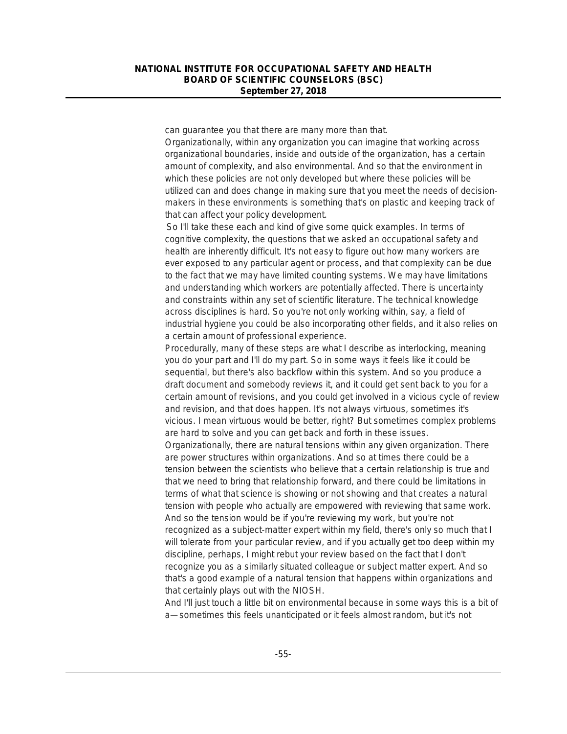can guarantee you that there are many more than that.

Organizationally, within any organization you can imagine that working across organizational boundaries, inside and outside of the organization, has a certain amount of complexity, and also environmental. And so that the environment in which these policies are not only developed but where these policies will be utilized can and does change in making sure that you meet the needs of decisionmakers in these environments is something that's on plastic and keeping track of that can affect your policy development.

So I'll take these each and kind of give some quick examples. In terms of cognitive complexity, the questions that we asked an occupational safety and health are inherently difficult. It's not easy to figure out how many workers are ever exposed to any particular agent or process, and that complexity can be due to the fact that we may have limited counting systems. We may have limitations and understanding which workers are potentially affected. There is uncertainty and constraints within any set of scientific literature. The technical knowledge across disciplines is hard. So you're not only working within, say, a field of industrial hygiene you could be also incorporating other fields, and it also relies on a certain amount of professional experience.

Procedurally, many of these steps are what I describe as interlocking, meaning you do your part and I'll do my part. So in some ways it feels like it could be sequential, but there's also backflow within this system. And so you produce a draft document and somebody reviews it, and it could get sent back to you for a certain amount of revisions, and you could get involved in a vicious cycle of review and revision, and that does happen. It's not always virtuous, sometimes it's vicious. I mean virtuous would be better, right? But sometimes complex problems are hard to solve and you can get back and forth in these issues.

Organizationally, there are natural tensions within any given organization. There are power structures within organizations. And so at times there could be a tension between the scientists who believe that a certain relationship is true and that we need to bring that relationship forward, and there could be limitations in terms of what that science is showing or not showing and that creates a natural tension with people who actually are empowered with reviewing that same work. And so the tension would be if you're reviewing my work, but you're not recognized as a subject-matter expert within my field, there's only so much that I will tolerate from your particular review, and if you actually get too deep within my discipline, perhaps, I might rebut your review based on the fact that I don't recognize you as a similarly situated colleague or subject matter expert. And so that's a good example of a natural tension that happens within organizations and that certainly plays out with the NIOSH.

And I'll just touch a little bit on environmental because in some ways this is a bit of a—sometimes this feels unanticipated or it feels almost random, but it's not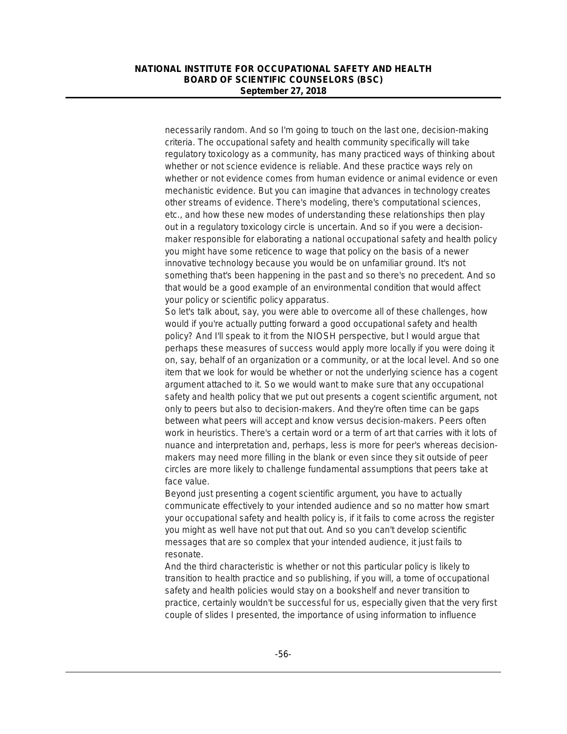necessarily random. And so I'm going to touch on the last one, decision-making criteria. The occupational safety and health community specifically will take regulatory toxicology as a community, has many practiced ways of thinking about whether or not science evidence is reliable. And these practice ways rely on whether or not evidence comes from human evidence or animal evidence or even mechanistic evidence. But you can imagine that advances in technology creates other streams of evidence. There's modeling, there's computational sciences, etc., and how these new modes of understanding these relationships then play out in a regulatory toxicology circle is uncertain. And so if you were a decisionmaker responsible for elaborating a national occupational safety and health policy you might have some reticence to wage that policy on the basis of a newer innovative technology because you would be on unfamiliar ground. It's not something that's been happening in the past and so there's no precedent. And so that would be a good example of an environmental condition that would affect your policy or scientific policy apparatus.

So let's talk about, say, you were able to overcome all of these challenges, how would if you're actually putting forward a good occupational safety and health policy? And I'll speak to it from the NIOSH perspective, but I would argue that perhaps these measures of success would apply more locally if you were doing it on, say, behalf of an organization or a community, or at the local level. And so one item that we look for would be whether or not the underlying science has a cogent argument attached to it. So we would want to make sure that any occupational safety and health policy that we put out presents a cogent scientific argument, not only to peers but also to decision-makers. And they're often time can be gaps between what peers will accept and know versus decision-makers. Peers often work in heuristics. There's a certain word or a term of art that carries with it lots of nuance and interpretation and, perhaps, less is more for peer's whereas decisionmakers may need more filling in the blank or even since they sit outside of peer circles are more likely to challenge fundamental assumptions that peers take at face value.

Beyond just presenting a cogent scientific argument, you have to actually communicate effectively to your intended audience and so no matter how smart your occupational safety and health policy is, if it fails to come across the register you might as well have not put that out. And so you can't develop scientific messages that are so complex that your intended audience, it just fails to resonate.

And the third characteristic is whether or not this particular policy is likely to transition to health practice and so publishing, if you will, a tome of occupational safety and health policies would stay on a bookshelf and never transition to practice, certainly wouldn't be successful for us, especially given that the very first couple of slides I presented, the importance of using information to influence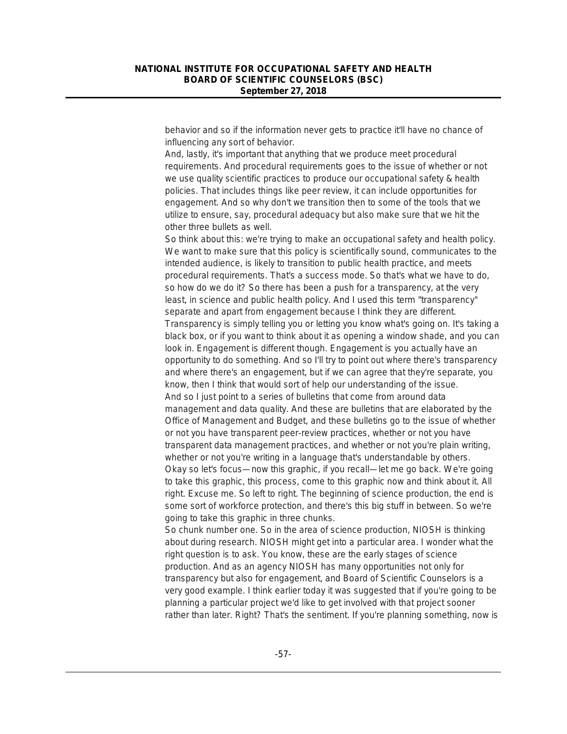behavior and so if the information never gets to practice it'll have no chance of influencing any sort of behavior.

And, lastly, it's important that anything that we produce meet procedural requirements. And procedural requirements goes to the issue of whether or not we use quality scientific practices to produce our occupational safety & health policies. That includes things like peer review, it can include opportunities for engagement. And so why don't we transition then to some of the tools that we utilize to ensure, say, procedural adequacy but also make sure that we hit the other three bullets as well.

So think about this: we're trying to make an occupational safety and health policy. We want to make sure that this policy is scientifically sound, communicates to the intended audience, is likely to transition to public health practice, and meets procedural requirements. That's a success mode. So that's what we have to do, so how do we do it? So there has been a push for a transparency, at the very least, in science and public health policy. And I used this term "transparency" separate and apart from engagement because I think they are different. Transparency is simply telling you or letting you know what's going on. It's taking a black box, or if you want to think about it as opening a window shade, and you can look in. Engagement is different though. Engagement is you actually have an opportunity to do something. And so I'll try to point out where there's transparency and where there's an engagement, but if we can agree that they're separate, you know, then I think that would sort of help our understanding of the issue. And so I just point to a series of bulletins that come from around data management and data quality. And these are bulletins that are elaborated by the Office of Management and Budget, and these bulletins go to the issue of whether or not you have transparent peer-review practices, whether or not you have transparent data management practices, and whether or not you're plain writing, whether or not you're writing in a language that's understandable by others. Okay so let's focus—now this graphic, if you recall—let me go back. We're going to take this graphic, this process, come to this graphic now and think about it. All right. Excuse me. So left to right. The beginning of science production, the end is some sort of workforce protection, and there's this big stuff in between. So we're going to take this graphic in three chunks.

So chunk number one. So in the area of science production, NIOSH is thinking about during research. NIOSH might get into a particular area. I wonder what the right question is to ask. You know, these are the early stages of science production. And as an agency NIOSH has many opportunities not only for transparency but also for engagement, and Board of Scientific Counselors is a very good example. I think earlier today it was suggested that if you're going to be planning a particular project we'd like to get involved with that project sooner rather than later. Right? That's the sentiment. If you're planning something, now is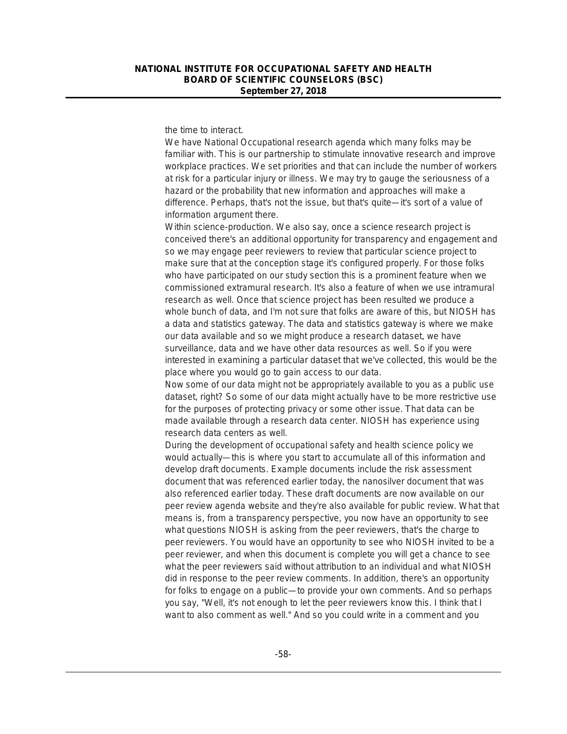the time to interact.

We have National Occupational research agenda which many folks may be familiar with. This is our partnership to stimulate innovative research and improve workplace practices. We set priorities and that can include the number of workers at risk for a particular injury or illness. We may try to gauge the seriousness of a hazard or the probability that new information and approaches will make a difference. Perhaps, that's not the issue, but that's quite—it's sort of a value of information argument there.

Within science-production. We also say, once a science research project is conceived there's an additional opportunity for transparency and engagement and so we may engage peer reviewers to review that particular science project to make sure that at the conception stage it's configured properly. For those folks who have participated on our study section this is a prominent feature when we commissioned extramural research. It's also a feature of when we use intramural research as well. Once that science project has been resulted we produce a whole bunch of data, and I'm not sure that folks are aware of this, but NIOSH has a data and statistics gateway. The data and statistics gateway is where we make our data available and so we might produce a research dataset, we have surveillance, data and we have other data resources as well. So if you were interested in examining a particular dataset that we've collected, this would be the place where you would go to gain access to our data.

Now some of our data might not be appropriately available to you as a public use dataset, right? So some of our data might actually have to be more restrictive use for the purposes of protecting privacy or some other issue. That data can be made available through a research data center. NIOSH has experience using research data centers as well.

During the development of occupational safety and health science policy we would actually—this is where you start to accumulate all of this information and develop draft documents. Example documents include the risk assessment document that was referenced earlier today, the nanosilver document that was also referenced earlier today. These draft documents are now available on our peer review agenda website and they're also available for public review. What that means is, from a transparency perspective, you now have an opportunity to see what questions NIOSH is asking from the peer reviewers, that's the charge to peer reviewers. You would have an opportunity to see who NIOSH invited to be a peer reviewer, and when this document is complete you will get a chance to see what the peer reviewers said without attribution to an individual and what NIOSH did in response to the peer review comments. In addition, there's an opportunity for folks to engage on a public—to provide your own comments. And so perhaps you say, "Well, it's not enough to let the peer reviewers know this. I think that I want to also comment as well." And so you could write in a comment and you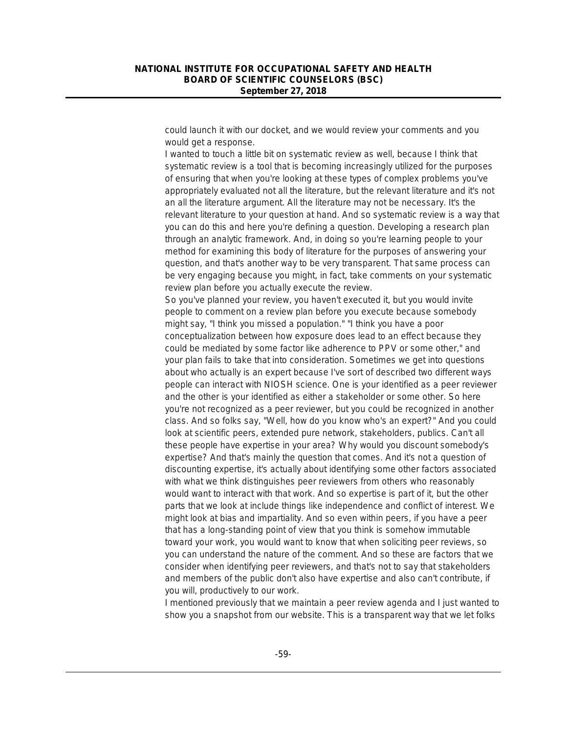could launch it with our docket, and we would review your comments and you would get a response.

I wanted to touch a little bit on systematic review as well, because I think that systematic review is a tool that is becoming increasingly utilized for the purposes of ensuring that when you're looking at these types of complex problems you've appropriately evaluated not all the literature, but the relevant literature and it's not an all the literature argument. All the literature may not be necessary. It's the relevant literature to your question at hand. And so systematic review is a way that you can do this and here you're defining a question. Developing a research plan through an analytic framework. And, in doing so you're learning people to your method for examining this body of literature for the purposes of answering your question, and that's another way to be very transparent. That same process can be very engaging because you might, in fact, take comments on your systematic review plan before you actually execute the review.

So you've planned your review, you haven't executed it, but you would invite people to comment on a review plan before you execute because somebody might say, "I think you missed a population." "I think you have a poor conceptualization between how exposure does lead to an effect because they could be mediated by some factor like adherence to PPV or some other," and your plan fails to take that into consideration. Sometimes we get into questions about who actually is an expert because I've sort of described two different ways people can interact with NIOSH science. One is your identified as a peer reviewer and the other is your identified as either a stakeholder or some other. So here you're not recognized as a peer reviewer, but you could be recognized in another class. And so folks say, "Well, how do you know who's an expert?" And you could look at scientific peers, extended pure network, stakeholders, publics. Can't all these people have expertise in your area? Why would you discount somebody's expertise? And that's mainly the question that comes. And it's not a question of discounting expertise, it's actually about identifying some other factors associated with what we think distinguishes peer reviewers from others who reasonably would want to interact with that work. And so expertise is part of it, but the other parts that we look at include things like independence and conflict of interest. We might look at bias and impartiality. And so even within peers, if you have a peer that has a long-standing point of view that you think is somehow immutable toward your work, you would want to know that when soliciting peer reviews, so you can understand the nature of the comment. And so these are factors that we consider when identifying peer reviewers, and that's not to say that stakeholders and members of the public don't also have expertise and also can't contribute, if you will, productively to our work.

I mentioned previously that we maintain a peer review agenda and I just wanted to show you a snapshot from our website. This is a transparent way that we let folks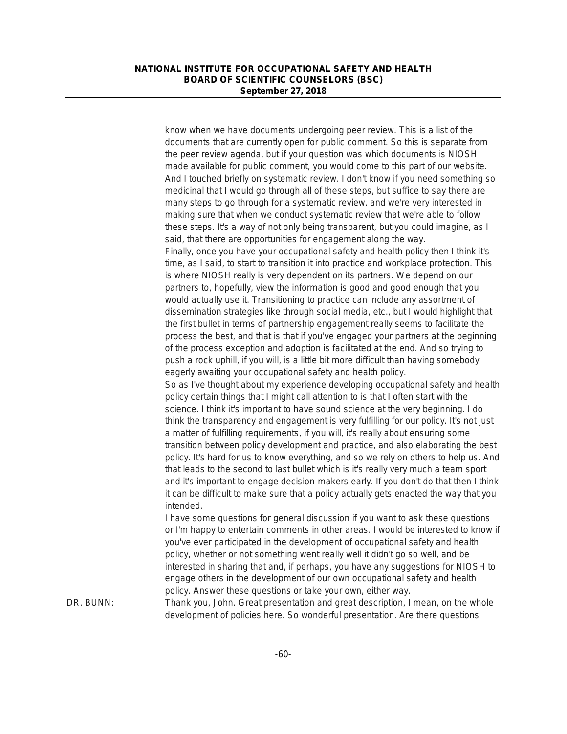know when we have documents undergoing peer review. This is a list of the documents that are currently open for public comment. So this is separate from the peer review agenda, but if your question was which documents is NIOSH made available for public comment, you would come to this part of our website. And I touched briefly on systematic review. I don't know if you need something so medicinal that I would go through all of these steps, but suffice to say there are many steps to go through for a systematic review, and we're very interested in making sure that when we conduct systematic review that we're able to follow these steps. It's a way of not only being transparent, but you could imagine, as I said, that there are opportunities for engagement along the way. Finally, once you have your occupational safety and health policy then I think it's time, as I said, to start to transition it into practice and workplace protection. This is where NIOSH really is very dependent on its partners. We depend on our partners to, hopefully, view the information is good and good enough that you would actually use it. Transitioning to practice can include any assortment of dissemination strategies like through social media, etc., but I would highlight that the first bullet in terms of partnership engagement really seems to facilitate the process the best, and that is that if you've engaged your partners at the beginning of the process exception and adoption is facilitated at the end. And so trying to push a rock uphill, if you will, is a little bit more difficult than having somebody eagerly awaiting your occupational safety and health policy. So as I've thought about my experience developing occupational safety and health policy certain things that I might call attention to is that I often start with the science. I think it's important to have sound science at the very beginning. I do think the transparency and engagement is very fulfilling for our policy. It's not just a matter of fulfilling requirements, if you will, it's really about ensuring some transition between policy development and practice, and also elaborating the best policy. It's hard for us to know everything, and so we rely on others to help us. And that leads to the second to last bullet which is it's really very much a team sport and it's important to engage decision-makers early. If you don't do that then I think it can be difficult to make sure that a policy actually gets enacted the way that you intended. I have some questions for general discussion if you want to ask these questions or I'm happy to entertain comments in other areas. I would be interested to know if you've ever participated in the development of occupational safety and health policy, whether or not something went really well it didn't go so well, and be interested in sharing that and, if perhaps, you have any suggestions for NIOSH to engage others in the development of our own occupational safety and health policy. Answer these questions or take your own, either way. DR. BUNN: Thank you, John. Great presentation and great description, I mean, on the whole development of policies here. So wonderful presentation. Are there questions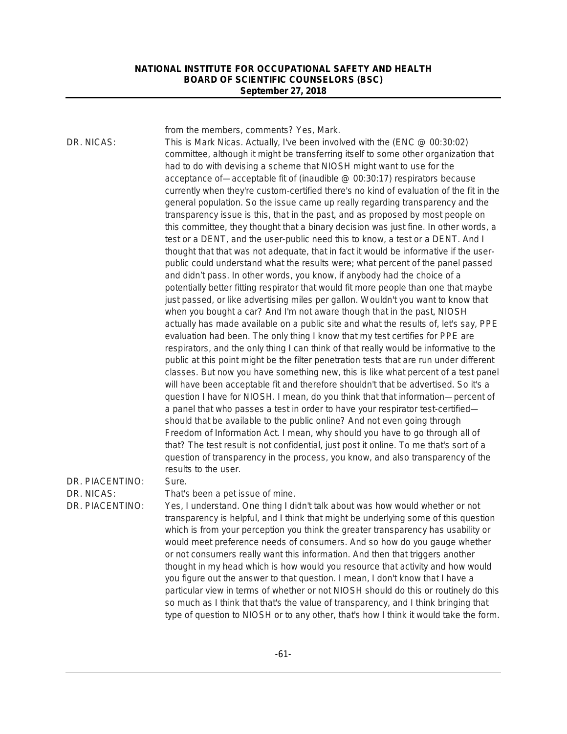from the members, comments? Yes, Mark.

DR. NICAS: This is Mark Nicas. Actually, I've been involved with the (ENC @ 00:30:02) committee, although it might be transferring itself to some other organization that had to do with devising a scheme that NIOSH might want to use for the acceptance of—acceptable fit of (inaudible @ 00:30:17) respirators because currently when they're custom-certified there's no kind of evaluation of the fit in the general population. So the issue came up really regarding transparency and the transparency issue is this, that in the past, and as proposed by most people on this committee, they thought that a binary decision was just fine. In other words, a test or a DENT, and the user-public need this to know, a test or a DENT. And I thought that that was not adequate, that in fact it would be informative if the userpublic could understand what the results were; what percent of the panel passed and didn't pass. In other words, you know, if anybody had the choice of a potentially better fitting respirator that would fit more people than one that maybe just passed, or like advertising miles per gallon. Wouldn't you want to know that when you bought a car? And I'm not aware though that in the past, NIOSH actually has made available on a public site and what the results of, let's say, PPE evaluation had been. The only thing I know that my test certifies for PPE are respirators, and the only thing I can think of that really would be informative to the public at this point might be the filter penetration tests that are run under different classes. But now you have something new, this is like what percent of a test panel will have been acceptable fit and therefore shouldn't that be advertised. So it's a question I have for NIOSH. I mean, do you think that that information—percent of a panel that who passes a test in order to have your respirator test-certified should that be available to the public online? And not even going through Freedom of Information Act. I mean, why should you have to go through all of that? The test result is not confidential, just post it online. To me that's sort of a question of transparency in the process, you know, and also transparency of the results to the user.

DR. PIACENTINO: Sure.

DR. NICAS: That's been a pet issue of mine.

DR. PIACENTINO: Yes, I understand. One thing I didn't talk about was how would whether or not transparency is helpful, and I think that might be underlying some of this question which is from your perception you think the greater transparency has usability or would meet preference needs of consumers. And so how do you gauge whether or not consumers really want this information. And then that triggers another thought in my head which is how would you resource that activity and how would you figure out the answer to that question. I mean, I don't know that I have a particular view in terms of whether or not NIOSH should do this or routinely do this so much as I think that that's the value of transparency, and I think bringing that type of question to NIOSH or to any other, that's how I think it would take the form.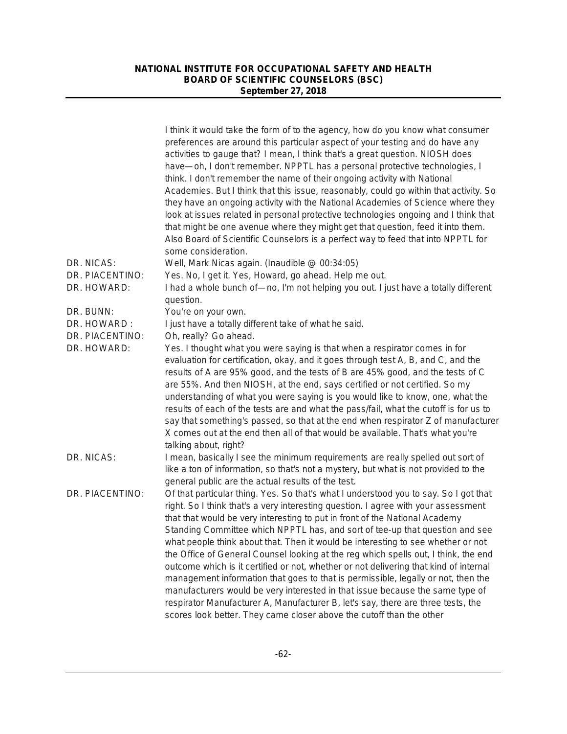|                 | I think it would take the form of to the agency, how do you know what consumer<br>preferences are around this particular aspect of your testing and do have any<br>activities to gauge that? I mean, I think that's a great question. NIOSH does<br>have-oh, I don't remember. NPPTL has a personal protective technologies, I                                                                                                                                                                                                                                                                                                                                                                                                                                                      |
|-----------------|-------------------------------------------------------------------------------------------------------------------------------------------------------------------------------------------------------------------------------------------------------------------------------------------------------------------------------------------------------------------------------------------------------------------------------------------------------------------------------------------------------------------------------------------------------------------------------------------------------------------------------------------------------------------------------------------------------------------------------------------------------------------------------------|
|                 | think. I don't remember the name of their ongoing activity with National<br>Academies. But I think that this issue, reasonably, could go within that activity. So<br>they have an ongoing activity with the National Academies of Science where they<br>look at issues related in personal protective technologies ongoing and I think that<br>that might be one avenue where they might get that question, feed it into them.<br>Also Board of Scientific Counselors is a perfect way to feed that into NPPTL for<br>some consideration.                                                                                                                                                                                                                                           |
| DR. NICAS:      | Well, Mark Nicas again. (Inaudible @ 00:34:05)                                                                                                                                                                                                                                                                                                                                                                                                                                                                                                                                                                                                                                                                                                                                      |
| DR. PIACENTINO: | Yes. No, I get it. Yes, Howard, go ahead. Help me out.                                                                                                                                                                                                                                                                                                                                                                                                                                                                                                                                                                                                                                                                                                                              |
| DR. HOWARD:     | I had a whole bunch of-no, I'm not helping you out. I just have a totally different<br>question.                                                                                                                                                                                                                                                                                                                                                                                                                                                                                                                                                                                                                                                                                    |
| DR. BUNN:       | You're on your own.                                                                                                                                                                                                                                                                                                                                                                                                                                                                                                                                                                                                                                                                                                                                                                 |
| DR. HOWARD:     | I just have a totally different take of what he said.                                                                                                                                                                                                                                                                                                                                                                                                                                                                                                                                                                                                                                                                                                                               |
| DR. PIACENTINO: | Oh, really? Go ahead.                                                                                                                                                                                                                                                                                                                                                                                                                                                                                                                                                                                                                                                                                                                                                               |
| DR. HOWARD:     | Yes. I thought what you were saying is that when a respirator comes in for<br>evaluation for certification, okay, and it goes through test A, B, and C, and the<br>results of A are 95% good, and the tests of B are 45% good, and the tests of C<br>are 55%. And then NIOSH, at the end, says certified or not certified. So my<br>understanding of what you were saying is you would like to know, one, what the<br>results of each of the tests are and what the pass/fail, what the cutoff is for us to<br>say that something's passed, so that at the end when respirator Z of manufacturer<br>X comes out at the end then all of that would be available. That's what you're<br>talking about, right?                                                                         |
| DR. NICAS:      | I mean, basically I see the minimum requirements are really spelled out sort of<br>like a ton of information, so that's not a mystery, but what is not provided to the<br>general public are the actual results of the test.                                                                                                                                                                                                                                                                                                                                                                                                                                                                                                                                                        |
| DR. PIACENTINO: | Of that particular thing. Yes. So that's what I understood you to say. So I got that<br>right. So I think that's a very interesting question. I agree with your assessment<br>that that would be very interesting to put in front of the National Academy<br>Standing Committee which NPPTL has, and sort of tee-up that question and see<br>what people think about that. Then it would be interesting to see whether or not<br>the Office of General Counsel looking at the reg which spells out, I think, the end<br>outcome which is it certified or not, whether or not delivering that kind of internal<br>management information that goes to that is permissible, legally or not, then the<br>manufacturers would be very interested in that issue because the same type of |
|                 | respirator Manufacturer A, Manufacturer B, let's say, there are three tests, the<br>scores look better. They came closer above the cutoff than the other                                                                                                                                                                                                                                                                                                                                                                                                                                                                                                                                                                                                                            |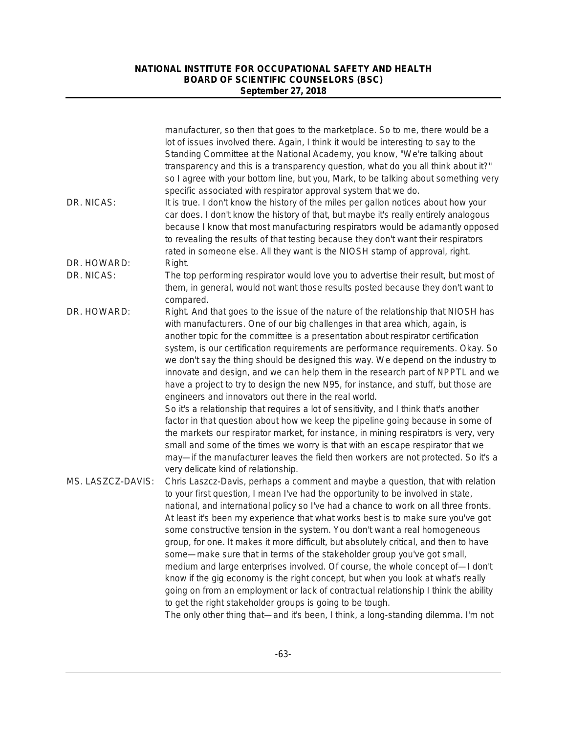|                   | manufacturer, so then that goes to the marketplace. So to me, there would be a<br>lot of issues involved there. Again, I think it would be interesting to say to the<br>Standing Committee at the National Academy, you know, "We're talking about<br>transparency and this is a transparency question, what do you all think about it?"<br>so I agree with your bottom line, but you, Mark, to be talking about something very<br>specific associated with respirator approval system that we do.                                                                                                                                                                                                                                                                                                                                                                                                                                                                                                                                                                                                          |
|-------------------|-------------------------------------------------------------------------------------------------------------------------------------------------------------------------------------------------------------------------------------------------------------------------------------------------------------------------------------------------------------------------------------------------------------------------------------------------------------------------------------------------------------------------------------------------------------------------------------------------------------------------------------------------------------------------------------------------------------------------------------------------------------------------------------------------------------------------------------------------------------------------------------------------------------------------------------------------------------------------------------------------------------------------------------------------------------------------------------------------------------|
| DR. NICAS:        | It is true. I don't know the history of the miles per gallon notices about how your<br>car does. I don't know the history of that, but maybe it's really entirely analogous<br>because I know that most manufacturing respirators would be adamantly opposed<br>to revealing the results of that testing because they don't want their respirators<br>rated in someone else. All they want is the NIOSH stamp of approval, right.                                                                                                                                                                                                                                                                                                                                                                                                                                                                                                                                                                                                                                                                           |
| DR. HOWARD:       | Right.                                                                                                                                                                                                                                                                                                                                                                                                                                                                                                                                                                                                                                                                                                                                                                                                                                                                                                                                                                                                                                                                                                      |
| DR. NICAS:        | The top performing respirator would love you to advertise their result, but most of<br>them, in general, would not want those results posted because they don't want to<br>compared.                                                                                                                                                                                                                                                                                                                                                                                                                                                                                                                                                                                                                                                                                                                                                                                                                                                                                                                        |
| DR. HOWARD:       | Right. And that goes to the issue of the nature of the relationship that NIOSH has<br>with manufacturers. One of our big challenges in that area which, again, is<br>another topic for the committee is a presentation about respirator certification<br>system, is our certification requirements are performance requirements. Okay. So<br>we don't say the thing should be designed this way. We depend on the industry to<br>innovate and design, and we can help them in the research part of NPPTL and we<br>have a project to try to design the new N95, for instance, and stuff, but those are<br>engineers and innovators out there in the real world.<br>So it's a relationship that requires a lot of sensitivity, and I think that's another<br>factor in that question about how we keep the pipeline going because in some of<br>the markets our respirator market, for instance, in mining respirators is very, very<br>small and some of the times we worry is that with an escape respirator that we<br>may—if the manufacturer leaves the field then workers are not protected. So it's a |
|                   | very delicate kind of relationship.                                                                                                                                                                                                                                                                                                                                                                                                                                                                                                                                                                                                                                                                                                                                                                                                                                                                                                                                                                                                                                                                         |
| MS. LASZCZ-DAVIS: | Chris Laszcz-Davis, perhaps a comment and maybe a question, that with relation<br>to your first question, I mean I've had the opportunity to be involved in state,<br>national, and international policy so I've had a chance to work on all three fronts.<br>At least it's been my experience that what works best is to make sure you've got<br>some constructive tension in the system. You don't want a real homogeneous<br>group, for one. It makes it more difficult, but absolutely critical, and then to have<br>some—make sure that in terms of the stakeholder group you've got small,<br>medium and large enterprises involved. Of course, the whole concept of-I don't<br>know if the gig economy is the right concept, but when you look at what's really<br>going on from an employment or lack of contractual relationship I think the ability<br>to get the right stakeholder groups is going to be tough.                                                                                                                                                                                  |
|                   | The only other thing that—and it's been, I think, a long-standing dilemma. I'm not                                                                                                                                                                                                                                                                                                                                                                                                                                                                                                                                                                                                                                                                                                                                                                                                                                                                                                                                                                                                                          |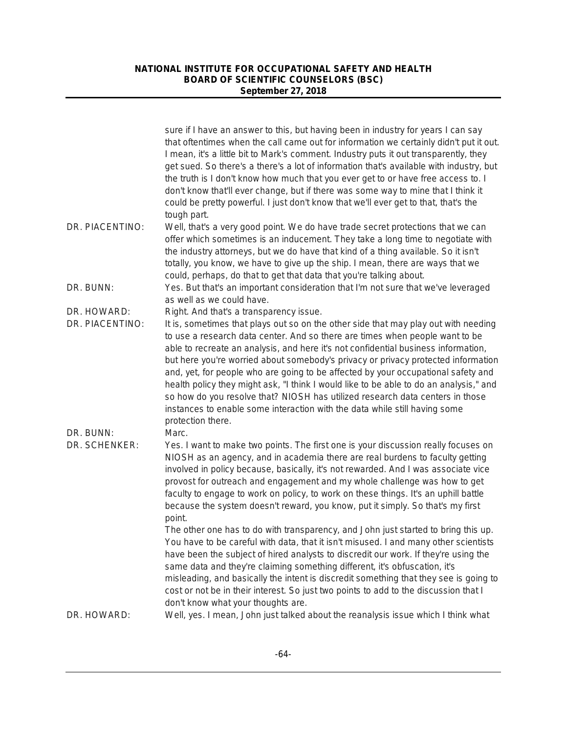|                                | sure if I have an answer to this, but having been in industry for years I can say<br>that oftentimes when the call came out for information we certainly didn't put it out.<br>I mean, it's a little bit to Mark's comment. Industry puts it out transparently, they<br>get sued. So there's a there's a lot of information that's available with industry, but<br>the truth is I don't know how much that you ever get to or have free access to. I<br>don't know that'll ever change, but if there was some way to mine that I think it<br>could be pretty powerful. I just don't know that we'll ever get to that, that's the                                                                                                                                                                                                                                                                                                                                                                                                                                                                             |
|--------------------------------|--------------------------------------------------------------------------------------------------------------------------------------------------------------------------------------------------------------------------------------------------------------------------------------------------------------------------------------------------------------------------------------------------------------------------------------------------------------------------------------------------------------------------------------------------------------------------------------------------------------------------------------------------------------------------------------------------------------------------------------------------------------------------------------------------------------------------------------------------------------------------------------------------------------------------------------------------------------------------------------------------------------------------------------------------------------------------------------------------------------|
| DR. PIACENTINO:                | tough part.<br>Well, that's a very good point. We do have trade secret protections that we can<br>offer which sometimes is an inducement. They take a long time to negotiate with<br>the industry attorneys, but we do have that kind of a thing available. So it isn't<br>totally, you know, we have to give up the ship. I mean, there are ways that we<br>could, perhaps, do that to get that data that you're talking about.                                                                                                                                                                                                                                                                                                                                                                                                                                                                                                                                                                                                                                                                             |
| DR. BUNN:                      | Yes. But that's an important consideration that I'm not sure that we've leveraged<br>as well as we could have.                                                                                                                                                                                                                                                                                                                                                                                                                                                                                                                                                                                                                                                                                                                                                                                                                                                                                                                                                                                               |
| DR. HOWARD:<br>DR. PIACENTINO: | Right. And that's a transparency issue.<br>It is, sometimes that plays out so on the other side that may play out with needing<br>to use a research data center. And so there are times when people want to be<br>able to recreate an analysis, and here it's not confidential business information,<br>but here you're worried about somebody's privacy or privacy protected information<br>and, yet, for people who are going to be affected by your occupational safety and<br>health policy they might ask, "I think I would like to be able to do an analysis," and<br>so how do you resolve that? NIOSH has utilized research data centers in those<br>instances to enable some interaction with the data while still having some<br>protection there.                                                                                                                                                                                                                                                                                                                                                 |
| DR. BUNN:<br>DR. SCHENKER:     | Marc.<br>Yes. I want to make two points. The first one is your discussion really focuses on<br>NIOSH as an agency, and in academia there are real burdens to faculty getting<br>involved in policy because, basically, it's not rewarded. And I was associate vice<br>provost for outreach and engagement and my whole challenge was how to get<br>faculty to engage to work on policy, to work on these things. It's an uphill battle<br>because the system doesn't reward, you know, put it simply. So that's my first<br>point.<br>The other one has to do with transparency, and John just started to bring this up.<br>You have to be careful with data, that it isn't misused. I and many other scientists<br>have been the subject of hired analysts to discredit our work. If they're using the<br>same data and they're claiming something different, it's obfuscation, it's<br>misleading, and basically the intent is discredit something that they see is going to<br>cost or not be in their interest. So just two points to add to the discussion that I<br>don't know what your thoughts are. |
| DR. HOWARD:                    | Well, yes. I mean, John just talked about the reanalysis issue which I think what                                                                                                                                                                                                                                                                                                                                                                                                                                                                                                                                                                                                                                                                                                                                                                                                                                                                                                                                                                                                                            |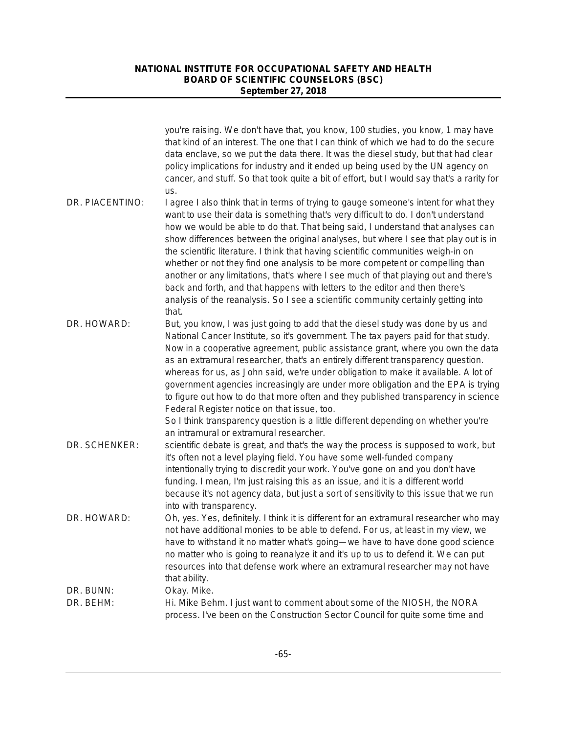|                 | you're raising. We don't have that, you know, 100 studies, you know, 1 may have<br>that kind of an interest. The one that I can think of which we had to do the secure<br>data enclave, so we put the data there. It was the diesel study, but that had clear<br>policy implications for industry and it ended up being used by the UN agency on<br>cancer, and stuff. So that took quite a bit of effort, but I would say that's a rarity for<br>us.                                                                                                                                                                                                                                                                                                                                              |
|-----------------|----------------------------------------------------------------------------------------------------------------------------------------------------------------------------------------------------------------------------------------------------------------------------------------------------------------------------------------------------------------------------------------------------------------------------------------------------------------------------------------------------------------------------------------------------------------------------------------------------------------------------------------------------------------------------------------------------------------------------------------------------------------------------------------------------|
| DR. PIACENTINO: | I agree I also think that in terms of trying to gauge someone's intent for what they<br>want to use their data is something that's very difficult to do. I don't understand<br>how we would be able to do that. That being said, I understand that analyses can<br>show differences between the original analyses, but where I see that play out is in<br>the scientific literature. I think that having scientific communities weigh-in on<br>whether or not they find one analysis to be more competent or compelling than<br>another or any limitations, that's where I see much of that playing out and there's<br>back and forth, and that happens with letters to the editor and then there's<br>analysis of the reanalysis. So I see a scientific community certainly getting into<br>that. |
| DR. HOWARD:     | But, you know, I was just going to add that the diesel study was done by us and<br>National Cancer Institute, so it's government. The tax payers paid for that study.<br>Now in a cooperative agreement, public assistance grant, where you own the data<br>as an extramural researcher, that's an entirely different transparency question.<br>whereas for us, as John said, we're under obligation to make it available. A lot of<br>government agencies increasingly are under more obligation and the EPA is trying<br>to figure out how to do that more often and they published transparency in science<br>Federal Register notice on that issue, too.<br>So I think transparency question is a little different depending on whether you're<br>an intramural or extramural researcher.      |
| DR. SCHENKER:   | scientific debate is great, and that's the way the process is supposed to work, but<br>it's often not a level playing field. You have some well-funded company<br>intentionally trying to discredit your work. You've gone on and you don't have<br>funding. I mean, I'm just raising this as an issue, and it is a different world<br>because it's not agency data, but just a sort of sensitivity to this issue that we run<br>into with transparency.                                                                                                                                                                                                                                                                                                                                           |
| DR. HOWARD:     | Oh, yes. Yes, definitely. I think it is different for an extramural researcher who may<br>not have additional monies to be able to defend. For us, at least in my view, we<br>have to withstand it no matter what's going-we have to have done good science<br>no matter who is going to reanalyze it and it's up to us to defend it. We can put<br>resources into that defense work where an extramural researcher may not have<br>that ability.                                                                                                                                                                                                                                                                                                                                                  |
| DR. BUNN:       | Okay. Mike.                                                                                                                                                                                                                                                                                                                                                                                                                                                                                                                                                                                                                                                                                                                                                                                        |
| DR. BEHM:       | Hi. Mike Behm. I just want to comment about some of the NIOSH, the NORA<br>process. I've been on the Construction Sector Council for quite some time and                                                                                                                                                                                                                                                                                                                                                                                                                                                                                                                                                                                                                                           |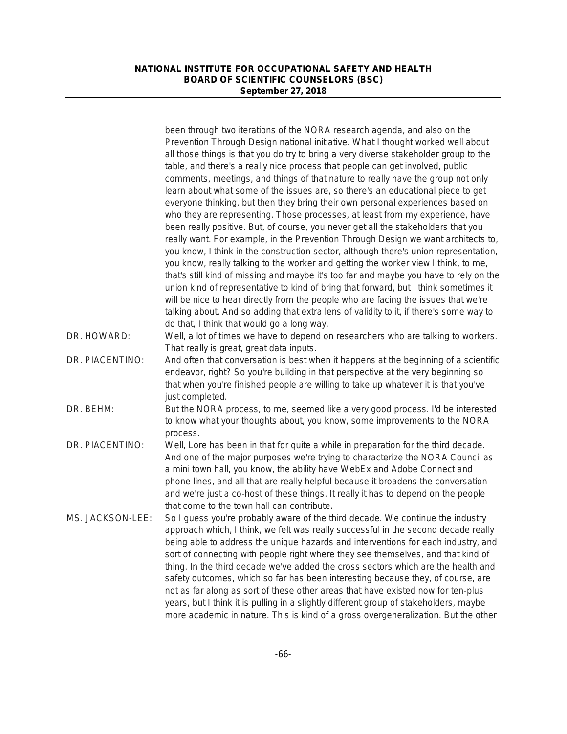|                  | been through two iterations of the NORA research agenda, and also on the<br>Prevention Through Design national initiative. What I thought worked well about<br>all those things is that you do try to bring a very diverse stakeholder group to the<br>table, and there's a really nice process that people can get involved, public<br>comments, meetings, and things of that nature to really have the group not only                                                                                                                                                                                                                                                                                                                                                                                                                                                                                                                                                                                                   |
|------------------|---------------------------------------------------------------------------------------------------------------------------------------------------------------------------------------------------------------------------------------------------------------------------------------------------------------------------------------------------------------------------------------------------------------------------------------------------------------------------------------------------------------------------------------------------------------------------------------------------------------------------------------------------------------------------------------------------------------------------------------------------------------------------------------------------------------------------------------------------------------------------------------------------------------------------------------------------------------------------------------------------------------------------|
|                  | learn about what some of the issues are, so there's an educational piece to get<br>everyone thinking, but then they bring their own personal experiences based on<br>who they are representing. Those processes, at least from my experience, have<br>been really positive. But, of course, you never get all the stakeholders that you<br>really want. For example, in the Prevention Through Design we want architects to,<br>you know, I think in the construction sector, although there's union representation,<br>you know, really talking to the worker and getting the worker view I think, to me,<br>that's still kind of missing and maybe it's too far and maybe you have to rely on the<br>union kind of representative to kind of bring that forward, but I think sometimes it<br>will be nice to hear directly from the people who are facing the issues that we're<br>talking about. And so adding that extra lens of validity to it, if there's some way to<br>do that, I think that would go a long way. |
| DR. HOWARD:      | Well, a lot of times we have to depend on researchers who are talking to workers.<br>That really is great, great data inputs.                                                                                                                                                                                                                                                                                                                                                                                                                                                                                                                                                                                                                                                                                                                                                                                                                                                                                             |
| DR. PIACENTINO:  | And often that conversation is best when it happens at the beginning of a scientific<br>endeavor, right? So you're building in that perspective at the very beginning so<br>that when you're finished people are willing to take up whatever it is that you've<br>just completed.                                                                                                                                                                                                                                                                                                                                                                                                                                                                                                                                                                                                                                                                                                                                         |
| DR. BEHM:        | But the NORA process, to me, seemed like a very good process. I'd be interested<br>to know what your thoughts about, you know, some improvements to the NORA<br>process.                                                                                                                                                                                                                                                                                                                                                                                                                                                                                                                                                                                                                                                                                                                                                                                                                                                  |
| DR. PIACENTINO:  | Well, Lore has been in that for quite a while in preparation for the third decade.<br>And one of the major purposes we're trying to characterize the NORA Council as<br>a mini town hall, you know, the ability have WebEx and Adobe Connect and<br>phone lines, and all that are really helpful because it broadens the conversation<br>and we're just a co-host of these things. It really it has to depend on the people<br>that come to the town hall can contribute.                                                                                                                                                                                                                                                                                                                                                                                                                                                                                                                                                 |
| MS. JACKSON-LEE: | So I guess you're probably aware of the third decade. We continue the industry<br>approach which, I think, we felt was really successful in the second decade really<br>being able to address the unique hazards and interventions for each industry, and<br>sort of connecting with people right where they see themselves, and that kind of<br>thing. In the third decade we've added the cross sectors which are the health and<br>safety outcomes, which so far has been interesting because they, of course, are<br>not as far along as sort of these other areas that have existed now for ten-plus<br>years, but I think it is pulling in a slightly different group of stakeholders, maybe<br>more academic in nature. This is kind of a gross overgeneralization. But the other                                                                                                                                                                                                                                  |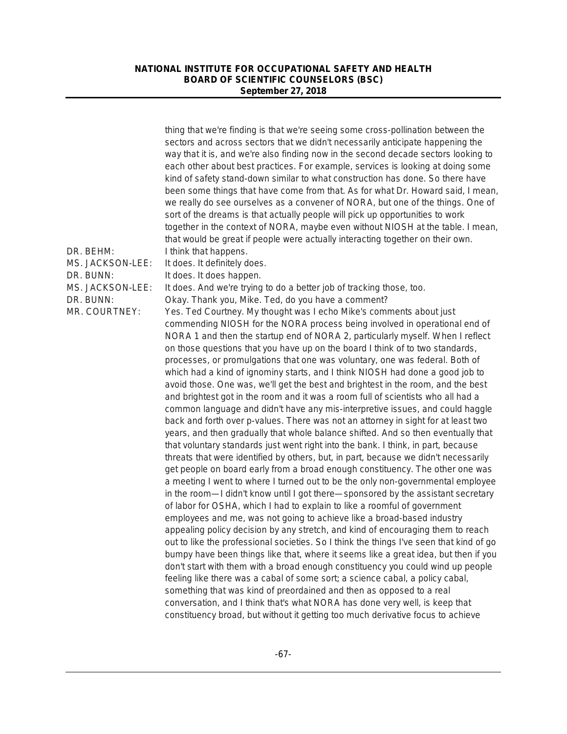| DR. BEHM:<br>MS. JACKSON-LEE: | thing that we're finding is that we're seeing some cross-pollination between the<br>sectors and across sectors that we didn't necessarily anticipate happening the<br>way that it is, and we're also finding now in the second decade sectors looking to<br>each other about best practices. For example, services is looking at doing some<br>kind of safety stand-down similar to what construction has done. So there have<br>been some things that have come from that. As for what Dr. Howard said, I mean,<br>we really do see ourselves as a convener of NORA, but one of the things. One of<br>sort of the dreams is that actually people will pick up opportunities to work<br>together in the context of NORA, maybe even without NIOSH at the table. I mean,<br>that would be great if people were actually interacting together on their own.<br>I think that happens.<br>It does. It definitely does.                                                                                                                                                                                                                                                                                                                                                                                                                                                                                                                                                                                                                                                                                                                                                                                                                                                                                                                                                                                                                                                                                                                                                                                                  |
|-------------------------------|---------------------------------------------------------------------------------------------------------------------------------------------------------------------------------------------------------------------------------------------------------------------------------------------------------------------------------------------------------------------------------------------------------------------------------------------------------------------------------------------------------------------------------------------------------------------------------------------------------------------------------------------------------------------------------------------------------------------------------------------------------------------------------------------------------------------------------------------------------------------------------------------------------------------------------------------------------------------------------------------------------------------------------------------------------------------------------------------------------------------------------------------------------------------------------------------------------------------------------------------------------------------------------------------------------------------------------------------------------------------------------------------------------------------------------------------------------------------------------------------------------------------------------------------------------------------------------------------------------------------------------------------------------------------------------------------------------------------------------------------------------------------------------------------------------------------------------------------------------------------------------------------------------------------------------------------------------------------------------------------------------------------------------------------------------------------------------------------------------------------|
| DR. BUNN:                     | It does. It does happen.                                                                                                                                                                                                                                                                                                                                                                                                                                                                                                                                                                                                                                                                                                                                                                                                                                                                                                                                                                                                                                                                                                                                                                                                                                                                                                                                                                                                                                                                                                                                                                                                                                                                                                                                                                                                                                                                                                                                                                                                                                                                                            |
| MS. JACKSON-LEE:              | It does. And we're trying to do a better job of tracking those, too.                                                                                                                                                                                                                                                                                                                                                                                                                                                                                                                                                                                                                                                                                                                                                                                                                                                                                                                                                                                                                                                                                                                                                                                                                                                                                                                                                                                                                                                                                                                                                                                                                                                                                                                                                                                                                                                                                                                                                                                                                                                |
| DR. BUNN:                     | Okay. Thank you, Mike. Ted, do you have a comment?                                                                                                                                                                                                                                                                                                                                                                                                                                                                                                                                                                                                                                                                                                                                                                                                                                                                                                                                                                                                                                                                                                                                                                                                                                                                                                                                                                                                                                                                                                                                                                                                                                                                                                                                                                                                                                                                                                                                                                                                                                                                  |
| MR. COURTNEY:                 | Yes. Ted Courtney. My thought was I echo Mike's comments about just<br>commending NIOSH for the NORA process being involved in operational end of<br>NORA 1 and then the startup end of NORA 2, particularly myself. When I reflect<br>on those questions that you have up on the board I think of to two standards,<br>processes, or promulgations that one was voluntary, one was federal. Both of<br>which had a kind of ignominy starts, and I think NIOSH had done a good job to<br>avoid those. One was, we'll get the best and brightest in the room, and the best<br>and brightest got in the room and it was a room full of scientists who all had a<br>common language and didn't have any mis-interpretive issues, and could haggle<br>back and forth over p-values. There was not an attorney in sight for at least two<br>years, and then gradually that whole balance shifted. And so then eventually that<br>that voluntary standards just went right into the bank. I think, in part, because<br>threats that were identified by others, but, in part, because we didn't necessarily<br>get people on board early from a broad enough constituency. The other one was<br>a meeting I went to where I turned out to be the only non-governmental employee<br>in the room—I didn't know until I got there—sponsored by the assistant secretary<br>of labor for OSHA, which I had to explain to like a roomful of government<br>employees and me, was not going to achieve like a broad-based industry<br>appealing policy decision by any stretch, and kind of encouraging them to reach<br>out to like the professional societies. So I think the things I've seen that kind of go<br>bumpy have been things like that, where it seems like a great idea, but then if you<br>don't start with them with a broad enough constituency you could wind up people<br>feeling like there was a cabal of some sort; a science cabal, a policy cabal,<br>something that was kind of preordained and then as opposed to a real<br>conversation, and I think that's what NORA has done very well, is keep that |
|                               | constituency broad, but without it getting too much derivative focus to achieve                                                                                                                                                                                                                                                                                                                                                                                                                                                                                                                                                                                                                                                                                                                                                                                                                                                                                                                                                                                                                                                                                                                                                                                                                                                                                                                                                                                                                                                                                                                                                                                                                                                                                                                                                                                                                                                                                                                                                                                                                                     |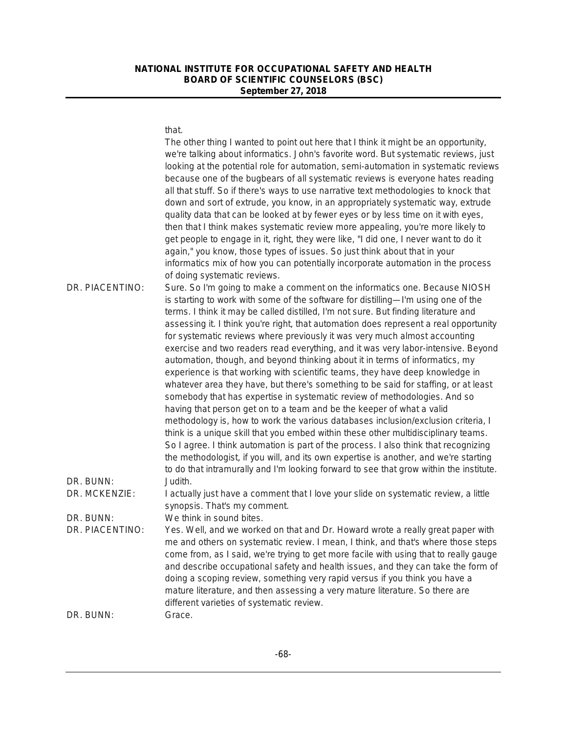#### that.

|                              | The other thing I wanted to point out here that I think it might be an opportunity,<br>we're talking about informatics. John's favorite word. But systematic reviews, just<br>looking at the potential role for automation, semi-automation in systematic reviews<br>because one of the bugbears of all systematic reviews is everyone hates reading<br>all that stuff. So if there's ways to use narrative text methodologies to knock that<br>down and sort of extrude, you know, in an appropriately systematic way, extrude<br>quality data that can be looked at by fewer eyes or by less time on it with eyes,<br>then that I think makes systematic review more appealing, you're more likely to<br>get people to engage in it, right, they were like, "I did one, I never want to do it<br>again," you know, those types of issues. So just think about that in your<br>informatics mix of how you can potentially incorporate automation in the process<br>of doing systematic reviews.                                                                                                                                                                                                                                                                                                                                                                                      |
|------------------------------|---------------------------------------------------------------------------------------------------------------------------------------------------------------------------------------------------------------------------------------------------------------------------------------------------------------------------------------------------------------------------------------------------------------------------------------------------------------------------------------------------------------------------------------------------------------------------------------------------------------------------------------------------------------------------------------------------------------------------------------------------------------------------------------------------------------------------------------------------------------------------------------------------------------------------------------------------------------------------------------------------------------------------------------------------------------------------------------------------------------------------------------------------------------------------------------------------------------------------------------------------------------------------------------------------------------------------------------------------------------------------------------|
| DR. PIACENTINO:              | Sure. So I'm going to make a comment on the informatics one. Because NIOSH<br>is starting to work with some of the software for distilling-I'm using one of the<br>terms. I think it may be called distilled, I'm not sure. But finding literature and<br>assessing it. I think you're right, that automation does represent a real opportunity<br>for systematic reviews where previously it was very much almost accounting<br>exercise and two readers read everything, and it was very labor-intensive. Beyond<br>automation, though, and beyond thinking about it in terms of informatics, my<br>experience is that working with scientific teams, they have deep knowledge in<br>whatever area they have, but there's something to be said for staffing, or at least<br>somebody that has expertise in systematic review of methodologies. And so<br>having that person get on to a team and be the keeper of what a valid<br>methodology is, how to work the various databases inclusion/exclusion criteria, I<br>think is a unique skill that you embed within these other multidisciplinary teams.<br>So I agree. I think automation is part of the process. I also think that recognizing<br>the methodologist, if you will, and its own expertise is another, and we're starting<br>to do that intramurally and I'm looking forward to see that grow within the institute. |
| DR. BUNN:<br>DR. MCKENZIE:   | Judith.<br>I actually just have a comment that I love your slide on systematic review, a little<br>synopsis. That's my comment.                                                                                                                                                                                                                                                                                                                                                                                                                                                                                                                                                                                                                                                                                                                                                                                                                                                                                                                                                                                                                                                                                                                                                                                                                                                       |
|                              |                                                                                                                                                                                                                                                                                                                                                                                                                                                                                                                                                                                                                                                                                                                                                                                                                                                                                                                                                                                                                                                                                                                                                                                                                                                                                                                                                                                       |
| DR. BUNN:<br>DR. PIACENTINO: | We think in sound bites.<br>Yes. Well, and we worked on that and Dr. Howard wrote a really great paper with<br>me and others on systematic review. I mean, I think, and that's where those steps<br>come from, as I said, we're trying to get more facile with using that to really gauge<br>and describe occupational safety and health issues, and they can take the form of<br>doing a scoping review, something very rapid versus if you think you have a<br>mature literature, and then assessing a very mature literature. So there are<br>different varieties of systematic review.                                                                                                                                                                                                                                                                                                                                                                                                                                                                                                                                                                                                                                                                                                                                                                                            |
| DR. BUNN:                    | Grace.                                                                                                                                                                                                                                                                                                                                                                                                                                                                                                                                                                                                                                                                                                                                                                                                                                                                                                                                                                                                                                                                                                                                                                                                                                                                                                                                                                                |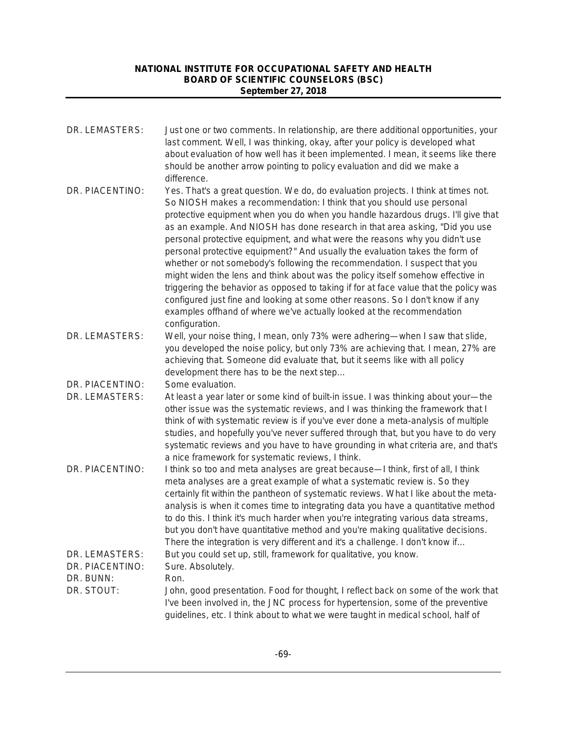| DR. LEMASTERS:                                 | Just one or two comments. In relationship, are there additional opportunities, your<br>last comment. Well, I was thinking, okay, after your policy is developed what<br>about evaluation of how well has it been implemented. I mean, it seems like there<br>should be another arrow pointing to policy evaluation and did we make a<br>difference.                                                                                                                                                                                                                                                                                                                                                                                                                                                                                                                                                                                   |
|------------------------------------------------|---------------------------------------------------------------------------------------------------------------------------------------------------------------------------------------------------------------------------------------------------------------------------------------------------------------------------------------------------------------------------------------------------------------------------------------------------------------------------------------------------------------------------------------------------------------------------------------------------------------------------------------------------------------------------------------------------------------------------------------------------------------------------------------------------------------------------------------------------------------------------------------------------------------------------------------|
| DR. PIACENTINO:                                | Yes. That's a great question. We do, do evaluation projects. I think at times not.<br>So NIOSH makes a recommendation: I think that you should use personal<br>protective equipment when you do when you handle hazardous drugs. I'll give that<br>as an example. And NIOSH has done research in that area asking, "Did you use<br>personal protective equipment, and what were the reasons why you didn't use<br>personal protective equipment?" And usually the evaluation takes the form of<br>whether or not somebody's following the recommendation. I suspect that you<br>might widen the lens and think about was the policy itself somehow effective in<br>triggering the behavior as opposed to taking if for at face value that the policy was<br>configured just fine and looking at some other reasons. So I don't know if any<br>examples offhand of where we've actually looked at the recommendation<br>configuration. |
| DR. LEMASTERS:                                 | Well, your noise thing, I mean, only 73% were adhering—when I saw that slide,<br>you developed the noise policy, but only 73% are achieving that. I mean, 27% are<br>achieving that. Someone did evaluate that, but it seems like with all policy<br>development there has to be the next step                                                                                                                                                                                                                                                                                                                                                                                                                                                                                                                                                                                                                                        |
| DR. PIACENTINO:<br>DR. LEMASTERS:              | Some evaluation.<br>At least a year later or some kind of built-in issue. I was thinking about your—the<br>other issue was the systematic reviews, and I was thinking the framework that I<br>think of with systematic review is if you've ever done a meta-analysis of multiple<br>studies, and hopefully you've never suffered through that, but you have to do very<br>systematic reviews and you have to have grounding in what criteria are, and that's<br>a nice framework for systematic reviews, I think.                                                                                                                                                                                                                                                                                                                                                                                                                     |
| DR. PIACENTINO:                                | I think so too and meta analyses are great because-I think, first of all, I think<br>meta analyses are a great example of what a systematic review is. So they<br>certainly fit within the pantheon of systematic reviews. What I like about the meta-<br>analysis is when it comes time to integrating data you have a quantitative method<br>to do this. I think it's much harder when you're integrating various data streams,<br>but you don't have quantitative method and you're making qualitative decisions.<br>There the integration is very different and it's a challenge. I don't know if                                                                                                                                                                                                                                                                                                                                 |
| DR. LEMASTERS:<br>DR. PIACENTINO:<br>DR. BUNN: | But you could set up, still, framework for qualitative, you know.<br>Sure. Absolutely.<br>Ron.                                                                                                                                                                                                                                                                                                                                                                                                                                                                                                                                                                                                                                                                                                                                                                                                                                        |
| DR. STOUT:                                     | John, good presentation. Food for thought, I reflect back on some of the work that<br>I've been involved in, the JNC process for hypertension, some of the preventive<br>guidelines, etc. I think about to what we were taught in medical school, half of                                                                                                                                                                                                                                                                                                                                                                                                                                                                                                                                                                                                                                                                             |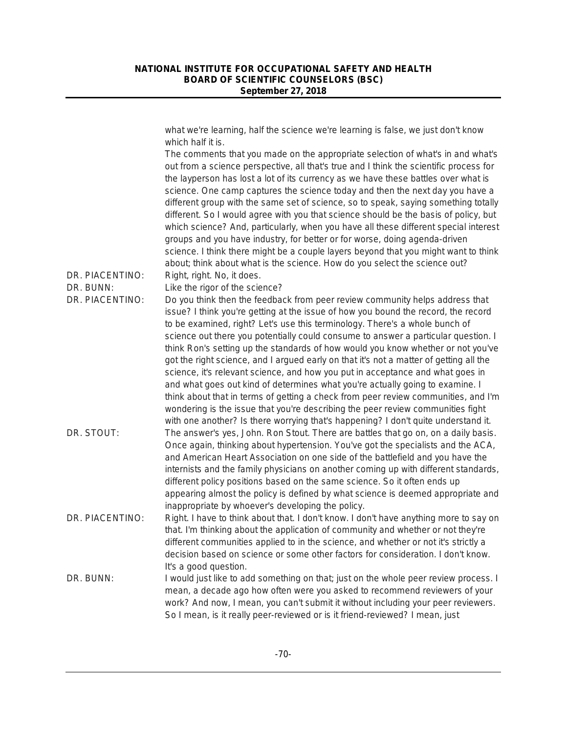what we're learning, half the science we're learning is false, we just don't know which half it is. The comments that you made on the appropriate selection of what's in and what's out from a science perspective, all that's true and I think the scientific process for the layperson has lost a lot of its currency as we have these battles over what is science. One camp captures the science today and then the next day you have a different group with the same set of science, so to speak, saying something totally different. So I would agree with you that science should be the basis of policy, but which science? And, particularly, when you have all these different special interest groups and you have industry, for better or for worse, doing agenda-driven science. I think there might be a couple layers beyond that you might want to think about; think about what is the science. How do you select the science out? DR. PIACENTINO: Right, right. No, it does. DR. BUNN: Like the rigor of the science? DR. PIACENTINO: Do you think then the feedback from peer review community helps address that issue? I think you're getting at the issue of how you bound the record, the record to be examined, right? Let's use this terminology. There's a whole bunch of science out there you potentially could consume to answer a particular question. I think Ron's setting up the standards of how would you know whether or not you've got the right science, and I argued early on that it's not a matter of getting all the science, it's relevant science, and how you put in acceptance and what goes in and what goes out kind of determines what you're actually going to examine. I think about that in terms of getting a check from peer review communities, and I'm wondering is the issue that you're describing the peer review communities fight with one another? Is there worrying that's happening? I don't quite understand it. DR. STOUT: The answer's yes, John. Ron Stout. There are battles that go on, on a daily basis. Once again, thinking about hypertension. You've got the specialists and the ACA, and American Heart Association on one side of the battlefield and you have the internists and the family physicians on another coming up with different standards, different policy positions based on the same science. So it often ends up appearing almost the policy is defined by what science is deemed appropriate and inappropriate by whoever's developing the policy. DR. PIACENTINO: Right. I have to think about that. I don't know. I don't have anything more to say on that. I'm thinking about the application of community and whether or not they're different communities applied to in the science, and whether or not it's strictly a decision based on science or some other factors for consideration. I don't know. It's a good question. DR. BUNN: I would just like to add something on that; just on the whole peer review process. I mean, a decade ago how often were you asked to recommend reviewers of your work? And now, I mean, you can't submit it without including your peer reviewers. So I mean, is it really peer-reviewed or is it friend-reviewed? I mean, just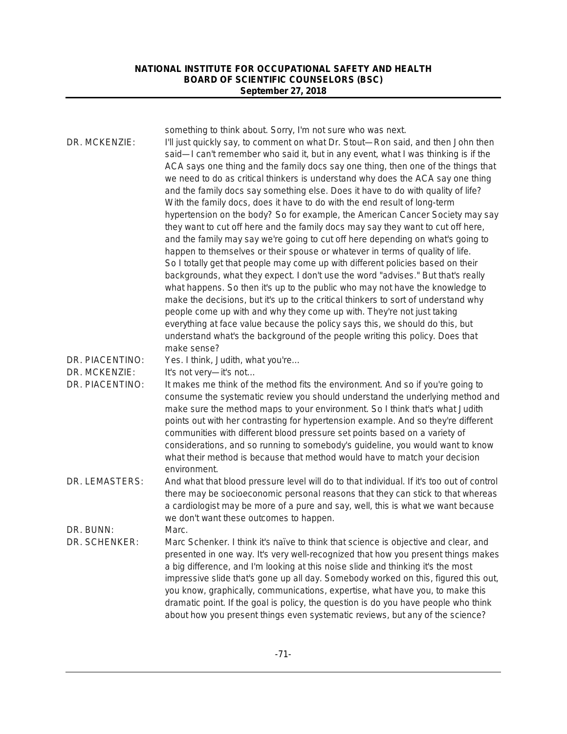| DR. MCKENZIE:                    | something to think about. Sorry, I'm not sure who was next.<br>I'll just quickly say, to comment on what Dr. Stout-Ron said, and then John then<br>said—I can't remember who said it, but in any event, what I was thinking is if the<br>ACA says one thing and the family docs say one thing, then one of the things that<br>we need to do as critical thinkers is understand why does the ACA say one thing<br>and the family docs say something else. Does it have to do with quality of life?<br>With the family docs, does it have to do with the end result of long-term<br>hypertension on the body? So for example, the American Cancer Society may say<br>they want to cut off here and the family docs may say they want to cut off here,<br>and the family may say we're going to cut off here depending on what's going to<br>happen to themselves or their spouse or whatever in terms of quality of life.<br>So I totally get that people may come up with different policies based on their<br>backgrounds, what they expect. I don't use the word "advises." But that's really<br>what happens. So then it's up to the public who may not have the knowledge to<br>make the decisions, but it's up to the critical thinkers to sort of understand why<br>people come up with and why they come up with. They're not just taking<br>everything at face value because the policy says this, we should do this, but<br>understand what's the background of the people writing this policy. Does that<br>make sense? |
|----------------------------------|----------------------------------------------------------------------------------------------------------------------------------------------------------------------------------------------------------------------------------------------------------------------------------------------------------------------------------------------------------------------------------------------------------------------------------------------------------------------------------------------------------------------------------------------------------------------------------------------------------------------------------------------------------------------------------------------------------------------------------------------------------------------------------------------------------------------------------------------------------------------------------------------------------------------------------------------------------------------------------------------------------------------------------------------------------------------------------------------------------------------------------------------------------------------------------------------------------------------------------------------------------------------------------------------------------------------------------------------------------------------------------------------------------------------------------------------------------------------------------------------------------------------------------|
| DR. PIACENTINO:                  | Yes. I think, Judith, what you're                                                                                                                                                                                                                                                                                                                                                                                                                                                                                                                                                                                                                                                                                                                                                                                                                                                                                                                                                                                                                                                                                                                                                                                                                                                                                                                                                                                                                                                                                                |
| DR. MCKENZIE:<br>DR. PIACENTINO: | It's not very-it's not<br>It makes me think of the method fits the environment. And so if you're going to<br>consume the systematic review you should understand the underlying method and<br>make sure the method maps to your environment. So I think that's what Judith<br>points out with her contrasting for hypertension example. And so they're different<br>communities with different blood pressure set points based on a variety of<br>considerations, and so running to somebody's guideline, you would want to know<br>what their method is because that method would have to match your decision<br>environment.                                                                                                                                                                                                                                                                                                                                                                                                                                                                                                                                                                                                                                                                                                                                                                                                                                                                                                   |
| DR. LEMASTERS:                   | And what that blood pressure level will do to that individual. If it's too out of control<br>there may be socioeconomic personal reasons that they can stick to that whereas<br>a cardiologist may be more of a pure and say, well, this is what we want because<br>we don't want these outcomes to happen.                                                                                                                                                                                                                                                                                                                                                                                                                                                                                                                                                                                                                                                                                                                                                                                                                                                                                                                                                                                                                                                                                                                                                                                                                      |
| DR. BUNN:<br>DR. SCHENKER:       | Marc.<br>Marc Schenker. I think it's naïve to think that science is objective and clear, and<br>presented in one way. It's very well-recognized that how you present things makes<br>a big difference, and I'm looking at this noise slide and thinking it's the most<br>impressive slide that's gone up all day. Somebody worked on this, figured this out,<br>you know, graphically, communications, expertise, what have you, to make this<br>dramatic point. If the goal is policy, the question is do you have people who think<br>about how you present things even systematic reviews, but any of the science?                                                                                                                                                                                                                                                                                                                                                                                                                                                                                                                                                                                                                                                                                                                                                                                                                                                                                                            |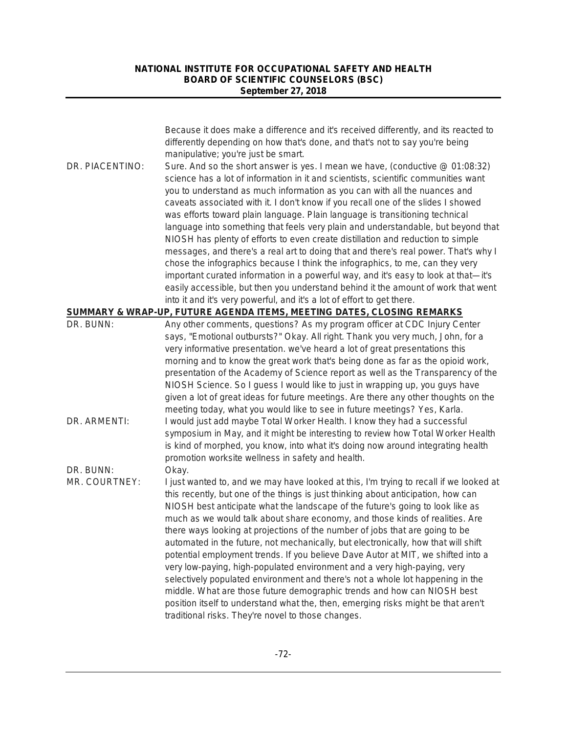|                            | Because it does make a difference and it's received differently, and its reacted to<br>differently depending on how that's done, and that's not to say you're being<br>manipulative; you're just be smart.                                                                                                                                                                                                                                                                                                                                                                                                                                                                                                                                                                                                                                                                                                                                                                                                                  |
|----------------------------|-----------------------------------------------------------------------------------------------------------------------------------------------------------------------------------------------------------------------------------------------------------------------------------------------------------------------------------------------------------------------------------------------------------------------------------------------------------------------------------------------------------------------------------------------------------------------------------------------------------------------------------------------------------------------------------------------------------------------------------------------------------------------------------------------------------------------------------------------------------------------------------------------------------------------------------------------------------------------------------------------------------------------------|
| DR. PIACENTINO:            | Sure. And so the short answer is yes. I mean we have, (conductive @ 01:08:32)<br>science has a lot of information in it and scientists, scientific communities want<br>you to understand as much information as you can with all the nuances and<br>caveats associated with it. I don't know if you recall one of the slides I showed<br>was efforts toward plain language. Plain language is transitioning technical<br>language into something that feels very plain and understandable, but beyond that<br>NIOSH has plenty of efforts to even create distillation and reduction to simple<br>messages, and there's a real art to doing that and there's real power. That's why I<br>chose the infographics because I think the infographics, to me, can they very<br>important curated information in a powerful way, and it's easy to look at that-it's<br>easily accessible, but then you understand behind it the amount of work that went<br>into it and it's very powerful, and it's a lot of effort to get there. |
|                            | <u>SUMMARY &amp; WRAP-UP, FUTURE AGENDA ITEMS, MEETING DATES, CLOSING REMARKS</u>                                                                                                                                                                                                                                                                                                                                                                                                                                                                                                                                                                                                                                                                                                                                                                                                                                                                                                                                           |
| DR. BUNN:                  | Any other comments, questions? As my program officer at CDC Injury Center<br>says, "Emotional outbursts?" Okay. All right. Thank you very much, John, for a<br>very informative presentation. we've heard a lot of great presentations this<br>morning and to know the great work that's being done as far as the opioid work,<br>presentation of the Academy of Science report as well as the Transparency of the<br>NIOSH Science. So I guess I would like to just in wrapping up, you guys have<br>given a lot of great ideas for future meetings. Are there any other thoughts on the<br>meeting today, what you would like to see in future meetings? Yes, Karla.                                                                                                                                                                                                                                                                                                                                                      |
| DR. ARMENTI:               | I would just add maybe Total Worker Health. I know they had a successful<br>symposium in May, and it might be interesting to review how Total Worker Health<br>is kind of morphed, you know, into what it's doing now around integrating health<br>promotion worksite wellness in safety and health.                                                                                                                                                                                                                                                                                                                                                                                                                                                                                                                                                                                                                                                                                                                        |
| DR. BUNN:<br>MR. COURTNEY: | Okay.<br>I just wanted to, and we may have looked at this, I'm trying to recall if we looked at<br>this recently, but one of the things is just thinking about anticipation, how can<br>NIOSH best anticipate what the landscape of the future's going to look like as<br>much as we would talk about share economy, and those kinds of realities. Are<br>there ways looking at projections of the number of jobs that are going to be<br>automated in the future, not mechanically, but electronically, how that will shift<br>potential employment trends. If you believe Dave Autor at MIT, we shifted into a<br>very low-paying, high-populated environment and a very high-paying, very<br>selectively populated environment and there's not a whole lot happening in the<br>middle. What are those future demographic trends and how can NIOSH best<br>position itself to understand what the, then, emerging risks might be that aren't<br>traditional risks. They're novel to those changes.                        |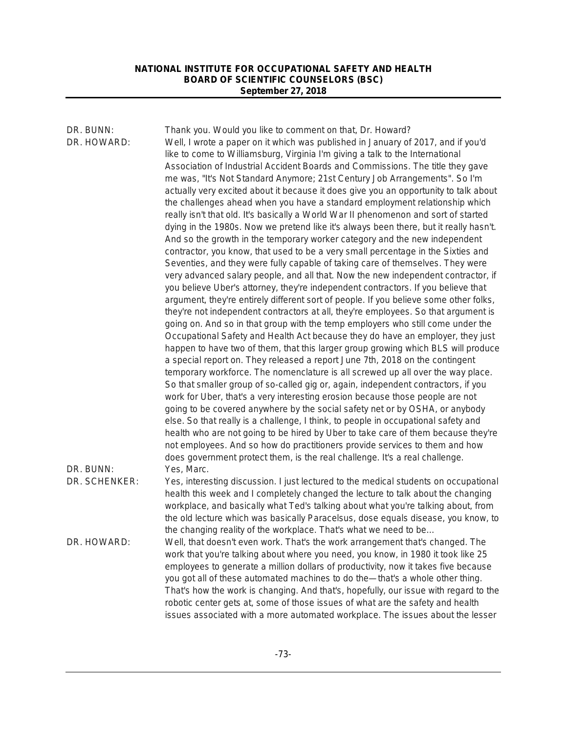| DR. BUNN:<br>DR. HOWARD:   | Thank you. Would you like to comment on that, Dr. Howard?<br>Well, I wrote a paper on it which was published in January of 2017, and if you'd<br>like to come to Williamsburg, Virginia I'm giving a talk to the International<br>Association of Industrial Accident Boards and Commissions. The title they gave<br>me was, "It's Not Standard Anymore; 21st Century Job Arrangements". So I'm<br>actually very excited about it because it does give you an opportunity to talk about<br>the challenges ahead when you have a standard employment relationship which<br>really isn't that old. It's basically a World War II phenomenon and sort of started<br>dying in the 1980s. Now we pretend like it's always been there, but it really hasn't.<br>And so the growth in the temporary worker category and the new independent<br>contractor, you know, that used to be a very small percentage in the Sixties and<br>Seventies, and they were fully capable of taking care of themselves. They were<br>very advanced salary people, and all that. Now the new independent contractor, if<br>you believe Uber's attorney, they're independent contractors. If you believe that<br>argument, they're entirely different sort of people. If you believe some other folks,<br>they're not independent contractors at all, they're employees. So that argument is<br>going on. And so in that group with the temp employers who still come under the<br>Occupational Safety and Health Act because they do have an employer, they just<br>happen to have two of them, that this larger group growing which BLS will produce<br>a special report on. They released a report June 7th, 2018 on the contingent<br>temporary workforce. The nomenclature is all screwed up all over the way place.<br>So that smaller group of so-called gig or, again, independent contractors, if you<br>work for Uber, that's a very interesting erosion because those people are not<br>going to be covered anywhere by the social safety net or by OSHA, or anybody<br>else. So that really is a challenge, I think, to people in occupational safety and<br>health who are not going to be hired by Uber to take care of them because they're<br>not employees. And so how do practitioners provide services to them and how<br>does government protect them, is the real challenge. It's a real challenge. |
|----------------------------|------------------------------------------------------------------------------------------------------------------------------------------------------------------------------------------------------------------------------------------------------------------------------------------------------------------------------------------------------------------------------------------------------------------------------------------------------------------------------------------------------------------------------------------------------------------------------------------------------------------------------------------------------------------------------------------------------------------------------------------------------------------------------------------------------------------------------------------------------------------------------------------------------------------------------------------------------------------------------------------------------------------------------------------------------------------------------------------------------------------------------------------------------------------------------------------------------------------------------------------------------------------------------------------------------------------------------------------------------------------------------------------------------------------------------------------------------------------------------------------------------------------------------------------------------------------------------------------------------------------------------------------------------------------------------------------------------------------------------------------------------------------------------------------------------------------------------------------------------------------------------------------------------------------------------------------------------------------------------------------------------------------------------------------------------------------------------------------------------------------------------------------------------------------------------------------------------------------------------------------------------------------------------------------------------------------------------------------------------------------------------------------------|
| DR. BUNN:<br>DR. SCHENKER: | Yes, Marc.<br>Yes, interesting discussion. I just lectured to the medical students on occupational<br>health this week and I completely changed the lecture to talk about the changing<br>workplace, and basically what Ted's talking about what you're talking about, from<br>the old lecture which was basically Paracelsus, dose equals disease, you know, to                                                                                                                                                                                                                                                                                                                                                                                                                                                                                                                                                                                                                                                                                                                                                                                                                                                                                                                                                                                                                                                                                                                                                                                                                                                                                                                                                                                                                                                                                                                                                                                                                                                                                                                                                                                                                                                                                                                                                                                                                               |
| DR. HOWARD:                | the changing reality of the workplace. That's what we need to be<br>Well, that doesn't even work. That's the work arrangement that's changed. The<br>work that you're talking about where you need, you know, in 1980 it took like 25<br>employees to generate a million dollars of productivity, now it takes five because<br>you got all of these automated machines to do the-that's a whole other thing.<br>That's how the work is changing. And that's, hopefully, our issue with regard to the<br>robotic center gets at, some of those issues of what are the safety and health<br>issues associated with a more automated workplace. The issues about the lesser                                                                                                                                                                                                                                                                                                                                                                                                                                                                                                                                                                                                                                                                                                                                                                                                                                                                                                                                                                                                                                                                                                                                                                                                                                                                                                                                                                                                                                                                                                                                                                                                                                                                                                                       |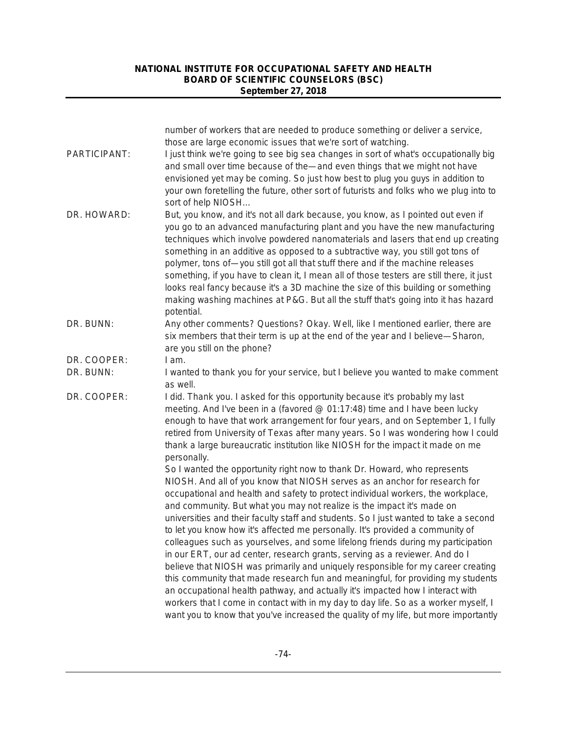|              | number of workers that are needed to produce something or deliver a service,<br>those are large economic issues that we're sort of watching.                                                                                                                                                                                                                                                                                                                                                                                                                                                                                                                                                                  |
|--------------|---------------------------------------------------------------------------------------------------------------------------------------------------------------------------------------------------------------------------------------------------------------------------------------------------------------------------------------------------------------------------------------------------------------------------------------------------------------------------------------------------------------------------------------------------------------------------------------------------------------------------------------------------------------------------------------------------------------|
| PARTICIPANT: | I just think we're going to see big sea changes in sort of what's occupationally big<br>and small over time because of the—and even things that we might not have<br>envisioned yet may be coming. So just how best to plug you guys in addition to<br>your own foretelling the future, other sort of futurists and folks who we plug into to<br>sort of help NIOSH                                                                                                                                                                                                                                                                                                                                           |
| DR. HOWARD:  | But, you know, and it's not all dark because, you know, as I pointed out even if<br>you go to an advanced manufacturing plant and you have the new manufacturing<br>techniques which involve powdered nanomaterials and lasers that end up creating<br>something in an additive as opposed to a subtractive way, you still got tons of<br>polymer, tons of-you still got all that stuff there and if the machine releases<br>something, if you have to clean it, I mean all of those testers are still there, it just<br>looks real fancy because it's a 3D machine the size of this building or something<br>making washing machines at P&G. But all the stuff that's going into it has hazard<br>potential. |
| DR. BUNN:    | Any other comments? Questions? Okay. Well, like I mentioned earlier, there are<br>six members that their term is up at the end of the year and I believe—Sharon,<br>are you still on the phone?                                                                                                                                                                                                                                                                                                                                                                                                                                                                                                               |
| DR. COOPER:  | I am.                                                                                                                                                                                                                                                                                                                                                                                                                                                                                                                                                                                                                                                                                                         |
| DR. BUNN:    | I wanted to thank you for your service, but I believe you wanted to make comment<br>as well.                                                                                                                                                                                                                                                                                                                                                                                                                                                                                                                                                                                                                  |
| DR. COOPER:  | I did. Thank you. I asked for this opportunity because it's probably my last<br>meeting. And I've been in a (favored @ 01:17:48) time and I have been lucky<br>enough to have that work arrangement for four years, and on September 1, I fully<br>retired from University of Texas after many years. So I was wondering how I could<br>thank a large bureaucratic institution like NIOSH for the impact it made on me<br>personally.                                                                                                                                                                                                                                                                         |
|              | So I wanted the opportunity right now to thank Dr. Howard, who represents<br>NIOSH. And all of you know that NIOSH serves as an anchor for research for<br>occupational and health and safety to protect individual workers, the workplace,<br>and community. But what you may not realize is the impact it's made on<br>universities and their faculty staff and students. So I just wanted to take a second                                                                                                                                                                                                                                                                                                 |
|              | to let you know how it's affected me personally. It's provided a community of<br>colleagues such as yourselves, and some lifelong friends during my participation<br>in our ERT, our ad center, research grants, serving as a reviewer. And do I<br>believe that NIOSH was primarily and uniquely responsible for my career creating<br>this community that made research fun and meaningful, for providing my students<br>an occupational health pathway, and actually it's impacted how I interact with                                                                                                                                                                                                     |
|              | workers that I come in contact with in my day to day life. So as a worker myself, I<br>want you to know that you've increased the quality of my life, but more importantly                                                                                                                                                                                                                                                                                                                                                                                                                                                                                                                                    |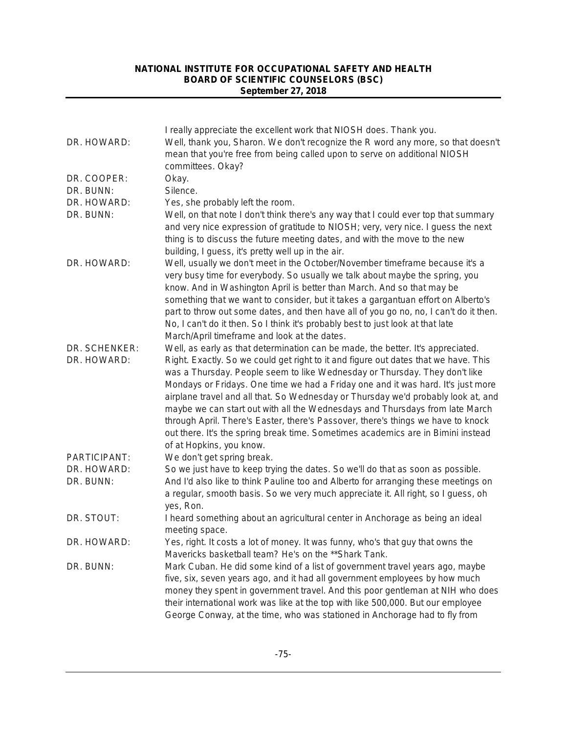|               | I really appreciate the excellent work that NIOSH does. Thank you.                                                                                             |
|---------------|----------------------------------------------------------------------------------------------------------------------------------------------------------------|
| DR. HOWARD:   | Well, thank you, Sharon. We don't recognize the R word any more, so that doesn't                                                                               |
|               | mean that you're free from being called upon to serve on additional NIOSH                                                                                      |
|               | committees. Okay?                                                                                                                                              |
| DR. COOPER:   | Okay.                                                                                                                                                          |
| DR. BUNN:     | Silence.                                                                                                                                                       |
| DR. HOWARD:   | Yes, she probably left the room.                                                                                                                               |
| DR. BUNN:     | Well, on that note I don't think there's any way that I could ever top that summary                                                                            |
|               | and very nice expression of gratitude to NIOSH; very, very nice. I guess the next                                                                              |
|               | thing is to discuss the future meeting dates, and with the move to the new                                                                                     |
|               | building, I guess, it's pretty well up in the air.                                                                                                             |
| DR. HOWARD:   | Well, usually we don't meet in the October/November timeframe because it's a                                                                                   |
|               | very busy time for everybody. So usually we talk about maybe the spring, you                                                                                   |
|               | know. And in Washington April is better than March. And so that may be                                                                                         |
|               | something that we want to consider, but it takes a gargantuan effort on Alberto's                                                                              |
|               | part to throw out some dates, and then have all of you go no, no, I can't do it then.                                                                          |
|               | No, I can't do it then. So I think it's probably best to just look at that late                                                                                |
|               | March/April timeframe and look at the dates.                                                                                                                   |
| DR. SCHENKER: | Well, as early as that determination can be made, the better. It's appreciated.                                                                                |
| DR. HOWARD:   | Right. Exactly. So we could get right to it and figure out dates that we have. This                                                                            |
|               | was a Thursday. People seem to like Wednesday or Thursday. They don't like<br>Mondays or Fridays. One time we had a Friday one and it was hard. It's just more |
|               | airplane travel and all that. So Wednesday or Thursday we'd probably look at, and                                                                              |
|               | maybe we can start out with all the Wednesdays and Thursdays from late March                                                                                   |
|               | through April. There's Easter, there's Passover, there's things we have to knock                                                                               |
|               | out there. It's the spring break time. Sometimes academics are in Bimini instead                                                                               |
|               | of at Hopkins, you know.                                                                                                                                       |
| PARTICIPANT:  | We don't get spring break.                                                                                                                                     |
| DR. HOWARD:   | So we just have to keep trying the dates. So we'll do that as soon as possible.                                                                                |
| DR. BUNN:     | And I'd also like to think Pauline too and Alberto for arranging these meetings on                                                                             |
|               | a regular, smooth basis. So we very much appreciate it. All right, so I guess, oh<br>yes, Ron.                                                                 |
| DR. STOUT:    | I heard something about an agricultural center in Anchorage as being an ideal                                                                                  |
|               | meeting space.                                                                                                                                                 |
| DR. HOWARD:   | Yes, right. It costs a lot of money. It was funny, who's that guy that owns the                                                                                |
|               | Mavericks basketball team? He's on the **Shark Tank.                                                                                                           |
| DR. BUNN:     | Mark Cuban. He did some kind of a list of government travel years ago, maybe                                                                                   |
|               | five, six, seven years ago, and it had all government employees by how much                                                                                    |
|               | money they spent in government travel. And this poor gentleman at NIH who does                                                                                 |
|               | their international work was like at the top with like 500,000. But our employee                                                                               |
|               | George Conway, at the time, who was stationed in Anchorage had to fly from                                                                                     |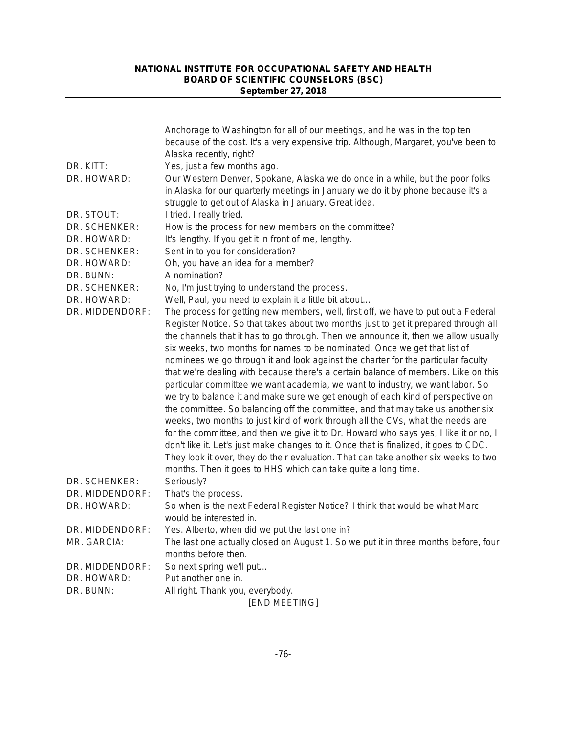|                 | Anchorage to Washington for all of our meetings, and he was in the top ten            |
|-----------------|---------------------------------------------------------------------------------------|
|                 | because of the cost. It's a very expensive trip. Although, Margaret, you've been to   |
|                 | Alaska recently, right?                                                               |
| DR. KITT:       | Yes, just a few months ago.                                                           |
| DR. HOWARD:     | Our Western Denver, Spokane, Alaska we do once in a while, but the poor folks         |
|                 | in Alaska for our quarterly meetings in January we do it by phone because it's a      |
|                 | struggle to get out of Alaska in January. Great idea.                                 |
| DR. STOUT:      | I tried. I really tried.                                                              |
| DR. SCHENKER:   | How is the process for new members on the committee?                                  |
| DR. HOWARD:     | It's lengthy. If you get it in front of me, lengthy.                                  |
| DR. SCHENKER:   | Sent in to you for consideration?                                                     |
| DR. HOWARD:     | Oh, you have an idea for a member?                                                    |
| DR. BUNN:       | A nomination?                                                                         |
| DR. SCHENKER:   | No, I'm just trying to understand the process.                                        |
| DR. HOWARD:     | Well, Paul, you need to explain it a little bit about                                 |
| DR. MIDDENDORF: | The process for getting new members, well, first off, we have to put out a Federal    |
|                 | Register Notice. So that takes about two months just to get it prepared through all   |
|                 | the channels that it has to go through. Then we announce it, then we allow usually    |
|                 | six weeks, two months for names to be nominated. Once we get that list of             |
|                 | nominees we go through it and look against the charter for the particular faculty     |
|                 | that we're dealing with because there's a certain balance of members. Like on this    |
|                 | particular committee we want academia, we want to industry, we want labor. So         |
|                 | we try to balance it and make sure we get enough of each kind of perspective on       |
|                 | the committee. So balancing off the committee, and that may take us another six       |
|                 | weeks, two months to just kind of work through all the CVs, what the needs are        |
|                 | for the committee, and then we give it to Dr. Howard who says yes, I like it or no, I |
|                 | don't like it. Let's just make changes to it. Once that is finalized, it goes to CDC. |
|                 | They look it over, they do their evaluation. That can take another six weeks to two   |
|                 | months. Then it goes to HHS which can take quite a long time.                         |
| DR. SCHENKER:   | Seriously?                                                                            |
| DR. MIDDENDORF: | That's the process.                                                                   |
| DR. HOWARD:     | So when is the next Federal Register Notice? I think that would be what Marc          |
|                 | would be interested in.                                                               |
| DR. MIDDENDORF: | Yes. Alberto, when did we put the last one in?                                        |
| MR. GARCIA:     | The last one actually closed on August 1. So we put it in three months before, four   |
|                 | months before then.                                                                   |
| DR. MIDDENDORF: | So next spring we'll put                                                              |
| DR. HOWARD:     | Put another one in.                                                                   |
| DR. BUNN:       | All right. Thank you, everybody.                                                      |
|                 | [END MEETING]                                                                         |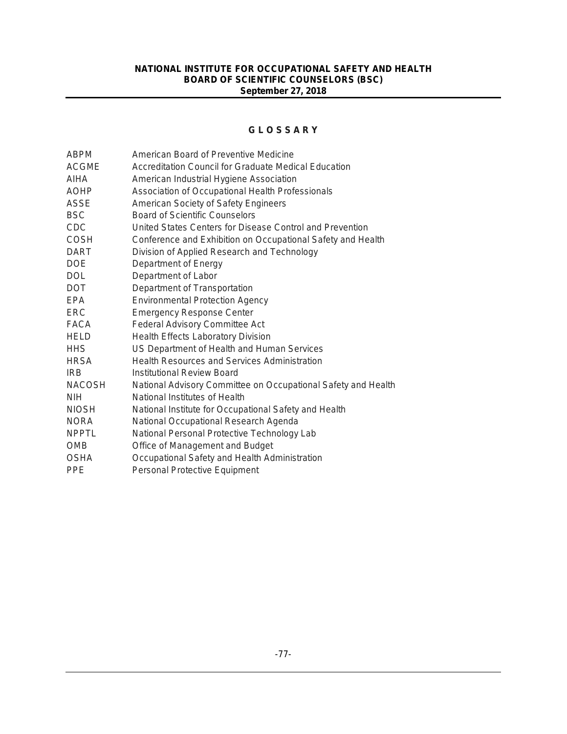#### **G L O S S A R Y**

| <b>ABPM</b>   | American Board of Preventive Medicine                         |
|---------------|---------------------------------------------------------------|
| <b>ACGME</b>  | Accreditation Council for Graduate Medical Education          |
| AIHA          | American Industrial Hygiene Association                       |
| <b>AOHP</b>   | Association of Occupational Health Professionals              |
| <b>ASSE</b>   | American Society of Safety Engineers                          |
| <b>BSC</b>    | <b>Board of Scientific Counselors</b>                         |
| <b>CDC</b>    | United States Centers for Disease Control and Prevention      |
| <b>COSH</b>   | Conference and Exhibition on Occupational Safety and Health   |
| <b>DART</b>   | Division of Applied Research and Technology                   |
| <b>DOE</b>    | Department of Energy                                          |
| <b>DOL</b>    | Department of Labor                                           |
| <b>DOT</b>    | Department of Transportation                                  |
| <b>EPA</b>    | <b>Environmental Protection Agency</b>                        |
| ERC.          | <b>Emergency Response Center</b>                              |
| <b>FACA</b>   | <b>Federal Advisory Committee Act</b>                         |
| <b>HELD</b>   | <b>Health Effects Laboratory Division</b>                     |
| <b>HHS</b>    | US Department of Health and Human Services                    |
| <b>HRSA</b>   | <b>Health Resources and Services Administration</b>           |
| <b>IRB</b>    | Institutional Review Board                                    |
| <b>NACOSH</b> | National Advisory Committee on Occupational Safety and Health |
| <b>NIH</b>    | National Institutes of Health                                 |
| <b>NIOSH</b>  | National Institute for Occupational Safety and Health         |
| <b>NORA</b>   | National Occupational Research Agenda                         |
| <b>NPPTL</b>  | National Personal Protective Technology Lab                   |
| <b>OMB</b>    | Office of Management and Budget                               |
| <b>OSHA</b>   | Occupational Safety and Health Administration                 |
| <b>PPE</b>    | Personal Protective Equipment                                 |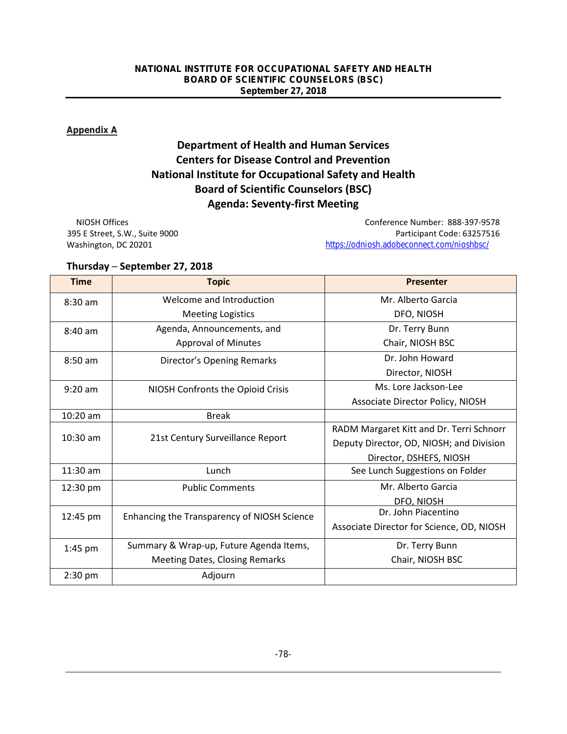#### **Appendix A**

# **Department of Health and Human Services Centers for Disease Control and Prevention National Institute for Occupational Safety and Health Board of Scientific Counselors (BSC) Agenda: Seventy-first Meeting**

NIOSH Offices Conference Number: 888-397-9578 395 E Street, S.W., Suite 9000 Participant Code: 63257516 Washington, DC 20201 <https://odniosh.adobeconnect.com/nioshbsc/>

# **Thursday ─ September 27, 2018**

| <b>Time</b>       | <b>Topic</b>                                | <b>Presenter</b>                          |
|-------------------|---------------------------------------------|-------------------------------------------|
| $8:30$ am         | Welcome and Introduction                    | Mr. Alberto Garcia                        |
|                   | <b>Meeting Logistics</b>                    | DFO, NIOSH                                |
| $8:40$ am         | Agenda, Announcements, and                  | Dr. Terry Bunn                            |
|                   | <b>Approval of Minutes</b>                  | Chair, NIOSH BSC                          |
| $8:50 \text{ am}$ | Director's Opening Remarks                  | Dr. John Howard                           |
|                   |                                             | Director, NIOSH                           |
| $9:20$ am         | NIOSH Confronts the Opioid Crisis           | Ms. Lore Jackson-Lee                      |
|                   |                                             | Associate Director Policy, NIOSH          |
| $10:20$ am        | <b>Break</b>                                |                                           |
| $10:30$ am        | 21st Century Surveillance Report            | RADM Margaret Kitt and Dr. Terri Schnorr  |
|                   |                                             | Deputy Director, OD, NIOSH; and Division  |
|                   |                                             | Director, DSHEFS, NIOSH                   |
| 11:30 am          | Lunch                                       | See Lunch Suggestions on Folder           |
| 12:30 pm          | <b>Public Comments</b>                      | Mr. Alberto Garcia                        |
|                   |                                             | DFO, NIOSH                                |
| 12:45 pm          | Enhancing the Transparency of NIOSH Science | Dr. John Piacentino                       |
|                   |                                             | Associate Director for Science, OD, NIOSH |
| $1:45$ pm         | Summary & Wrap-up, Future Agenda Items,     | Dr. Terry Bunn                            |
|                   | <b>Meeting Dates, Closing Remarks</b>       | Chair, NIOSH BSC                          |
| $2:30$ pm         | Adjourn                                     |                                           |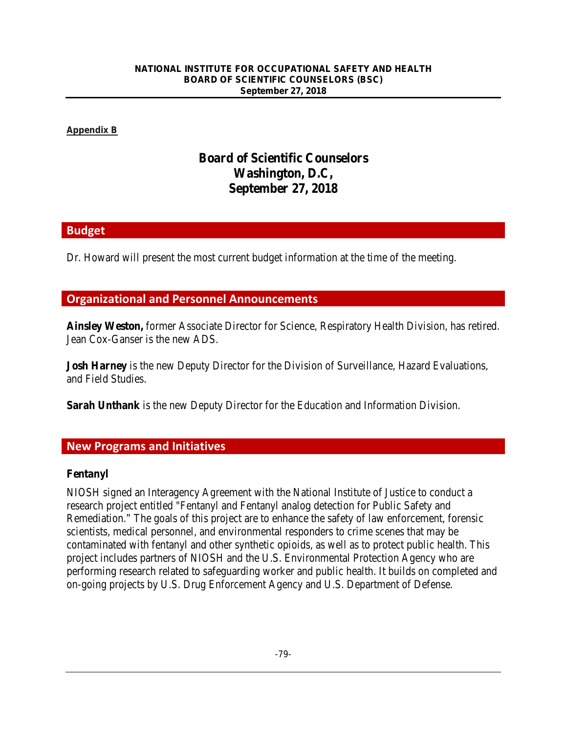#### **Appendix B**

# **Board of Scientific Counselors Washington, D.C, September 27, 2018**

## **Budget**

Dr. Howard will present the most current budget information at the time of the meeting.

# **Organizational and Personnel Announcements**

**Ainsley Weston,** former Associate Director for Science, Respiratory Health Division, has retired. Jean Cox-Ganser is the new ADS.

**Josh Harney** is the new Deputy Director for the Division of Surveillance, Hazard Evaluations, and Field Studies.

**Sarah Unthank** is the new Deputy Director for the Education and Information Division.

## **New Programs and Initiatives**

## **Fentanyl**

NIOSH signed an Interagency Agreement with the National Institute of Justice to conduct a research project entitled "Fentanyl and Fentanyl analog detection for Public Safety and Remediation." The goals of this project are to enhance the safety of law enforcement, forensic scientists, medical personnel, and environmental responders to crime scenes that may be contaminated with fentanyl and other synthetic opioids, as well as to protect public health. This project includes partners of NIOSH and the U.S. Environmental Protection Agency who are performing research related to safeguarding worker and public health. It builds on completed and on-going projects by U.S. Drug Enforcement Agency and U.S. Department of Defense.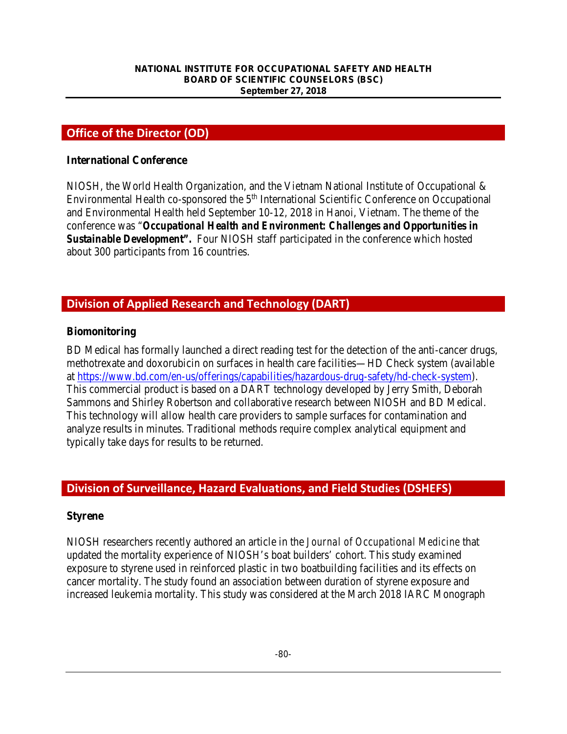# **Office of the Director (OD)**

#### **International Conference**

NIOSH, the World Health Organization, and the Vietnam National Institute of Occupational & Environmental Health co-sponsored the 5<sup>th</sup> International Scientific Conference on Occupational and Environmental Health held September 10-12, 2018 in Hanoi, Vietnam. The theme of the conference was "*Occupational Health and Environment: Challenges and Opportunities in Sustainable Development".* Four NIOSH staff participated in the conference which hosted about 300 participants from 16 countries.

# **Division of Applied Research and Technology (DART)**

#### **Biomonitoring**

BD Medical has formally launched a direct reading test for the detection of the anti-cancer drugs, methotrexate and doxorubicin on surfaces in health care facilities—HD Check system (available at [https://www.bd.com/en-us/offerings/capabilities/hazardous-drug-safety/hd-check-system\)](https://www.bd.com/en-us/offerings/capabilities/hazardous-drug-safety/hd-check-system). This commercial product is based on a DART technology developed by Jerry Smith, Deborah Sammons and Shirley Robertson and collaborative research between NIOSH and BD Medical. This technology will allow health care providers to sample surfaces for contamination and analyze results in minutes. Traditional methods require complex analytical equipment and typically take days for results to be returned.

# **Division of Surveillance, Hazard Evaluations, and Field Studies (DSHEFS)**

#### **Styrene**

NIOSH researchers recently authored an article in the *Journal of Occupational Medicine* that updated the mortality experience of NIOSH's boat builders' cohort. This study examined exposure to styrene used in reinforced plastic in two boatbuilding facilities and its effects on cancer mortality. The study found an association between duration of styrene exposure and increased leukemia mortality. This study was considered at the March 2018 IARC Monograph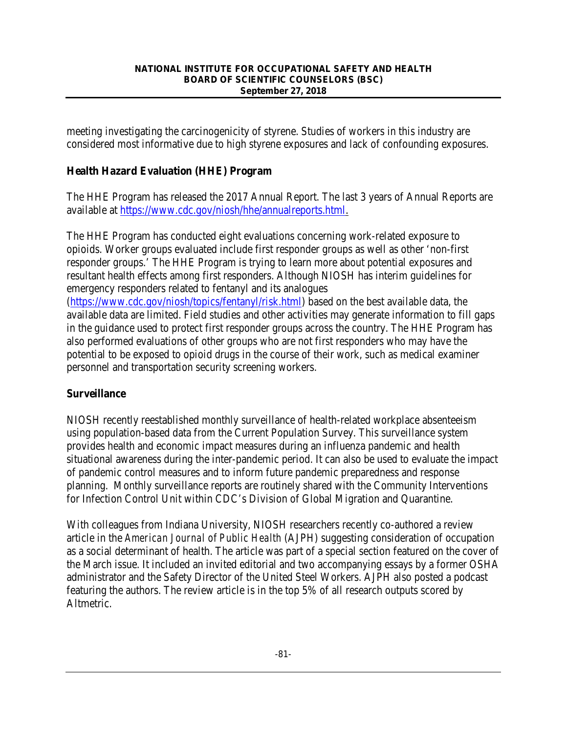meeting investigating the carcinogenicity of styrene. Studies of workers in this industry are considered most informative due to high styrene exposures and lack of confounding exposures.

## **Health Hazard Evaluation (HHE) Program**

The HHE Program has released the 2017 Annual Report. The last 3 years of Annual Reports are available at [https://www.cdc.gov/niosh/hhe/annualreports.html.](https://www.cdc.gov/niosh/hhe/annualreports.html)

The HHE Program has conducted eight evaluations concerning work-related exposure to opioids. Worker groups evaluated include first responder groups as well as other 'non-first responder groups.' The HHE Program is trying to learn more about potential exposures and resultant health effects among first responders. Although NIOSH has interim guidelines for emergency responders related to fentanyl and its analogues [\(https://www.cdc.gov/niosh/topics/fentanyl/risk.html\)](https://www.cdc.gov/niosh/topics/fentanyl/risk.html) based on the best available data, the available data are limited. Field studies and other activities may generate information to fill gaps in the guidance used to protect first responder groups across the country. The HHE Program has also performed evaluations of other groups who are not first responders who may have the potential to be exposed to opioid drugs in the course of their work, such as medical examiner personnel and transportation security screening workers.

## **Surveillance**

NIOSH recently reestablished monthly surveillance of health-related workplace absenteeism using population-based data from the Current Population Survey. This surveillance system provides health and economic impact measures during an influenza pandemic and health situational awareness during the inter-pandemic period. It can also be used to evaluate the impact of pandemic control measures and to inform future pandemic preparedness and response planning. Monthly surveillance reports are routinely shared with the Community Interventions for Infection Control Unit within CDC's Division of Global Migration and Quarantine.

With colleagues from Indiana University, NIOSH researchers recently co-authored a review article in the *American Journal of Public Health* (AJPH) suggesting consideration of occupation as a social determinant of health. The article was part of a special section featured on the cover of the March issue. It included an invited editorial and two accompanying essays by a former OSHA administrator and the Safety Director of the United Steel Workers. AJPH also posted a podcast featuring the authors. The review article is in the top 5% of all research outputs scored by Altmetric.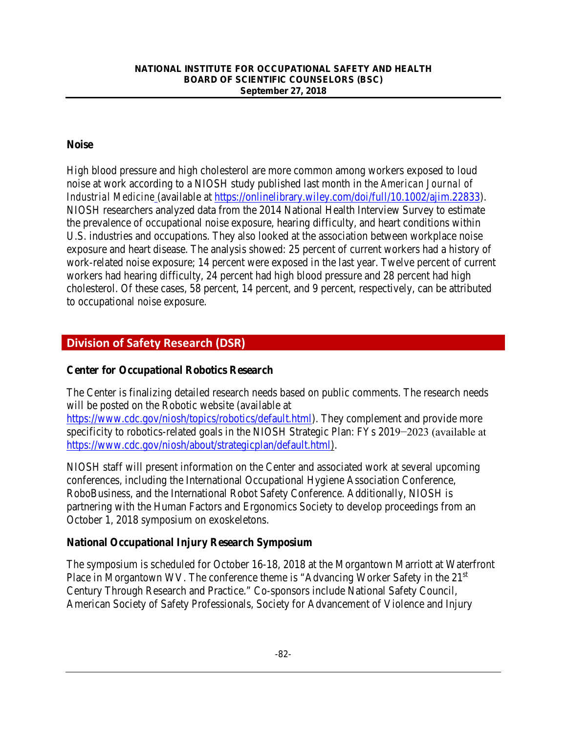## **Noise**

High blood pressure and high cholesterol are more common among workers exposed to loud noise at work according to a NIOSH study published last month in the *American Journal of Industrial Medicine* (available at [https://onlinelibrary.wiley.com/doi/full/10.1002/ajim.22833\)](https://onlinelibrary.wiley.com/doi/full/10.1002/ajim.22833). NIOSH researchers analyzed data from the 2014 National Health Interview Survey to estimate the prevalence of occupational noise exposure, hearing difficulty, and heart conditions within U.S. industries and occupations. They also looked at the association between workplace noise exposure and heart disease. The analysis showed: 25 percent of current workers had a history of work-related noise exposure; 14 percent were exposed in the last year. Twelve percent of current workers had hearing difficulty, 24 percent had high blood pressure and 28 percent had high cholesterol. Of these cases, 58 percent, 14 percent, and 9 percent, respectively, can be attributed to occupational noise exposure.

# **Division of Safety Research (DSR)**

## **Center for Occupational Robotics Research**

The Center is finalizing detailed research needs based on public comments. The research needs will be posted on the Robotic website (available at

[https://www.cdc.gov/niosh/topics/robotics/default.html\)](https://www.cdc.gov/niosh/topics/robotics/default.html). They complement and provide more specificity to robotics-related goals in the [NIOSH Strategic Plan:](https://www.cdc.gov/niosh/about/strategicplan/default.html) FYs 2019−2023 (available at [https://www.cdc.gov/niosh/about/strategicplan/default.html\)](https://www.cdc.gov/niosh/about/strategicplan/default.html).

NIOSH staff will present information on the Center and associated work at several upcoming conferences, including the International Occupational Hygiene Association Conference, RoboBusiness, and the International Robot Safety Conference. Additionally, NIOSH is partnering with the Human Factors and Ergonomics Society to develop proceedings from an October 1, 2018 symposium on exoskeletons.

## **National Occupational Injury Research Symposium**

The symposium is scheduled for October 16-18, 2018 at the Morgantown Marriott at Waterfront Place in Morgantown WV. The conference theme is "Advancing Worker Safety in the 21<sup>st</sup> Century Through Research and Practice." Co-sponsors include National Safety Council, American Society of Safety Professionals, Society for Advancement of Violence and Injury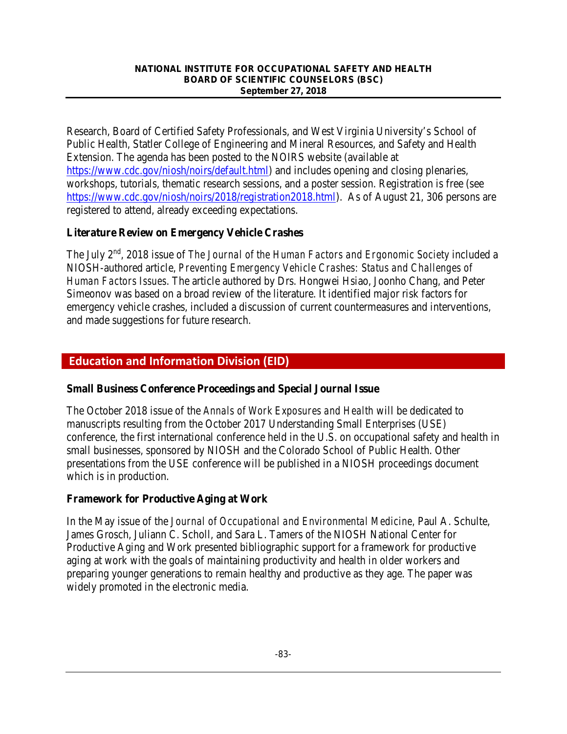Research, Board of Certified Safety Professionals, and West Virginia University's School of Public Health, Statler College of Engineering and Mineral Resources, and Safety and Health Extension. The agenda has been posted to the NOIRS website (available at [https://www.cdc.gov/niosh/noirs/default.html\)](https://www.cdc.gov/niosh/noirs/default.html) and includes opening and closing plenaries, workshops, tutorials, thematic research sessions, and a poster session. Registration is free (see [https://www.cdc.gov/niosh/noirs/2018/registration2018.html\)](https://www.cdc.gov/niosh/noirs/2018/registration2018.html). As of August 21, 306 persons are registered to attend, already exceeding expectations.

## **Literature Review on Emergency Vehicle Crashes**

The July 2nd, 2018 issue of *The Journal of the Human Factors and Ergonomic Society* included a NIOSH-authored article, *Preventing Emergency Vehicle Crashes: Status and Challenges of Human Factors Issues*. The article authored by Drs. Hongwei Hsiao, Joonho Chang, and Peter Simeonov was based on a broad review of the literature. It identified major risk factors for emergency vehicle crashes, included a discussion of current countermeasures and interventions, and made suggestions for future research.

## **Education and Information Division (EID)**

#### **Small Business Conference Proceedings and Special Journal Issue**

The October 2018 issue of the *Annals of Work Exposures and Health* will be dedicated to manuscripts resulting from the October 2017 Understanding Small Enterprises (USE) conference, the first international conference held in the U.S. on occupational safety and health in small businesses, sponsored by NIOSH and the Colorado School of Public Health. Other presentations from the USE conference will be published in a NIOSH proceedings document which is in production.

## **Framework for Productive Aging at Work**

In the May issue of the *Journal of Occupational and Environmental Medicine,* Paul A. Schulte, James Grosch, Juliann C. Scholl, and Sara L. Tamers of the NIOSH National Center for Productive Aging and Work presented bibliographic support for a framework for productive aging at work with the goals of maintaining productivity and health in older workers and preparing younger generations to remain healthy and productive as they age. The paper was widely promoted in the electronic media.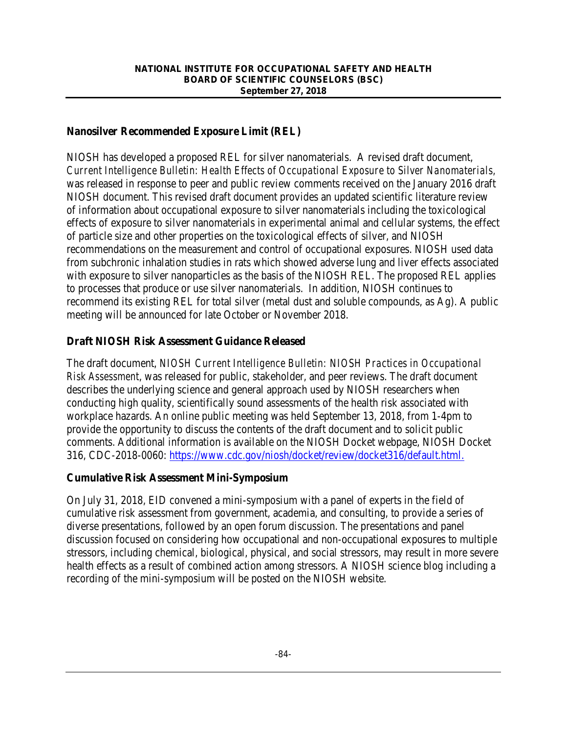#### **Nanosilver Recommended Exposure Limit (REL)**

NIOSH has developed a proposed REL for silver nanomaterials. A revised draft document, *Current Intelligence Bulletin: Health Effects of Occupational Exposure to Silver Nanomaterials,* was released in response to peer and public review comments received on the January 2016 draft NIOSH document. This revised draft document provides an updated scientific literature review of information about occupational exposure to silver nanomaterials including the toxicological effects of exposure to silver nanomaterials in experimental animal and cellular systems, the effect of particle size and other properties on the toxicological effects of silver, and NIOSH recommendations on the measurement and control of occupational exposures. NIOSH used data from subchronic inhalation studies in rats which showed adverse lung and liver effects associated with exposure to silver nanoparticles as the basis of the NIOSH REL. The proposed REL applies to processes that produce or use silver nanomaterials. In addition, NIOSH continues to recommend its existing REL for total silver (metal dust and soluble compounds, as Ag). A public meeting will be announced for late October or November 2018.

#### **Draft NIOSH Risk Assessment Guidance Released**

The draft document, *NIOSH Current Intelligence Bulletin: NIOSH Practices in Occupational Risk Assessment*, was released for public, stakeholder, and peer reviews. The draft document describes the underlying science and general approach used by NIOSH researchers when conducting high quality, scientifically sound assessments of the health risk associated with workplace hazards. An online public meeting was held September 13, 2018, from 1-4pm to provide the opportunity to discuss the contents of the draft document and to solicit public comments. Additional information is available on the NIOSH Docket webpage, NIOSH Docket 316, CDC-2018-0060: [https://www.cdc.gov/niosh/docket/review/docket316/default.html.](https://www.cdc.gov/niosh/docket/review/docket316/default.html)

#### **Cumulative Risk Assessment Mini-Symposium**

On July 31, 2018, EID convened a mini-symposium with a panel of experts in the field of cumulative risk assessment from government, academia, and consulting, to provide a series of diverse presentations, followed by an open forum discussion. The presentations and panel discussion focused on considering how occupational and non-occupational exposures to multiple stressors, including chemical, biological, physical, and social stressors, may result in more severe health effects as a result of combined action among stressors. A NIOSH science blog including a recording of the mini-symposium will be posted on the NIOSH website.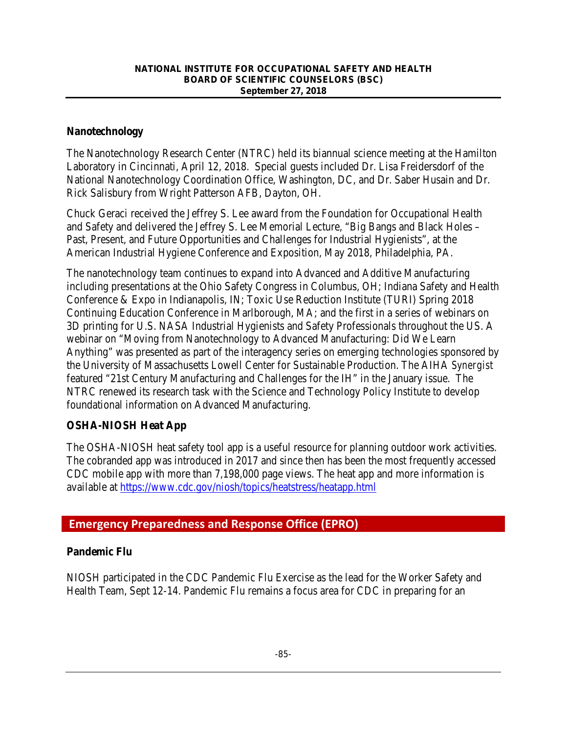#### **Nanotechnology**

The Nanotechnology Research Center (NTRC) held its biannual science meeting at the Hamilton Laboratory in Cincinnati, April 12, 2018. Special guests included Dr. Lisa Freidersdorf of the National Nanotechnology Coordination Office, Washington, DC, and Dr. Saber Husain and Dr. Rick Salisbury from Wright Patterson AFB, Dayton, OH.

Chuck Geraci received the Jeffrey S. Lee award from the Foundation for Occupational Health and Safety and delivered the Jeffrey S. Lee Memorial Lecture, "Big Bangs and Black Holes – Past, Present, and Future Opportunities and Challenges for Industrial Hygienists", at the American Industrial Hygiene Conference and Exposition, May 2018, Philadelphia, PA.

The nanotechnology team continues to expand into Advanced and Additive Manufacturing including presentations at the Ohio Safety Congress in Columbus, OH; Indiana Safety and Health Conference & Expo in Indianapolis, IN; Toxic Use Reduction Institute (TURI) Spring 2018 Continuing Education Conference in Marlborough, MA; and the first in a series of webinars on 3D printing for U.S. NASA Industrial Hygienists and Safety Professionals throughout the US. A webinar on "Moving from Nanotechnology to Advanced Manufacturing: Did We Learn Anything" was presented as part of the interagency series on emerging technologies sponsored by the University of Massachusetts Lowell Center for Sustainable Production. The AIHA *Synergist* featured "21st Century Manufacturing and Challenges for the IH" in the January issue. The NTRC renewed its research task with the Science and Technology Policy Institute to develop foundational information on Advanced Manufacturing.

## **OSHA-NIOSH Heat App**

The OSHA-NIOSH heat safety tool app is a useful resource for planning outdoor work activities. The cobranded app was introduced in 2017 and since then has been the most frequently accessed CDC mobile app with more than 7,198,000 page views. The heat app and more information is available at<https://www.cdc.gov/niosh/topics/heatstress/heatapp.html>

# **Emergency Preparedness and Response Office (EPRO)**

## **Pandemic Flu**

NIOSH participated in the CDC Pandemic Flu Exercise as the lead for the Worker Safety and Health Team, Sept 12-14. Pandemic Flu remains a focus area for CDC in preparing for an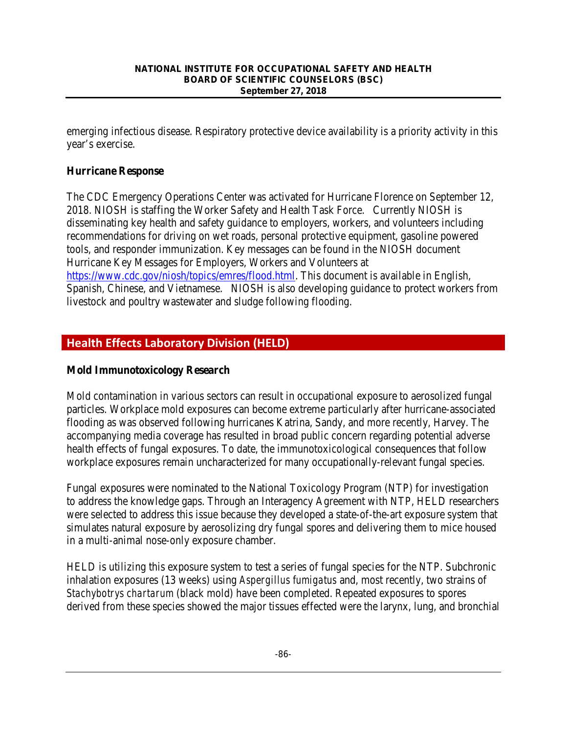emerging infectious disease. Respiratory protective device availability is a priority activity in this year's exercise.

## **Hurricane Response**

The CDC Emergency Operations Center was activated for Hurricane Florence on September 12, 2018. NIOSH is staffing the Worker Safety and Health Task Force. Currently NIOSH is disseminating key health and safety guidance to employers, workers, and volunteers including recommendations for driving on wet roads, personal protective equipment, gasoline powered tools, and responder immunization. Key messages can be found in the NIOSH document Hurricane Key Messages for Employers, Workers and Volunteers at [https://www.cdc.gov/niosh/topics/emres/flood.html.](https://www.cdc.gov/niosh/topics/emres/flood.html) This document is available in English, Spanish, Chinese, and Vietnamese. NIOSH is also developing guidance to protect workers from livestock and poultry wastewater and sludge following flooding.

# **Health Effects Laboratory Division (HELD)**

## **Mold Immunotoxicology Research**

Mold contamination in various sectors can result in occupational exposure to aerosolized fungal particles. Workplace mold exposures can become extreme particularly after hurricane-associated flooding as was observed following hurricanes Katrina, Sandy, and more recently, Harvey. The accompanying media coverage has resulted in broad public concern regarding potential adverse health effects of fungal exposures. To date, the immunotoxicological consequences that follow workplace exposures remain uncharacterized for many occupationally-relevant fungal species.

Fungal exposures were nominated to the National Toxicology Program (NTP) for investigation to address the knowledge gaps. Through an Interagency Agreement with NTP, HELD researchers were selected to address this issue because they developed a state-of-the-art exposure system that simulates natural exposure by aerosolizing dry fungal spores and delivering them to mice housed in a multi-animal nose-only exposure chamber.

HELD is utilizing this exposure system to test a series of fungal species for the NTP. Subchronic inhalation exposures (13 weeks) using *Aspergillus fumigatus* and, most recently, two strains of *Stachybotrys chartarum* (black mold) have been completed. Repeated exposures to spores derived from these species showed the major tissues effected were the larynx, lung, and bronchial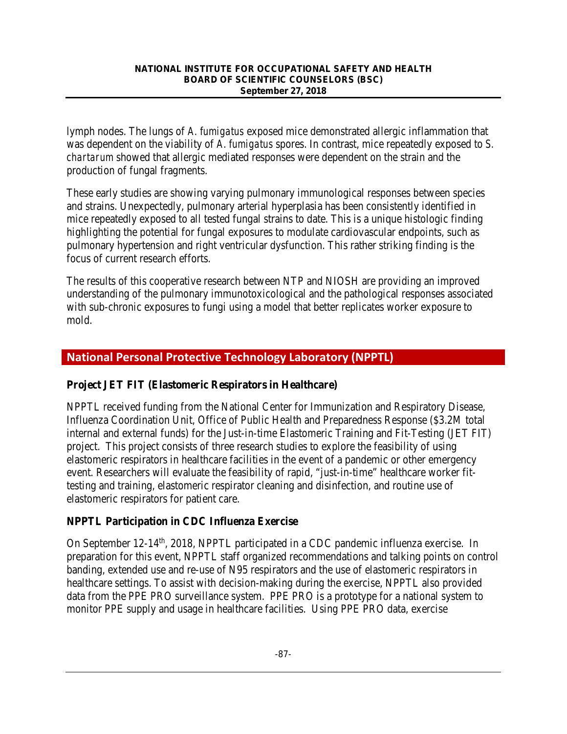lymph nodes. The lungs of *A. fumigatus* exposed mice demonstrated allergic inflammation that was dependent on the viability of *A. fumigatus* spores. In contrast, mice repeatedly exposed to *S. chartarum* showed that allergic mediated responses were dependent on the strain and the production of fungal fragments.

These early studies are showing varying pulmonary immunological responses between species and strains. Unexpectedly, pulmonary arterial hyperplasia has been consistently identified in mice repeatedly exposed to all tested fungal strains to date. This is a unique histologic finding highlighting the potential for fungal exposures to modulate cardiovascular endpoints, such as pulmonary hypertension and right ventricular dysfunction. This rather striking finding is the focus of current research efforts.

The results of this cooperative research between NTP and NIOSH are providing an improved understanding of the pulmonary immunotoxicological and the pathological responses associated with sub-chronic exposures to fungi using a model that better replicates worker exposure to mold.

# **National Personal Protective Technology Laboratory (NPPTL)**

## **Project JET FIT (Elastomeric Respirators in Healthcare)**

NPPTL received funding from the National Center for Immunization and Respiratory Disease, Influenza Coordination Unit, Office of Public Health and Preparedness Response (\$3.2M total internal and external funds) for the Just-in-time Elastomeric Training and Fit-Testing (JET FIT) project. This project consists of three research studies to explore the feasibility of using elastomeric respirators in healthcare facilities in the event of a pandemic or other emergency event. Researchers will evaluate the feasibility of rapid, "just-in-time" healthcare worker fittesting and training, elastomeric respirator cleaning and disinfection, and routine use of elastomeric respirators for patient care.

## **NPPTL Participation in CDC Influenza Exercise**

On September 12-14<sup>th</sup>, 2018, NPPTL participated in a CDC pandemic influenza exercise. In preparation for this event, NPPTL staff organized recommendations and talking points on control banding, extended use and re-use of N95 respirators and the use of elastomeric respirators in healthcare settings. To assist with decision-making during the exercise, NPPTL also provided data from the PPE PRO surveillance system. PPE PRO is a prototype for a national system to monitor PPE supply and usage in healthcare facilities. Using PPE PRO data, exercise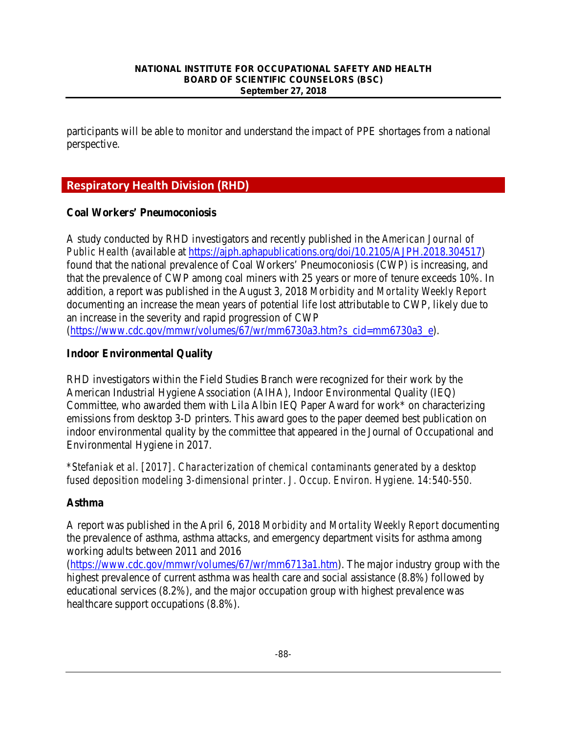participants will be able to monitor and understand the impact of PPE shortages from a national perspective.

# **Respiratory Health Division (RHD)**

## **Coal Workers' Pneumoconiosis**

A study conducted by RHD investigators and recently published in the *American Journal of Public Health* (available at [https://ajph.aphapublications.org/doi/10.2105/AJPH.2018.304517\)](https://ajph.aphapublications.org/doi/10.2105/AJPH.2018.304517) found that the national prevalence of Coal Workers' Pneumoconiosis (CWP) is increasing, and that the prevalence of CWP among coal miners with 25 years or more of tenure exceeds 10%. In addition, a report was published in the August 3, 2018 *Morbidity and Mortality Weekly Report* documenting an increase the mean years of potential life lost attributable to CWP, likely due to an increase in the severity and rapid progression of CWP

[\(https://www.cdc.gov/mmwr/volumes/67/wr/mm6730a3.htm?s\\_cid=mm6730a3\\_e\)](https://www.cdc.gov/mmwr/volumes/67/wr/mm6730a3.htm?s_cid=mm6730a3_e).

## **Indoor Environmental Quality**

RHD investigators within the Field Studies Branch were recognized for their work by the American Industrial Hygiene Association (AIHA), Indoor Environmental Quality (IEQ) Committee, who awarded them with Lila Albin IEQ Paper Award for work\* on characterizing emissions from desktop 3-D printers. This award goes to the paper deemed best publication on indoor environmental quality by the committee that appeared in the Journal of Occupational and Environmental Hygiene in 2017.

*\*Stefaniak et al. [2017]. Characterization of chemical contaminants generated by a desktop fused deposition modeling 3-dimensional printer. J. Occup. Environ. Hygiene. 14:540-550.*

## **Asthma**

A report was published in the April 6, 2018 *Morbidity and Mortality Weekly Report* documenting the prevalence of asthma, asthma attacks, and emergency department visits for asthma among working adults between 2011 and 2016

[\(https://www.cdc.gov/mmwr/volumes/67/wr/mm6713a1.htm\)](https://www.cdc.gov/mmwr/volumes/67/wr/mm6713a1.htm). The major industry group with the highest prevalence of current asthma was health care and social assistance (8.8%) followed by educational services (8.2%), and the major occupation group with highest prevalence was healthcare support occupations (8.8%).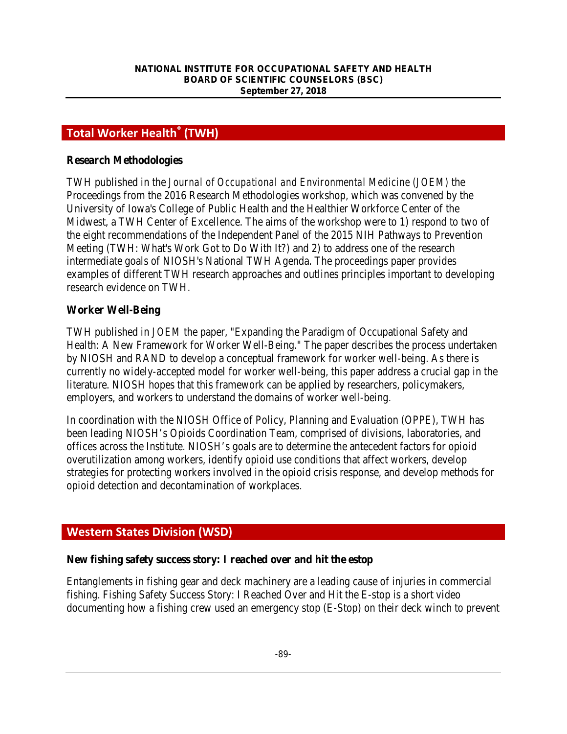# **Total Worker Health® (TWH)**

#### **Research Methodologies**

TWH published in the *Journal of Occupational and Environmental Medicine (JOEM)* the Proceedings from the 2016 Research Methodologies workshop, which was convened by the University of Iowa's College of Public Health and the Healthier Workforce Center of the Midwest, a TWH Center of Excellence. The aims of the workshop were to 1) respond to two of the eight recommendations of the Independent Panel of the 2015 NIH Pathways to Prevention Meeting (TWH: What's Work Got to Do With It?) and 2) to address one of the research intermediate goals of NIOSH's National TWH Agenda. The proceedings paper provides examples of different TWH research approaches and outlines principles important to developing research evidence on TWH.

#### **Worker Well-Being**

TWH published in *JOEM* the paper, "Expanding the Paradigm of Occupational Safety and Health: A New Framework for Worker Well-Being." The paper describes the process undertaken by NIOSH and RAND to develop a conceptual framework for worker well-being. As there is currently no widely-accepted model for worker well-being, this paper address a crucial gap in the literature. NIOSH hopes that this framework can be applied by researchers, policymakers, employers, and workers to understand the domains of worker well-being.

In coordination with the NIOSH Office of Policy, Planning and Evaluation (OPPE), TWH has been leading NIOSH's Opioids Coordination Team, comprised of divisions, laboratories, and offices across the Institute. NIOSH's goals are to determine the antecedent factors for opioid overutilization among workers, identify opioid use conditions that affect workers, develop strategies for protecting workers involved in the opioid crisis response, and develop methods for opioid detection and decontamination of workplaces.

# **Western States Division (WSD)**

#### **New fishing safety success story: I reached over and hit the estop**

Entanglements in fishing gear and deck machinery are a leading cause of injuries in commercial fishing. Fishing Safety Success Story: I Reached Over and Hit the E-stop is a short video documenting how a fishing crew used an emergency stop (E-Stop) on their deck winch to prevent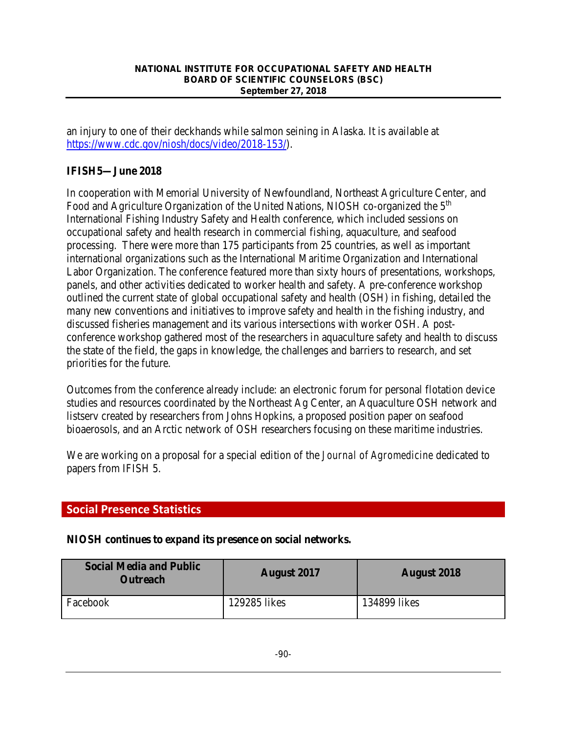an injury to one of their deckhands while salmon seining in Alaska. It is available at [https://www.cdc.gov/niosh/docs/video/2018-153/\)](https://www.cdc.gov/niosh/docs/video/2018-153/).

# **IFISH5—June 2018**

In cooperation with Memorial University of Newfoundland, Northeast Agriculture Center, and Food and Agriculture Organization of the United Nations, NIOSH co-organized the 5<sup>th</sup> International Fishing Industry Safety and Health conference, which included sessions on occupational safety and health research in commercial fishing, aquaculture, and seafood processing. There were more than 175 participants from 25 countries, as well as important international organizations such as the International Maritime Organization and International Labor Organization. The conference featured more than sixty hours of presentations, workshops, panels, and other activities dedicated to worker health and safety. A pre-conference workshop outlined the current state of global occupational safety and health (OSH) in fishing, detailed the many new conventions and initiatives to improve safety and health in the fishing industry, and discussed fisheries management and its various intersections with worker OSH. A postconference workshop gathered most of the researchers in aquaculture safety and health to discuss the state of the field, the gaps in knowledge, the challenges and barriers to research, and set priorities for the future.

Outcomes from the conference already include: an electronic forum for personal flotation device studies and resources coordinated by the Northeast Ag Center, an Aquaculture OSH network and listserv created by researchers from Johns Hopkins, a proposed position paper on seafood bioaerosols, and an Arctic network of OSH researchers focusing on these maritime industries.

We are working on a proposal for a special edition of the *Journal of Agromedicine* dedicated to papers from IFISH 5.

# **Social Presence Statistics**

## **NIOSH continues to expand its presence on social networks***.*

| <b>Social Media and Public</b><br><b>Outreach</b> | <b>August</b> 2017 | <b>August</b> 2018 |
|---------------------------------------------------|--------------------|--------------------|
| Facebook                                          | 129285 likes       | 134899 likes       |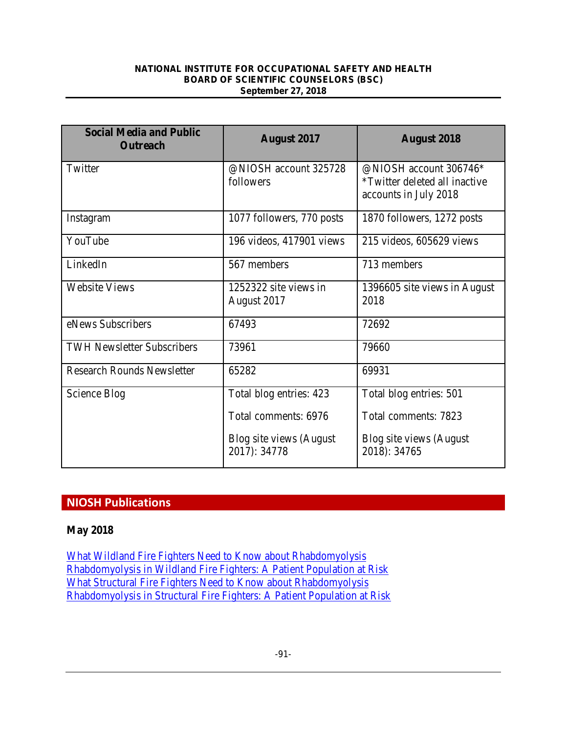| <b>Social Media and Public</b><br><b>Outreach</b> | <b>August 2017</b>                       | <b>August 2018</b>                                                                      |
|---------------------------------------------------|------------------------------------------|-----------------------------------------------------------------------------------------|
| Twitter                                           | @NIOSH account 325728<br>followers       | @NIOSH account 306746*<br><i>*Twitter deleted all inactive</i><br>accounts in July 2018 |
| Instagram                                         | 1077 followers, 770 posts                | 1870 followers, 1272 posts                                                              |
| YouTube                                           | 196 videos, 417901 views                 | 215 videos, 605629 views                                                                |
| LinkedIn                                          | 567 members                              | 713 members                                                                             |
| <b>Website Views</b>                              | 1252322 site views in<br>August 2017     | 1396605 site views in August<br>2018                                                    |
| eNews Subscribers                                 | 67493                                    | 72692                                                                                   |
| <b>TWH Newsletter Subscribers</b>                 | 73961                                    | 79660                                                                                   |
| <b>Research Rounds Newsletter</b>                 | 65282                                    | 69931                                                                                   |
| Science Blog                                      | Total blog entries: 423                  | Total blog entries: 501                                                                 |
|                                                   | Total comments: 6976                     | Total comments: 7823                                                                    |
|                                                   | Blog site views (August)<br>2017): 34778 | Blog site views (August)<br>2018): 34765                                                |

# **NIOSH Publications**

## **May 2018**

[What Wildland Fire Fighters Need to Know about Rhabdomyolysis](https://www.cdc.gov/niosh/docs/2018-131/default.html) [Rhabdomyolysis in Wildland Fire Fighters: A Patient Population at Risk](https://www.cdc.gov/niosh/docs/2018-132/default.html) [What Structural Fire Fighters Need to Know about Rhabdomyolysis](https://www.cdc.gov/niosh/docs/2018-133/default.html) [Rhabdomyolysis in Structural Fire Fighters: A Patient Population at Risk](https://www.cdc.gov/niosh/docs/2018-134/default.html)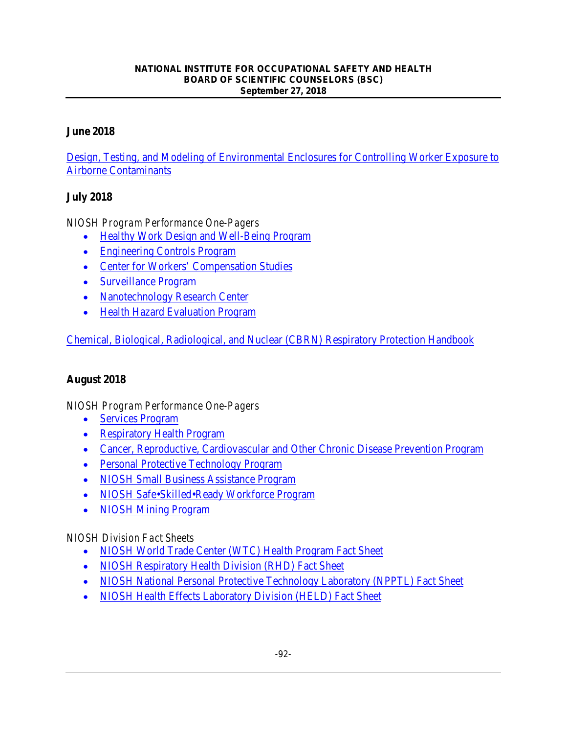## **June 2018**

[Design, Testing, and Modeling of Environmental Enclosures for Controlling Worker Exposure to](https://www.cdc.gov/niosh/mining/works/coversheet2046.html)  [Airborne Contaminants](https://www.cdc.gov/niosh/mining/works/coversheet2046.html) 

## **July 2018**

*NIOSH Program Performance One-Pagers* 

- [Healthy Work Design and Well-Being Program](https://www.cdc.gov/niosh/docs/2018-152/default.html)
- [Engineering Controls Program](https://www.cdc.gov/niosh/docs/2018-151/default.html)
- [Center for Workers' Compensation Studies](https://www.cdc.gov/niosh/docs/2018-150/default.html)
- [Surveillance Program](https://www.cdc.gov/niosh/docs/2018-149/default.html)
- [Nanotechnology Research Center](https://www.cdc.gov/niosh/docs/2018-148/default.html)
- [Health Hazard Evaluation Program](https://www.cdc.gov/niosh/docs/2018-147/default.html)

[Chemical, Biological, Radiological, and Nuclear \(CBRN\) Respiratory Protection Handbook](https://www.cdc.gov/niosh/docs/2018-166/default.html)

## **August 2018**

*NIOSH Program Performance One-Pagers* 

- [Services Program](https://www.cdc.gov/niosh/docs/2018-162/default.html)
- [Respiratory Health Program](https://www.cdc.gov/niosh/docs/2018-159/default.html)
- [Cancer, Reproductive, Cardiovascular and Other Chronic Disease Prevention Program](https://www.cdc.gov/niosh/docs/2018-158/default.html)
- [Personal Protective Technology Program](https://www.cdc.gov/niosh/docs/2018-155/default.html)
- [NIOSH Small Business Assistance Program](https://www.cdc.gov/niosh/docs/2018-164/default.html)
- [NIOSH Safe•Skilled•Ready Workforce Program](https://www.cdc.gov/niosh/docs/2018-160/default.html)
- [NIOSH Mining Program](https://www.cdc.gov/niosh/docs/2018-156/default.html)

## *NIOSH Division Fact Sheets*

- [NIOSH World Trade Center \(WTC\) Health Program Fact Sheet](https://www.cdc.gov/niosh/docs/2018-143/default.html)
- [NIOSH Respiratory Health Division \(RHD\) Fact Sheet](https://www.cdc.gov/niosh/docs/2018-142/default.html)
- [NIOSH National Personal Protective Technology Laboratory \(NPPTL\) Fact Sheet](https://www.cdc.gov/niosh/docs/2018-141/default.html)
- [NIOSH Health Effects Laboratory Division \(HELD\) Fact Sheet](https://www.cdc.gov/niosh/docs/2018-140/default.html)